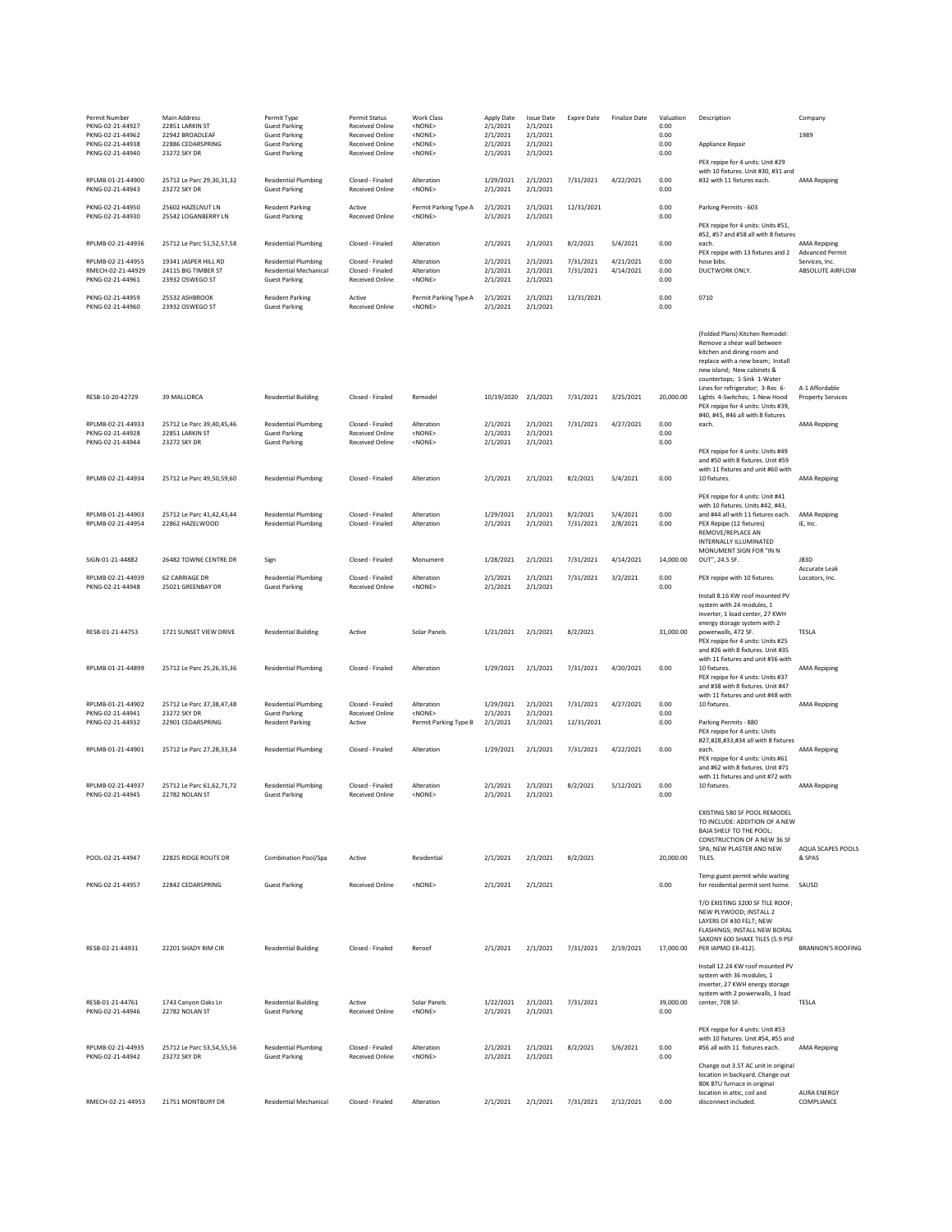| Permit Number<br>PKNG-02-21-44927                         | Main Address<br>22851 LARKIN ST                              | Permit Type<br><b>Guest Parking</b>                                         | Permit Status<br>Received Online                                           | Work Class<br><none></none>                       | Apply Date<br>2/1/2021           | <b>Issue Date</b><br>2/1/2021    | <b>Expire Date</b>    | <b>Finalize Date</b>  | Valuation<br>0.00    | Description                                                                                                                                                                                                                        | Company                                                         |
|-----------------------------------------------------------|--------------------------------------------------------------|-----------------------------------------------------------------------------|----------------------------------------------------------------------------|---------------------------------------------------|----------------------------------|----------------------------------|-----------------------|-----------------------|----------------------|------------------------------------------------------------------------------------------------------------------------------------------------------------------------------------------------------------------------------------|-----------------------------------------------------------------|
| PKNG-02-21-44962<br>PKNG-02-21-44938<br>PKNG-02-21-44940  | 22942 BROADLEAF<br>22886 CEDARSPRING<br>23272 SKY DR         | <b>Guest Parking</b><br><b>Guest Parking</b><br><b>Guest Parking</b>        | <b>Received Online</b><br><b>Received Online</b><br><b>Received Online</b> | <none><br/><none><br/><none></none></none></none> | 2/1/2021<br>2/1/2021<br>2/1/2021 | 2/1/2021<br>2/1/2021<br>2/1/2021 |                       |                       | 0.00<br>0.00<br>0.00 | Appliance Repair                                                                                                                                                                                                                   | 1989                                                            |
| RPLMB-01-21-44900<br>PKNG-02-21-44943                     | 25712 Le Parc 29,30,31,32<br>23272 SKY DR                    | <b>Residential Plumbing</b><br><b>Guest Parking</b>                         | Closed - Finaled<br><b>Received Online</b>                                 | Alteration<br><none></none>                       | 1/29/2021<br>2/1/2021            | 2/1/2021<br>2/1/2021             | 7/31/2021             | 4/22/2021             | 0.00<br>0.00         | PEX repipe for 4 units: Unit #29<br>with 10 fixtures. Unit #30, #31 and<br>#32 with 11 fixtures each.                                                                                                                              | <b>AMA Repiping</b>                                             |
| PKNG-02-21-44950<br>PKNG-02-21-44930                      | 25602 HAZELNUT LN<br>25542 LOGANBERRY LN                     | <b>Resident Parking</b><br><b>Guest Parking</b>                             | Active<br><b>Received Online</b>                                           | Permit Parking Type A<br><none></none>            | 2/1/2021<br>2/1/2021             | 2/1/2021<br>2/1/2021             | 12/31/2021            |                       | 0.00<br>0.00         | Parking Permits - 603                                                                                                                                                                                                              |                                                                 |
|                                                           |                                                              |                                                                             |                                                                            |                                                   |                                  |                                  |                       |                       |                      | PEX repipe for 4 units: Units #51,<br>#52, #57 and #58 all with 8 fixtures<br>each.                                                                                                                                                |                                                                 |
| RPLMB-02-21-44936<br>RPLMB-02-21-44955                    | 25712 Le Parc 51,52,57,58<br>19341 JASPER HILL RD            | <b>Residential Plumbing</b><br><b>Residential Plumbing</b>                  | Closed - Finaled<br>Closed - Finaled                                       | Alteration<br>Alteration                          | 2/1/2021<br>2/1/2021             | 2/1/2021<br>2/1/2021             | 8/2/2021<br>7/31/2021 | 5/4/2021<br>4/21/2021 | 0.00<br>0.00         | PEX repipe with 13 fixtures and 2<br>hose bibs.                                                                                                                                                                                    | <b>AMA Repiping</b><br><b>Advanced Permit</b><br>Services, Inc. |
| RMECH-02-21-44929<br>PKNG-02-21-44961                     | 24115 BIG TIMBER ST<br>23932 OSWEGO ST                       | <b>Residential Mechanical</b><br><b>Guest Parking</b>                       | Closed - Finaled<br><b>Received Online</b>                                 | Alteration<br><none></none>                       | 2/1/2021<br>2/1/2021             | 2/1/2021<br>2/1/2021             | 7/31/2021             | 4/14/2021             | 0.00<br>0.00         | DUCTWORK ONLY.                                                                                                                                                                                                                     | ABSOLUTE AIRFLOW                                                |
| PKNG-02-21-44959<br>PKNG-02-21-44960                      | 25532 ASHBROOK<br>23932 OSWEGO ST                            | <b>Resident Parking</b><br><b>Guest Parking</b>                             | Active<br>Received Online                                                  | Permit Parking Type A<br><none></none>            | 2/1/2021<br>2/1/2021             | 2/1/2021<br>2/1/2021             | 12/31/2021            |                       | 0.00<br>0.00         | 0710                                                                                                                                                                                                                               |                                                                 |
|                                                           |                                                              |                                                                             |                                                                            |                                                   |                                  |                                  |                       |                       |                      | (Folded Plans) Kitchen Remodel:<br>Remove a shear wall between<br>kitchen and dining room and<br>replace with a new beam; Install<br>new island: New cabinets &<br>countertops; 1-Sink 1-Water<br>Lines for refrigerator; 3-Rec 6- | A-1 Affordable                                                  |
| RESB-10-20-42729                                          | 39 MALLORCA                                                  | <b>Residential Building</b>                                                 | Closed - Finaled                                                           | Remodel                                           | 10/19/2020                       | 2/1/2021                         | 7/31/2021             | 3/25/2021             | 20,000.00            | Lights 4-Switches; 1-New Hood<br>PEX repipe for 4 units: Units #39,<br>#40, #45, #46 all with 8 fixtures                                                                                                                           | <b>Property Services</b>                                        |
| RPLMB-02-21-44933<br>PKNG-02-21-44928<br>PKNG-02-21-44944 | 25712 Le Parc 39,40,45,46<br>22851 LARKIN ST<br>23272 SKY DR | <b>Residential Plumbing</b><br><b>Guest Parking</b><br><b>Guest Parking</b> | Closed - Finaled<br>Received Online<br>Received Online                     | Alteration<br><none><br/><none></none></none>     | 2/1/2021<br>2/1/2021<br>2/1/2021 | 2/1/2021<br>2/1/2021<br>2/1/2021 | 7/31/2021             | 4/27/2021             | 0.00<br>0.00<br>0.00 | each.                                                                                                                                                                                                                              | <b>AMA Repiping</b>                                             |
| RPLMB-02-21-44934                                         | 25712 Le Parc 49,50,59,60                                    | <b>Residential Plumbing</b>                                                 | Closed - Finaled                                                           | Alteration                                        | 2/1/2021                         | 2/1/2021                         | 8/2/2021              | 5/4/2021              | 0.00                 | PEX repipe for 4 units: Units #49<br>and #50 with 8 fixtures. Unit #59<br>with 11 fixtures and unit #60 with<br>10 fixtures.                                                                                                       | <b>AMA Repiping</b>                                             |
|                                                           |                                                              |                                                                             |                                                                            |                                                   |                                  |                                  |                       |                       |                      | PEX repipe for 4 units: Unit #41                                                                                                                                                                                                   |                                                                 |
| RPLMB-01-21-44903<br>RPLMB-02-21-44954                    | 25712 Le Parc 41,42,43,44<br>22862 HAZELWOOD                 | <b>Residential Plumbing</b><br><b>Residential Plumbing</b>                  | Closed - Finaled<br>Closed - Finaled                                       | Alteration<br>Alteration                          | 1/29/2021<br>2/1/2021            | 2/1/2021<br>2/1/2021             | 8/2/2021<br>7/31/2021 | 5/4/2021<br>2/8/2021  | 0.00<br>0.00         | with 10 fixtures. Units #42, #43,<br>and #44 all with 11 fixtures each.<br>PEX Repipe (12 fixtures)<br>REMOVE/REPLACE AN<br>INTERNALLY ILLUMINATED                                                                                 | <b>AMA Repiping</b><br>iE, Inc.                                 |
| SIGN-01-21-44882                                          | 26482 TOWNE CENTRE DR                                        | Sign                                                                        | Closed - Finaled                                                           | Monument                                          | 1/28/2021                        | 2/1/2021                         | 7/31/2021             | 4/14/2021             | 14.000.00            | MONUMENT SIGN FOR "IN N<br>OUT", 24.5 SF.                                                                                                                                                                                          | JB3D                                                            |
| RPLMB-02-21-44939<br>PKNG-02-21-44948                     | 62 CARRIAGE DR<br>25021 GREENBAY DR                          | <b>Residential Plumbing</b><br><b>Guest Parking</b>                         | Closed - Finaled<br>Received Online                                        | Alteration<br><none></none>                       | 2/1/2021<br>2/1/2021             | 2/1/2021<br>2/1/2021             | 7/31/2021             | 3/2/2021              | 0.00<br>0.00         | PEX repipe with 10 fixtures.                                                                                                                                                                                                       | Accurate Leak<br>Locators, Inc.                                 |
|                                                           |                                                              |                                                                             |                                                                            |                                                   |                                  |                                  |                       |                       |                      | Install 8.16 KW roof mounted PV<br>system with 24 modules, 1<br>inverter, 1 load center, 27 KWH<br>energy storage system with 2                                                                                                    |                                                                 |
| RESB-01-21-44753                                          | 1721 SUNSET VIEW DRIVE                                       | <b>Residential Building</b>                                                 | Active                                                                     | Solar Panels                                      | 1/21/2021                        | 2/1/2021                         | 8/2/2021              |                       | 31,000.00            | powerwalls, 472 SF.<br>PEX repipe for 4 units: Units #25<br>and #26 with 8 fixtures. Unit #35<br>with 11 fixtures and unit #36 with                                                                                                | TESLA                                                           |
| RPLMB-01-21-44899                                         | 25712 Le Parc 25,26,35,36                                    | <b>Residential Plumbing</b>                                                 | Closed - Finaled                                                           | Alteration                                        | 1/29/2021                        | 2/1/2021                         | 7/31/2021             | 4/20/2021             | 0.00                 | 10 fixtures.<br>PEX repipe for 4 units: Units #37<br>and #38 with 8 fixtures. Unit #47                                                                                                                                             | <b>AMA Repiping</b>                                             |
| RPLMB-01-21-44902<br>PKNG-02-21-44941                     | 25712 Le Parc 37,38,47,48<br>23272 SKY DR                    | <b>Residential Plumbing</b><br><b>Guest Parking</b>                         | Closed - Finaled<br><b>Received Online</b>                                 | Alteration<br><none></none>                       | 1/29/2021<br>2/1/2021            | 2/1/2021<br>2/1/2021             | 7/31/2021             | 4/27/2021             | 0.00<br>0.00         | with 11 fixtures and unit #48 with<br>10 fixtures.                                                                                                                                                                                 | <b>AMA Repiping</b>                                             |
| PKNG-02-21-44932                                          | 22901 CEDARSPRING                                            | <b>Resident Parking</b>                                                     | Active                                                                     | Permit Parking Type B                             | 2/1/2021                         | 2/1/2021                         | 12/31/2021            |                       | 0.00                 | Parking Permits - 880<br>PEX repipe for 4 units: Units<br>#27,#28,#33,#34 all with 8 fixtures                                                                                                                                      |                                                                 |
| RPLMB-01-21-44901                                         | 25712 Le Parc 27,28,33,34                                    | <b>Residential Plumbing</b>                                                 | Closed - Finaled                                                           | Alteration                                        | 1/29/2021                        | 2/1/2021                         | 7/31/2021             | 4/22/2021             | 0.00                 | each.<br>PEX repipe for 4 units: Units #61<br>and #62 with 8 fixtures. Unit #71<br>with 11 fixtures and unit #72 with                                                                                                              | <b>AMA Repiping</b>                                             |
| RPLMB-02-21-44937<br>PKNG-02-21-44945                     | 25712 Le Parc 61.62.71.72<br>22782 NOLAN ST                  | <b>Residential Plumbing</b><br><b>Guest Parking</b>                         | Closed - Finaled<br>Received Online                                        | Alteration<br><none></none>                       | 2/1/2021<br>2/1/2021             | 2/1/2021<br>2/1/2021             | 8/2/2021              | 5/12/2021             | 0.00<br>0.00         | 10 fixtures.                                                                                                                                                                                                                       | <b>AMA Repiping</b>                                             |
| POOL-02-21-44947                                          | 22825 RIDGE ROUTE DR                                         | Combination Pool/Spa                                                        | Active                                                                     | Residential                                       | 2/1/2021                         | 2/1/2021                         | 8/2/2021              |                       | 20,000.00            | EXISTING 580 SF POOL REMODEL<br>TO INCLUDE: ADDITION OF A NEW<br>BAJA SHELF TO THE POOL;<br>CONSTRUCTION OF A NEW 36 SF<br>SPA: NEW PLASTER AND NEW<br>TILES                                                                       | AQUA SCAPES POOLS<br>& SPAS                                     |
| PKNG-02-21-44957                                          | 22842 CEDARSPRING                                            | <b>Guest Parking</b>                                                        | <b>Received Online</b>                                                     | <none></none>                                     | 2/1/2021                         | 2/1/2021                         |                       |                       | 0.00                 | Temp guest permit while waiting<br>for residential permit sent home.                                                                                                                                                               | SAUSD                                                           |
|                                                           |                                                              |                                                                             |                                                                            |                                                   |                                  |                                  |                       |                       |                      | T/O EXISTING 3200 SF TILE ROOF;                                                                                                                                                                                                    |                                                                 |
| RESB-02-21-44931                                          | 22201 SHADY RIM CIR                                          | <b>Residential Building</b>                                                 | Closed - Finaled                                                           | Reroof                                            | 2/1/2021                         | 2/1/2021                         | 7/31/2021             | 2/19/2021             | 17,000.00            | NEW PLYWOOD; INSTALL 2<br>LAYERS OF #30 FELT; NEW<br>FLASHINGS; INSTALL NEW BORAL<br>SAXONY 600 SHAKE TILES (5.9 PSF<br>PER IAPMO ER-412).                                                                                         | <b>BRANNON'S ROOFING</b>                                        |
| RESB-01-21-44761<br>PKNG-02-21-44946                      | 1743 Canyon Oaks Ln<br>22782 NOLAN ST                        | <b>Residential Building</b><br><b>Guest Parking</b>                         | Active<br>Received Online                                                  | Solar Panels<br><none></none>                     | 1/22/2021<br>2/1/2021            | 2/1/2021<br>2/1/2021             | 7/31/2021             |                       | 39,000.00<br>0.00    | Install 12.24 KW roof mounted PV<br>system with 36 modules, 1<br>inverter, 27 KWH energy storage<br>system with 2 powerwalls, 1 load<br>center, 708 SF.                                                                            | TESLA                                                           |
| RPLMB-02-21-44935<br>PKNG-02-21-44942                     | 25712 Le Parc 53,54,55,56<br>23272 SKY DR                    | <b>Residential Plumbing</b><br><b>Guest Parking</b>                         | Closed - Finaled<br><b>Received Online</b>                                 | Alteration<br>$<$ NONE $>$                        | 2/1/2021<br>2/1/2021             | 2/1/2021<br>2/1/2021             | 8/2/2021              | 5/6/2021              | 0.00<br>0.00         | PEX repipe for 4 units: Unit #53<br>with 10 fixtures. Unit #54, #55 and<br>#56 all with 11 fixtures each.                                                                                                                          | <b>AMA Repiping</b>                                             |
| RMECH-02-21-44953                                         | 21751 MONTBURY DR                                            | <b>Residential Mechanical</b>                                               |                                                                            |                                                   |                                  |                                  |                       |                       | 0.00                 | Change out 3.5T AC unit in original<br>location in backyard. Change out<br>80K BTU furnace in original<br>location in attic, coil and<br>disconnect included.                                                                      | <b>AURA ENERGY</b><br>COMPLIANCE                                |
|                                                           |                                                              |                                                                             | Closed - Finaled                                                           | Alteration                                        | 2/1/2021                         | 2/1/2021                         | 7/31/2021             | 2/12/2021             |                      |                                                                                                                                                                                                                                    |                                                                 |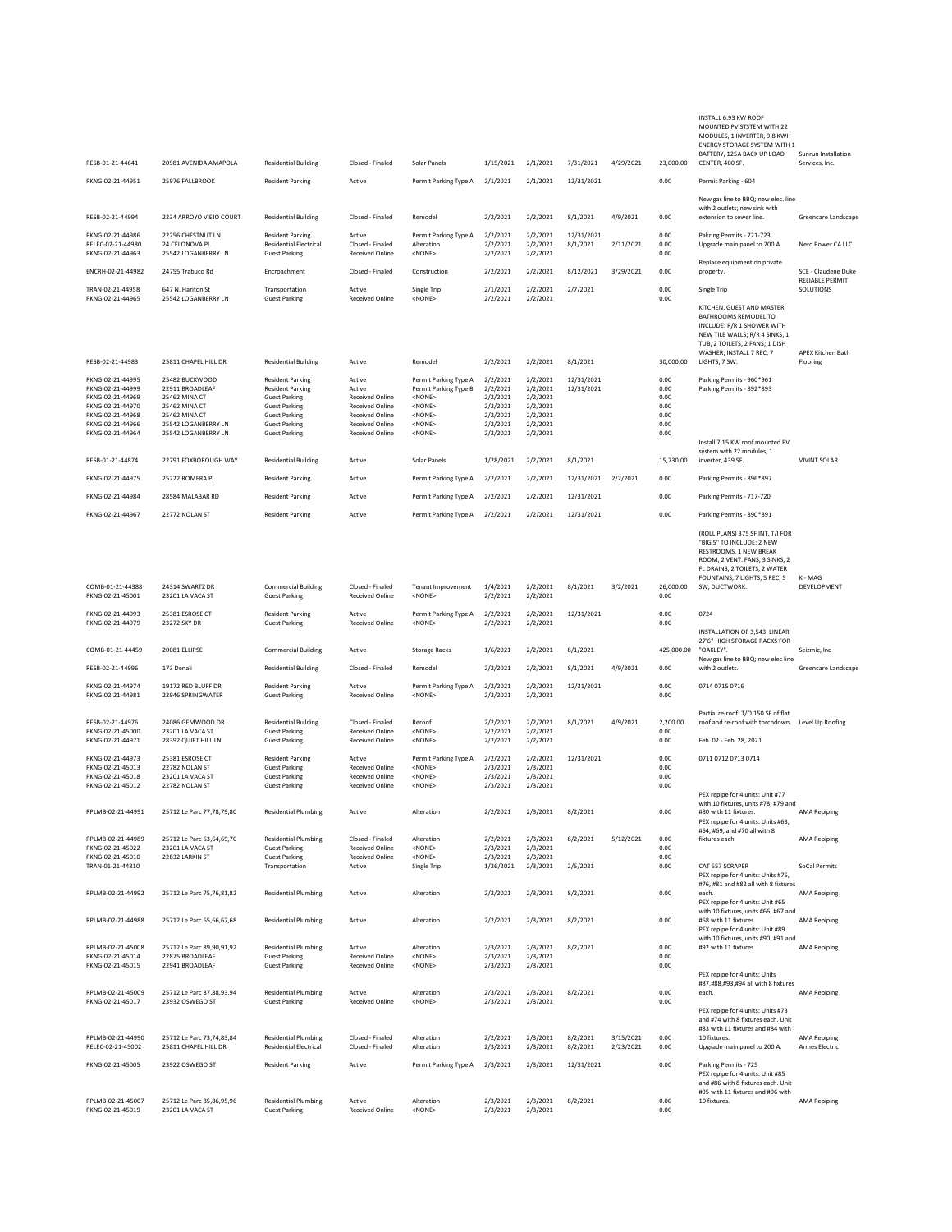| RESB-01-21-44641                                                                                                                         | 20981 AVENIDA AMAPOLA                                                                                                              | <b>Residential Building</b>                                                                                                                                                | Closed - Finaled                                                                                                       | Solar Panels                                                                                                                            | 1/15/2021                                                                        | 2/1/2021                                                                         | 7/31/2021                | 4/29/2021              | 23,000.00                                            | MOUNTED PV STSTEM WITH 22<br>MODULES, 1 INVERTER, 9.8 KWH<br>ENERGY STORAGE SYSTEM WITH 1<br>BATTERY, 125A BACK UP LOAD<br>CENTER, 400 SF.                                                  | Sunrun Installation<br>Services, Inc. |
|------------------------------------------------------------------------------------------------------------------------------------------|------------------------------------------------------------------------------------------------------------------------------------|----------------------------------------------------------------------------------------------------------------------------------------------------------------------------|------------------------------------------------------------------------------------------------------------------------|-----------------------------------------------------------------------------------------------------------------------------------------|----------------------------------------------------------------------------------|----------------------------------------------------------------------------------|--------------------------|------------------------|------------------------------------------------------|---------------------------------------------------------------------------------------------------------------------------------------------------------------------------------------------|---------------------------------------|
| PKNG-02-21-44951                                                                                                                         | 25976 FALLBROOK                                                                                                                    | <b>Resident Parking</b>                                                                                                                                                    | Active                                                                                                                 | Permit Parking Type A                                                                                                                   | 2/1/2021                                                                         | 2/1/2021                                                                         | 12/31/2021               |                        | 0.00                                                 | Permit Parking - 604                                                                                                                                                                        |                                       |
|                                                                                                                                          |                                                                                                                                    |                                                                                                                                                                            |                                                                                                                        |                                                                                                                                         |                                                                                  |                                                                                  |                          |                        |                                                      | New gas line to BBQ; new elec. line<br>with 2 outlets; new sink with                                                                                                                        |                                       |
| RESB-02-21-44994                                                                                                                         | 2234 ARROYO VIEJO COURT                                                                                                            | <b>Residential Building</b>                                                                                                                                                | Closed - Finaled                                                                                                       | Remodel                                                                                                                                 | 2/2/2021                                                                         | 2/2/2021                                                                         | 8/1/2021                 | 4/9/2021               | 0.00                                                 | extension to sewer line.                                                                                                                                                                    | Greencare Landscape                   |
| PKNG-02-21-44986<br>RELEC-02-21-44980<br>PKNG-02-21-44963                                                                                | 22256 CHESTNUT LN<br>24 CELONOVA PL<br>25542 LOGANBERRY LN                                                                         | <b>Resident Parking</b><br><b>Residential Electrical</b><br><b>Guest Parking</b>                                                                                           | Active<br>Closed - Finaled<br><b>Received Online</b>                                                                   | Permit Parking Type A<br>Alteration<br><none></none>                                                                                    | 2/2/2021<br>2/2/2021<br>2/2/2021                                                 | 2/2/2021<br>2/2/2021<br>2/2/2021                                                 | 12/31/2021<br>8/1/2021   | 2/11/2021              | 0.00<br>0.00<br>0.00                                 | Pakring Permits - 721-723<br>Upgrade main panel to 200 A.                                                                                                                                   | Nerd Power CA LLC                     |
| ENCRH-02-21-44982                                                                                                                        | 24755 Trabuco Rd                                                                                                                   | Encroachment                                                                                                                                                               | Closed - Finaled                                                                                                       | Construction                                                                                                                            | 2/2/2021                                                                         | 2/2/2021                                                                         | 8/12/2021                | 3/29/2021              | 0.00                                                 | Replace equipment on private<br>property.                                                                                                                                                   | SCE - Claudene Duke                   |
| TRAN-02-21-44958<br>PKNG-02-21-44965                                                                                                     | 647 N. Hariton St<br>25542 LOGANBERRY LN                                                                                           | Transportation<br><b>Guest Parking</b>                                                                                                                                     | Active<br><b>Received Online</b>                                                                                       | Single Trip<br><none></none>                                                                                                            | 2/1/2021<br>2/2/2021                                                             | 2/2/2021<br>2/2/2021                                                             | 2/7/2021                 |                        | 0.00<br>0.00                                         | Single Trip                                                                                                                                                                                 | RELIABLE PERMIT<br>SOLUTIONS          |
|                                                                                                                                          |                                                                                                                                    |                                                                                                                                                                            |                                                                                                                        |                                                                                                                                         |                                                                                  |                                                                                  |                          |                        |                                                      | KITCHEN, GUEST AND MASTER<br>BATHROOMS REMODEL TO<br>INCLUDE: R/R 1 SHOWER WITH<br>NEW TILE WALLS; R/R 4 SINKS, 1<br>TUB, 2 TOILETS, 2 FANS; 1 DISH<br>WASHER; INSTALL 7 REC, 7             | APEX Kitchen Bath                     |
| RESB-02-21-44983                                                                                                                         | 25811 CHAPEL HILL DR                                                                                                               | <b>Residential Building</b>                                                                                                                                                | Active                                                                                                                 | Remodel                                                                                                                                 | 2/2/2021                                                                         | 2/2/2021                                                                         | 8/1/2021                 |                        | 30,000.00                                            | LIGHTS, 7 SW.                                                                                                                                                                               | Flooring                              |
| PKNG-02-21-44995<br>PKNG-02-21-44999<br>PKNG-02-21-44969<br>PKNG-02-21-44970<br>PKNG-02-21-44968<br>PKNG-02-21-44966<br>PKNG-02-21-44964 | 25482 BUCKWOOD<br>22911 BROADLEAF<br>25462 MINA CT<br>25462 MINA CT<br>25462 MINA CT<br>25542 LOGANBERRY LN<br>25542 LOGANBERRY LN | <b>Resident Parking</b><br><b>Resident Parking</b><br><b>Guest Parking</b><br><b>Guest Parking</b><br><b>Guest Parking</b><br><b>Guest Parking</b><br><b>Guest Parking</b> | Active<br>Active<br><b>Received Online</b><br>Received Online<br>Received Online<br>Received Online<br>Received Online | Permit Parking Type A<br>Permit Parking Type B<br><none><br/><none><br/><none><br/><none><br/><none></none></none></none></none></none> | 2/2/2021<br>2/2/2021<br>2/2/2021<br>2/2/2021<br>2/2/2021<br>2/2/2021<br>2/2/2021 | 2/2/2021<br>2/2/2021<br>2/2/2021<br>2/2/2021<br>2/2/2021<br>2/2/2021<br>2/2/2021 | 12/31/2021<br>12/31/2021 |                        | 0.00<br>0.00<br>0.00<br>0.00<br>0.00<br>0.00<br>0.00 | Parking Permits - 960*961<br>Parking Permits - 892*893                                                                                                                                      |                                       |
| RESB-01-21-44874                                                                                                                         | 22791 FOXBOROUGH WAY                                                                                                               | <b>Residential Building</b>                                                                                                                                                | Active                                                                                                                 | Solar Panels                                                                                                                            | 1/28/2021                                                                        | 2/2/2021                                                                         | 8/1/2021                 |                        | 15,730.00                                            | Install 7.15 KW roof mounted PV<br>system with 22 modules, 1<br>inverter, 439 SF.                                                                                                           | <b>VIVINT SOLAR</b>                   |
| PKNG-02-21-44975                                                                                                                         | 25222 ROMERA PL                                                                                                                    | <b>Resident Parking</b>                                                                                                                                                    | Active                                                                                                                 | Permit Parking Type A                                                                                                                   | 2/2/2021                                                                         | 2/2/2021                                                                         | 12/31/2021               | 2/2/2021               | 0.00                                                 | Parking Permits - 896*897                                                                                                                                                                   |                                       |
| PKNG-02-21-44984                                                                                                                         | 28584 MALABAR RD                                                                                                                   | <b>Resident Parking</b>                                                                                                                                                    | Active                                                                                                                 | Permit Parking Type A                                                                                                                   | 2/2/2021                                                                         | 2/2/2021                                                                         | 12/31/2021               |                        | 0.00                                                 | Parking Permits - 717-720                                                                                                                                                                   |                                       |
| PKNG-02-21-44967                                                                                                                         | 22772 NOLAN ST                                                                                                                     | <b>Resident Parking</b>                                                                                                                                                    | Active                                                                                                                 | Permit Parking Type A                                                                                                                   | 2/2/2021                                                                         | 2/2/2021                                                                         | 12/31/2021               |                        | 0.00                                                 | Parking Permits - 890*891                                                                                                                                                                   |                                       |
|                                                                                                                                          |                                                                                                                                    |                                                                                                                                                                            |                                                                                                                        |                                                                                                                                         |                                                                                  |                                                                                  |                          |                        |                                                      | (ROLL PLANS) 375 SF INT. T/I FOR<br>"BIG 5" TO INCLUDE: 2 NEW<br>RESTROOMS, 1 NEW BREAK<br>ROOM, 2 VENT. FANS, 3 SINKS, 2<br>FL DRAINS, 2 TOILETS, 2 WATER<br>FOUNTAINS, 7 LIGHTS, 5 REC, 5 | K - MAG                               |
| COMB-01-21-44388<br>PKNG-02-21-45001                                                                                                     | 24314 SWARTZ DR<br>23201 LA VACA ST                                                                                                | <b>Commercial Building</b><br><b>Guest Parking</b>                                                                                                                         | Closed - Finaled<br>Received Online                                                                                    | <b>Tenant Improvement</b><br><none></none>                                                                                              | 1/4/2021<br>2/2/2021                                                             | 2/2/2021<br>2/2/2021                                                             | 8/1/2021                 | 3/2/2021               | 26,000.00<br>0.00                                    | SW, DUCTWORK.                                                                                                                                                                               | DEVELOPMENT                           |
| PKNG-02-21-44993<br>PKNG-02-21-44979                                                                                                     | 25381 ESROSE CT<br>23272 SKY DR                                                                                                    | <b>Resident Parking</b><br><b>Guest Parking</b>                                                                                                                            | Active<br>Received Online                                                                                              | Permit Parking Type A<br><none></none>                                                                                                  | 2/2/2021<br>2/2/2021                                                             | 2/2/2021<br>2/2/2021                                                             | 12/31/2021               |                        | 0.00<br>0.00                                         | 0724<br>INSTALLATION OF 3,543' LINEAR                                                                                                                                                       |                                       |
| COMB-01-21-44459                                                                                                                         | 20081 ELLIPSE                                                                                                                      | <b>Commercial Building</b>                                                                                                                                                 | Active                                                                                                                 | <b>Storage Racks</b>                                                                                                                    | 1/6/2021                                                                         | 2/2/2021                                                                         | 8/1/2021                 |                        | 425,000.00                                           | 27'6" HIGH STORAGE RACKS FOR<br>"OAKLEY".                                                                                                                                                   | Seizmic, Inc.                         |
| RESB-02-21-44996                                                                                                                         | 173 Denali                                                                                                                         | <b>Residential Building</b>                                                                                                                                                | Closed - Finaled                                                                                                       | Remodel                                                                                                                                 | 2/2/2021                                                                         | 2/2/2021                                                                         | 8/1/2021                 | 4/9/2021               | 0.00                                                 | New gas line to BBQ; new elec line<br>with 2 outlets.                                                                                                                                       | Greencare Landscape                   |
| PKNG-02-21-44974<br>PKNG-02-21-44981                                                                                                     | 19172 RED BLUFF DR<br>22946 SPRINGWATER                                                                                            | <b>Resident Parking</b><br><b>Guest Parking</b>                                                                                                                            | Active<br>Received Online                                                                                              | Permit Parking Type A<br><none></none>                                                                                                  | 2/2/2021<br>2/2/2021                                                             | 2/2/2021<br>2/2/2021                                                             | 12/31/2021               |                        | 0.00<br>0.00                                         | 0714 0715 0716                                                                                                                                                                              |                                       |
| RESB-02-21-44976<br>PKNG-02-21-45000<br>PKNG-02-21-44971                                                                                 | 24086 GEMWOOD DR<br>23201 LA VACA ST<br>28392 QUIET HILL LN                                                                        | <b>Residential Building</b><br><b>Guest Parking</b><br><b>Guest Parking</b>                                                                                                | Closed - Finaled<br><b>Received Online</b><br>Received Online                                                          | Reroof<br><none><br/><none></none></none>                                                                                               | 2/2/2021<br>2/2/2021<br>2/2/2021                                                 | 2/2/2021<br>2/2/2021<br>2/2/2021                                                 | 8/1/2021                 | 4/9/2021               | 2,200.00<br>0.00<br>0.00                             | Partial re-roof: T/O 150 SF of flat<br>roof and re-roof with torchdown. Level Up Roofing<br>Feb. 02 - Feb. 28, 2021                                                                         |                                       |
| PKNG-02-21-44973<br>PKNG-02-21-45013<br>PKNG-02-21-45018                                                                                 | 25381 ESROSE CT<br>22782 NOLAN ST<br>23201 LA VACA ST                                                                              | <b>Resident Parking</b><br><b>Guest Parking</b><br><b>Guest Parking</b>                                                                                                    | Active<br><b>Received Online</b><br><b>Received Online</b>                                                             | Permit Parking Type A<br><none><br/><none></none></none>                                                                                | 2/2/2021<br>2/3/2021<br>2/3/2021                                                 | 2/2/2021<br>2/3/2021<br>2/3/2021                                                 | 12/31/2021               |                        | 0.00<br>0.00<br>0.00                                 | 0711 0712 0713 0714                                                                                                                                                                         |                                       |
| PKNG-02-21-45012                                                                                                                         | 22782 NOLAN ST                                                                                                                     | <b>Guest Parking</b>                                                                                                                                                       | <b>Received Online</b>                                                                                                 | <none></none>                                                                                                                           | 2/3/2021                                                                         | 2/3/2021                                                                         |                          |                        | 0.00                                                 | PEX repipe for 4 units: Unit #77                                                                                                                                                            |                                       |
| RPLMB-02-21-44991                                                                                                                        | 25712 Le Parc 77,78,79,80                                                                                                          | <b>Residential Plumbing</b>                                                                                                                                                | Active                                                                                                                 | Alteration                                                                                                                              | 2/2/2021                                                                         | 2/3/2021                                                                         | 8/2/2021                 |                        | 0.00                                                 | with 10 fixtures, units #78, #79 and<br>#80 with 11 fixtures.<br>PEX repipe for 4 units: Units #63,<br>#64, #69, and #70 all with 8                                                         | <b>AMA Repiping</b>                   |
| RPLMB-02-21-44989<br>PKNG-02-21-45022                                                                                                    | 25712 Le Parc 63,64,69,70<br>23201 LA VACA ST                                                                                      | <b>Residential Plumbing</b><br><b>Guest Parking</b>                                                                                                                        | Closed - Finaled<br><b>Received Online</b>                                                                             | Alteration<br>$<$ NONE $>$                                                                                                              | 2/2/2021<br>2/3/2021                                                             | 2/3/2021<br>2/3/2021                                                             | 8/2/2021                 | 5/12/2021              | 0.00<br>0.00                                         | fixtures each.                                                                                                                                                                              | <b>AMA Repiping</b>                   |
| PKNG-02-21-45010<br>TRAN-01-21-44810                                                                                                     | 22832 LARKIN ST                                                                                                                    | <b>Guest Parking</b><br>Transportation                                                                                                                                     | <b>Received Online</b><br>Active                                                                                       | $<$ NONE $>$<br>Single Trip                                                                                                             | 2/3/2021<br>1/26/2021                                                            | 2/3/2021<br>2/3/2021                                                             | 2/5/2021                 |                        | 0.00<br>0.00                                         | CAT 657 SCRAPER<br>PEX repipe for 4 units: Units #75,                                                                                                                                       | SoCal Permits                         |
| RPLMB-02-21-44992                                                                                                                        | 25712 Le Parc 75,76,81,82                                                                                                          | <b>Residential Plumbing</b>                                                                                                                                                | Active                                                                                                                 | Alteration                                                                                                                              | 2/2/2021                                                                         | 2/3/2021                                                                         | 8/2/2021                 |                        | 0.00                                                 | #76, #81 and #82 all with 8 fixtures<br>each.<br>PEX repipe for 4 units: Unit #65                                                                                                           | <b>AMA Repiping</b>                   |
| RPLMB-02-21-44988                                                                                                                        | 25712 Le Parc 65,66,67,68                                                                                                          | <b>Residential Plumbing</b>                                                                                                                                                | Active                                                                                                                 | Alteration                                                                                                                              | 2/2/2021                                                                         | 2/3/2021                                                                         | 8/2/2021                 |                        | 0.00                                                 | with 10 fixtures, units #66, #67 and<br>#68 with 11 fixtures.<br>PEX repipe for 4 units: Unit #89                                                                                           | <b>AMA Repiping</b>                   |
| RPLMB-02-21-45008                                                                                                                        | 25712 Le Parc 89,90,91,92                                                                                                          | <b>Residential Plumbing</b>                                                                                                                                                | Active                                                                                                                 | Alteration                                                                                                                              | 2/3/2021                                                                         | 2/3/2021                                                                         | 8/2/2021                 |                        | 0.00                                                 | with 10 fixtures, units #90, #91 and<br>#92 with 11 fixtures.                                                                                                                               | <b>AMA Repiping</b>                   |
| PKNG-02-21-45014<br>PKNG-02-21-45015                                                                                                     | 22875 BROADLEAF<br>22941 BROADLEAF                                                                                                 | <b>Guest Parking</b><br><b>Guest Parking</b>                                                                                                                               | Received Online<br>Received Online                                                                                     | <none><br/><none></none></none>                                                                                                         | 2/3/2021<br>2/3/2021                                                             | 2/3/2021<br>2/3/2021                                                             |                          |                        | 0.00<br>0.00                                         | PEX repipe for 4 units: Units                                                                                                                                                               |                                       |
| RPLMB-02-21-45009<br>PKNG-02-21-45017                                                                                                    | 25712 Le Parc 87,88,93,94<br>23932 OSWEGO ST                                                                                       | <b>Residential Plumbing</b><br><b>Guest Parking</b>                                                                                                                        | Active<br><b>Received Online</b>                                                                                       | Alteration<br><none></none>                                                                                                             | 2/3/2021<br>2/3/2021                                                             | 2/3/2021<br>2/3/2021                                                             | 8/2/2021                 |                        | 0.00<br>0.00                                         | #87,#88,#93,#94 all with 8 fixtures<br>each.                                                                                                                                                | <b>AMA Repiping</b>                   |
|                                                                                                                                          |                                                                                                                                    |                                                                                                                                                                            |                                                                                                                        |                                                                                                                                         |                                                                                  |                                                                                  |                          |                        |                                                      | PEX repipe for 4 units: Units #73<br>and #74 with 8 fixtures each. Unit<br>#83 with 11 fixtures and #84 with                                                                                |                                       |
| RPLMB-02-21-44990<br>RELEC-02-21-45002                                                                                                   | 25712 Le Parc 73,74,83,84<br>25811 CHAPEL HILL DR                                                                                  | <b>Residential Plumbing</b><br><b>Residential Electrical</b>                                                                                                               | Closed - Finaled<br>Closed - Finaled                                                                                   | Alteration<br>Alteration                                                                                                                | 2/2/2021<br>2/3/2021                                                             | 2/3/2021<br>2/3/2021                                                             | 8/2/2021<br>8/2/2021     | 3/15/2021<br>2/23/2021 | 0.00<br>0.00                                         | 10 fixtures.<br>Upgrade main panel to 200 A.                                                                                                                                                | <b>AMA Repiping</b><br>Armes Electric |
| PKNG-02-21-45005                                                                                                                         | 23922 OSWEGO ST                                                                                                                    | <b>Resident Parking</b>                                                                                                                                                    | Active                                                                                                                 | Permit Parking Type A                                                                                                                   | 2/3/2021                                                                         | 2/3/2021                                                                         | 12/31/2021               |                        | 0.00                                                 | Parking Permits - 725<br>PEX repipe for 4 units: Unit #85<br>and #86 with 8 fixtures each. Unit                                                                                             |                                       |
| RPLMB-02-21-45007                                                                                                                        | 25712 Le Parc 85,86,95,96                                                                                                          | <b>Residential Plumbing</b>                                                                                                                                                | Active                                                                                                                 | Alteration                                                                                                                              | 2/3/2021                                                                         | 2/3/2021                                                                         | 8/2/2021                 |                        | 0.00                                                 | #95 with 11 fixtures and #96 with<br>10 fixtures.                                                                                                                                           | <b>AMA Repiping</b>                   |
| PKNG-02-21-45019                                                                                                                         | 23201 LA VACA ST                                                                                                                   | <b>Guest Parking</b>                                                                                                                                                       | Received Online                                                                                                        | $<$ NONE $>$                                                                                                                            | 2/3/2021                                                                         | 2/3/2021                                                                         |                          |                        | 0.00                                                 |                                                                                                                                                                                             |                                       |

INSTALL 6.93 KW ROOF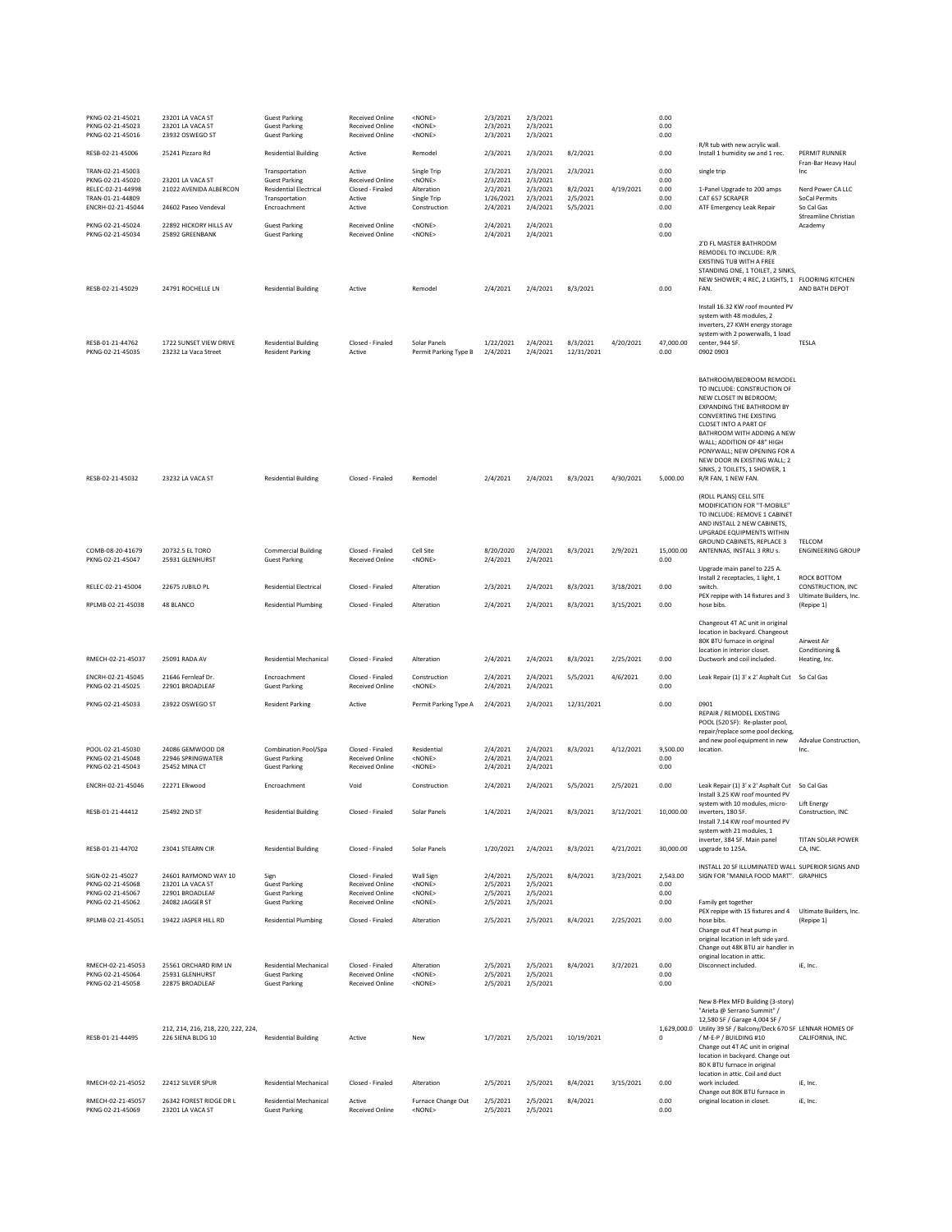| PKNG-02-21-45021<br>PKNG-02-21-45023<br>PKNG-02-21-45016                       | 23201 LA VACA ST<br>23201 LA VACA ST<br>23932 OSWEGO ST                        | <b>Guest Parking</b><br><b>Guest Parking</b><br><b>Guest Parking</b>                      | <b>Received Online</b><br><b>Received Online</b><br>Received Online              | <none><br/><none><br/><none></none></none></none>              | 2/3/2021<br>2/3/2021<br>2/3/2021              | 2/3/2021<br>2/3/2021<br>2/3/2021             |                                  |           | 0.00<br>0.00<br>0.00             |                                                                                                                                                                                                                                                                                                                                                              |                                                                  |
|--------------------------------------------------------------------------------|--------------------------------------------------------------------------------|-------------------------------------------------------------------------------------------|----------------------------------------------------------------------------------|----------------------------------------------------------------|-----------------------------------------------|----------------------------------------------|----------------------------------|-----------|----------------------------------|--------------------------------------------------------------------------------------------------------------------------------------------------------------------------------------------------------------------------------------------------------------------------------------------------------------------------------------------------------------|------------------------------------------------------------------|
| RESB-02-21-45006                                                               | 25241 Pizzaro Rd                                                               | <b>Residential Building</b>                                                               | Active                                                                           | Remodel                                                        | 2/3/2021                                      | 2/3/2021                                     | 8/2/2021                         |           | 0.00                             | R/R tub with new acrylic wall.<br>Install 1 humidity sw and 1 rec.                                                                                                                                                                                                                                                                                           | PERMIT RUNNER                                                    |
| TRAN-02-21-45003<br>PKNG-02-21-45020<br>RFI FC-02-21-44998<br>TRAN-01-21-44809 | 23201 LA VACA ST<br>21022 AVENIDA ALBERCON                                     | Transportation<br><b>Guest Parking</b><br><b>Residential Electrical</b><br>Transportation | Active<br><b>Received Online</b><br>Closed - Finaled<br>Active                   | Single Trip<br><none><br/>Alteration<br/>Single Trip</none>    | 2/3/2021<br>2/3/2021<br>2/2/2021<br>1/26/2021 | 2/3/2021<br>2/3/2021<br>2/3/2021<br>2/3/2021 | 2/3/2021<br>8/2/2021<br>2/5/2021 | 4/19/2021 | 0.00<br>0.00<br>0.00<br>0.00     | single trip<br>1-Panel Upgrade to 200 amps<br>CAT 657 SCRAPER<br>ATF Emergency Leak Repair                                                                                                                                                                                                                                                                   | Fran-Bar Heavy Haul<br>Inc<br>Nerd Power CA LLC<br>SoCal Permits |
| ENCRH-02-21-45044<br>PKNG-02-21-45024                                          | 24602 Paseo Vendeval<br>22892 HICKORY HILLS AV                                 | Encroachment<br><b>Guest Parking</b>                                                      | Active<br>Received Online                                                        | Construction<br><none></none>                                  | 2/4/2021<br>2/4/2021                          | 2/4/2021<br>2/4/2021                         | 5/5/2021                         |           | 0.00<br>0.00                     |                                                                                                                                                                                                                                                                                                                                                              | So Cal Gas<br>Streamline Christian<br>Academy                    |
| PKNG-02-21-45034<br>RESB-02-21-45029                                           | 25892 GREENBANK<br>24791 ROCHELLE LN                                           | <b>Guest Parking</b><br><b>Residential Building</b>                                       | <b>Received Online</b><br>Active                                                 | <none><br/>Remodel</none>                                      | 2/4/2021<br>2/4/2021                          | 2/4/2021<br>2/4/2021                         | 8/3/2021                         |           | 0.00<br>0.00                     | 2'D FL MASTER BATHROOM<br>REMODEL TO INCLUDE: R/R<br><b>EXISTING TUB WITH A FREE</b><br>STANDING ONE, 1 TOILET, 2 SINKS,<br>NEW SHOWER; 4 REC, 2 LIGHTS, 1 FLOORING KITCHEN<br>FAN.                                                                                                                                                                          | AND BATH DEPOT                                                   |
|                                                                                |                                                                                |                                                                                           |                                                                                  |                                                                |                                               |                                              |                                  |           |                                  | Install 16.32 KW roof mounted PV<br>system with 48 modules, 2<br>inverters, 27 KWH energy storage<br>system with 2 powerwalls, 1 load                                                                                                                                                                                                                        |                                                                  |
| RESB-01-21-44762<br>PKNG-02-21-45035                                           | 1722 SUNSET VIEW DRIVE<br>23232 La Vaca Street                                 | <b>Residential Building</b><br><b>Resident Parking</b>                                    | Closed - Finaled<br>Active                                                       | Solar Panels<br>Permit Parking Type B                          | 1/22/2021<br>2/4/2021                         | 2/4/2021<br>2/4/2021                         | 8/3/2021<br>12/31/2021           | 4/20/2021 | 47,000.00<br>0.00                | center, 944 SF.<br>0902 0903                                                                                                                                                                                                                                                                                                                                 | TESLA                                                            |
| RESB-02-21-45032                                                               | 23232 LA VACA ST                                                               | <b>Residential Building</b>                                                               | Closed - Finaled                                                                 | Remodel                                                        | 2/4/2021                                      | 2/4/2021                                     | 8/3/2021                         | 4/30/2021 | 5,000.00                         | BATHROOM/BEDROOM REMODEL<br>TO INCLUDE: CONSTRUCTION OF<br>NEW CLOSET IN BEDROOM;<br><b>EXPANDING THE BATHROOM BY</b><br>CONVERTING THE EXISTING<br>CLOSET INTO A PART OF<br>BATHROOM WITH ADDING A NEW<br>WALL; ADDITION OF 48" HIGH<br>PONYWALL; NEW OPENING FOR A<br>NEW DOOR IN EXISTING WALL: 2<br>SINKS, 2 TOILETS, 1 SHOWER, 1<br>R/R FAN, 1 NEW FAN. |                                                                  |
|                                                                                |                                                                                |                                                                                           |                                                                                  |                                                                |                                               |                                              |                                  |           |                                  | (ROLL PLANS) CELL SITE<br>MODIFICATION FOR "T-MOBILE"<br>TO INCLUDE: REMOVE 1 CABINET<br>AND INSTALL 2 NEW CABINETS,<br><b>UPGRADE FOUIPMENTS WITHIN</b><br><b>GROUND CABINETS, REPLACE 3</b>                                                                                                                                                                | TELCOM                                                           |
| COMB-08-20-41679<br>PKNG-02-21-45047                                           | 20732.5 EL TORO<br>25931 GLENHURST                                             | <b>Commercial Building</b><br><b>Guest Parking</b>                                        | Closed - Finaled<br><b>Received Online</b>                                       | Cell Site<br><none></none>                                     | 8/20/2020<br>2/4/2021                         | 2/4/2021<br>2/4/2021                         | 8/3/2021                         | 2/9/2021  | 15,000.00<br>0.00                | ANTENNAS, INSTALL 3 RRU s.<br>Upgrade main panel to 225 A.                                                                                                                                                                                                                                                                                                   | <b>ENGINEERING GROUP</b>                                         |
| RELEC-02-21-45004                                                              | 22675 JUBILO PL                                                                | <b>Residential Electrical</b>                                                             | Closed - Finaled                                                                 | Alteration                                                     | 2/3/2021                                      | 2/4/2021                                     | 8/3/2021                         | 3/18/2021 | 0.00                             | Install 2 receptacles, 1 light, 1<br>switch.<br>PEX repipe with 14 fixtures and 3                                                                                                                                                                                                                                                                            | ROCK BOTTOM<br>CONSTRUCTION, INC<br>Ultimate Builders, Inc.      |
| RPLMB-02-21-45038                                                              | 48 BLANCO                                                                      | <b>Residential Plumbing</b>                                                               | Closed - Finaled                                                                 | Alteration                                                     | 2/4/2021                                      | 2/4/2021                                     | 8/3/2021                         | 3/15/2021 | 0.00                             | hose bibs.<br>Changeout 4T AC unit in original<br>location in backyard. Changeout<br>80K BTU furnace in original                                                                                                                                                                                                                                             | (Repipe 1)<br>Airwest Air                                        |
| RMECH-02-21-45037                                                              | 25091 RADA AV                                                                  | <b>Residential Mechanical</b>                                                             | Closed - Finaled                                                                 | Alteration                                                     | 2/4/2021                                      | 2/4/2021                                     | 8/3/2021                         | 2/25/2021 | 0.00                             | location in interior closet.<br>Ductwork and coil included.                                                                                                                                                                                                                                                                                                  | Conditioning &<br>Heating, Inc.                                  |
| ENCRH-02-21-45045<br>PKNG-02-21-45025                                          | 21646 Fernleaf Dr.<br>22901 BROADLEAF                                          | Encroachment<br><b>Guest Parking</b>                                                      | Closed - Finaled<br>Received Online                                              | Construction<br><none></none>                                  | 2/4/2021<br>2/4/2021                          | 2/4/2021<br>2/4/2021                         | 5/5/2021                         | 4/6/2021  | 0.00<br>0.00                     | Leak Repair (1) 3' x 2' Asphalt Cut                                                                                                                                                                                                                                                                                                                          | So Cal Gas                                                       |
| PKNG-02-21-45033                                                               | 23922 OSWEGO ST                                                                | <b>Resident Parking</b>                                                                   | Active                                                                           | Permit Parking Type A                                          | 2/4/2021                                      | 2/4/2021                                     | 12/31/2021                       |           | 0.00                             | 0901<br>REPAIR / REMODEL EXISTING<br>POOL (520 SF): Re-plaster pool,<br>repair/replace some pool decking,<br>and new pool equipment in new                                                                                                                                                                                                                   | Advalue Construction.                                            |
| POOL-02-21-45030<br>PKNG-02-21-45048<br>PKNG-02-21-45043                       | 24086 GEMWOOD DR<br>22946 SPRINGWATER<br>25452 MINA CT                         | Combination Pool/Spa<br><b>Guest Parking</b><br><b>Guest Parking</b>                      | Closed - Finaled<br>Received Online<br><b>Received Online</b>                    | Residential<br><none><br/><none></none></none>                 | 2/4/2021<br>2/4/2021<br>2/4/2021              | 2/4/2021<br>2/4/2021<br>2/4/2021             | 8/3/2021                         | 4/12/2021 | 9,500.00<br>0.00<br>0.00         | location.                                                                                                                                                                                                                                                                                                                                                    | Inc.                                                             |
| ENCRH-02-21-45046                                                              | 22271 Elkwood                                                                  | Encroachment                                                                              | Void                                                                             | Construction                                                   | 2/4/2021                                      | 2/4/2021                                     | 5/5/2021                         | 2/5/2021  | 0.00                             | Leak Repair (1) 3' x 2' Asphalt Cut So Cal Gas<br>Install 3.25 KW roof mounted PV                                                                                                                                                                                                                                                                            |                                                                  |
| RESB-01-21-44412                                                               | 25492 2ND ST                                                                   | <b>Residential Building</b>                                                               | Closed - Finaled                                                                 | Solar Panels                                                   | 1/4/2021                                      | 2/4/2021                                     | 8/3/2021                         | 3/12/2021 | 10,000.00                        | system with 10 modules, micro-<br>inverters, 180 SF.<br>Install 7.14 KW roof mounted PV<br>system with 21 modules, 1                                                                                                                                                                                                                                         | Lift Energy<br>Construction, INC                                 |
| RESB-01-21-44702                                                               | 23041 STEARN CIR                                                               | <b>Residential Building</b>                                                               | Closed - Finaled                                                                 | Solar Panels                                                   | 1/20/2021                                     | 2/4/2021                                     | 8/3/2021                         | 4/21/2021 | 30,000.00                        | inverter, 384 SF. Main panel<br>upgrade to 125A.                                                                                                                                                                                                                                                                                                             | TITAN SOLAR POWER<br>CA, INC.                                    |
| SIGN-02-21-45027<br>PKNG-02-21-45068<br>PKNG-02-21-45067<br>PKNG-02-21-45062   | 24601 RAYMOND WAY 10<br>23201 LA VACA ST<br>22901 BROADLEAF<br>24082 JAGGER ST | Sign<br><b>Guest Parking</b><br><b>Guest Parking</b><br><b>Guest Parking</b>              | Closed - Finaled<br><b>Received Online</b><br>Received Online<br>Received Online | Wall Sign<br><none><br/><none><br/><none></none></none></none> | 2/4/2021<br>2/5/2021<br>2/5/2021<br>2/5/2021  | 2/5/2021<br>2/5/2021<br>2/5/2021<br>2/5/2021 | 8/4/2021                         | 3/23/2021 | 2,543.00<br>0.00<br>0.00<br>0.00 | INSTALL 20 SF ILLUMINATED WALL SUPERIOR SIGNS AND<br>SIGN FOR "MANILA FOOD MART". GRAPHICS<br>Family get together                                                                                                                                                                                                                                            |                                                                  |
| RPLMB-02-21-45051                                                              | 19422 JASPER HILL RD                                                           | <b>Residential Plumbing</b>                                                               | Closed - Finaled                                                                 | Alteration                                                     | 2/5/2021                                      | 2/5/2021                                     | 8/4/2021                         | 2/25/2021 | 0.00                             | PEX repipe with 15 fixtures and 4<br>hose bibs.<br>Change out 4T heat pump in<br>original location in left side yard.<br>Change out 48K BTU air handler in                                                                                                                                                                                                   | Ultimate Builders, Inc.<br>(Repipe 1)                            |
| RMECH-02-21-45053<br>PKNG-02-21-45064<br>PKNG-02-21-45058                      | 25561 ORCHARD RIM LN<br>25931 GLENHURST<br>22875 BROADLEAE                     | Residential Mechanical<br><b>Guest Parking</b><br><b>Guest Parking</b>                    | Closed - Finaled<br>Received Online<br><b>Received Online</b>                    | Alteration<br><none><br/><none></none></none>                  | 2/5/2021<br>2/5/2021<br>2/5/2021              | 2/5/2021<br>2/5/2021<br>2/5/2021             | 8/4/2021                         | 3/2/2021  | 0.00<br>0.00<br>0.00             | original location in attic.<br>Disconnect included.                                                                                                                                                                                                                                                                                                          | iE, Inc.                                                         |
| RESB-01-21-44495                                                               | 212, 214, 216, 218, 220, 222, 224,<br>226 SIENA BLDG 10                        | <b>Residential Building</b>                                                               | Active                                                                           | New                                                            | 1/7/2021                                      | 2/5/2021                                     | 10/19/2021                       |           | 0                                | New 8-Plex MFD Building (3-story)<br>"Arieta @ Serrano Summit" /<br>12,580 SF / Garage 4,004 SF /<br>1,629,000.0 Utility 39 SF / Balcony/Deck 670 SF LENNAR HOMES OF<br>/ M-E-P / BUILDING #10<br>Change out 4T AC unit in original<br>location in backyard. Change out<br>80 K BTU furnace in original<br>location in attic. Coil and duct                  | CALIFORNIA, INC.                                                 |
| RMECH-02-21-45052                                                              | 22412 SILVER SPUR                                                              | <b>Residential Mechanical</b>                                                             | Closed - Finaled                                                                 | Alteration                                                     | 2/5/2021                                      | 2/5/2021                                     | 8/4/2021                         | 3/15/2021 | 0.00                             | work included.<br>Change out 80K BTU furnace in                                                                                                                                                                                                                                                                                                              | iE. Inc.                                                         |
| RMECH-02-21-45057<br>PKNG-02-21-45069                                          | 26342 FOREST RIDGE DR L<br>23201 LA VACA ST                                    | Residential Mechanical<br><b>Guest Parking</b>                                            | Active<br>Received Online                                                        | Furnace Change Out<br><none></none>                            | 2/5/2021<br>2/5/2021                          | 2/5/2021<br>2/5/2021                         | 8/4/2021                         |           | 0.00<br>0.00                     | original location in closet.                                                                                                                                                                                                                                                                                                                                 | iE, Inc.                                                         |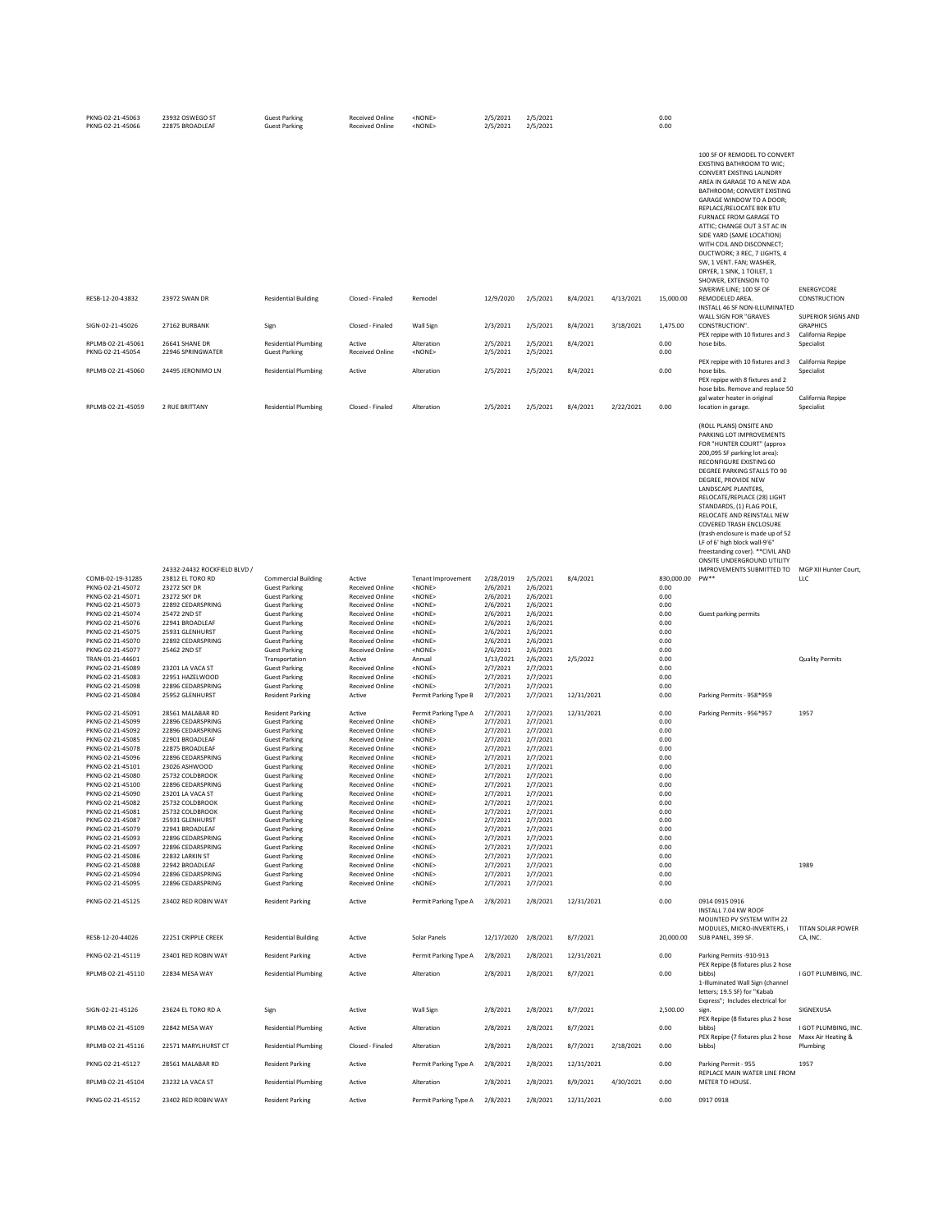| PKNG-02-21-45063<br>PKNG-02-21-45066  | 23932 OSWEGO ST<br>22875 BROADLEAF     | <b>Guest Parking</b><br><b>Guest Parking</b>        | Received Online<br><b>Received Online</b>        | <none><br/><none></none></none>            | 2/5/2021<br>2/5/2021  | 2/5/2021<br>2/5/2021 |            |           | 0.00<br>0.00            |                                                                                                                                                                                                                                                                                                                                                                                                                                                                                                                              |                                           |
|---------------------------------------|----------------------------------------|-----------------------------------------------------|--------------------------------------------------|--------------------------------------------|-----------------------|----------------------|------------|-----------|-------------------------|------------------------------------------------------------------------------------------------------------------------------------------------------------------------------------------------------------------------------------------------------------------------------------------------------------------------------------------------------------------------------------------------------------------------------------------------------------------------------------------------------------------------------|-------------------------------------------|
|                                       |                                        |                                                     |                                                  |                                            |                       |                      |            |           |                         | 100 SF OF REMODEL TO CONVERT<br>EXISTING BATHROOM TO WIC;<br>CONVERT EXISTING LAUNDRY<br>AREA IN GARAGE TO A NEW ADA<br>BATHROOM; CONVERT EXISTING<br>GARAGE WINDOW TO A DOOR;<br>REPLACE/RELOCATE 80K BTU<br>FURNACE FROM GARAGE TO<br>ATTIC; CHANGE OUT 3.5T AC IN<br>SIDE YARD (SAME LOCATION)<br>WITH COIL AND DISCONNECT;<br>DUCTWORK: 3 REC. 7 LIGHTS, 4<br>SW, 1 VENT. FAN; WASHER,<br>DRYER, 1 SINK, 1 TOILET, 1<br>SHOWER, EXTENSION TO<br>SWERWE LINE; 100 SF OF                                                   | <b>ENERGYCORE</b>                         |
| RESB-12-20-43832                      | 23972 SWAN DR                          | <b>Residential Building</b>                         | Closed - Finaled                                 | Remodel                                    | 12/9/2020             | 2/5/2021             | 8/4/2021   | 4/13/2021 | 15,000.00               | REMODELED AREA.<br>INSTALL 46 SF NON-ILLUMINATED<br>WALL SIGN FOR "GRAVES                                                                                                                                                                                                                                                                                                                                                                                                                                                    | CONSTRUCTION<br><b>SUPERIOR SIGNS AND</b> |
| SIGN-02-21-45026                      | 27162 BURBANK                          | Sign                                                | Closed - Finaled                                 | Wall Sign                                  | 2/3/2021              | 2/5/2021             | 8/4/2021   | 3/18/2021 | 1,475.00                | CONSTRUCTION".<br>PEX repipe with 10 fixtures and 3                                                                                                                                                                                                                                                                                                                                                                                                                                                                          | <b>GRAPHICS</b><br>California Repipe      |
| RPLMB-02-21-45061<br>PKNG-02-21-45054 | 26641 SHANE DR<br>22946 SPRINGWATER    | <b>Residential Plumbing</b><br><b>Guest Parking</b> | Active<br><b>Received Online</b>                 | Alteration<br><none></none>                | 2/5/2021<br>2/5/2021  | 2/5/2021<br>2/5/2021 | 8/4/2021   |           | 0.00<br>0.00            | hose bibs.                                                                                                                                                                                                                                                                                                                                                                                                                                                                                                                   | Specialist                                |
| RPLMB-02-21-45060                     | 24495 JERONIMO LN                      | <b>Residential Plumbing</b>                         | Active                                           | Alteration                                 | 2/5/2021              | 2/5/2021             | 8/4/2021   |           | 0.00                    | PEX repipe with 10 fixtures and 3<br>hose bibs.<br>PEX repipe with 8 fixtures and 2<br>hose bibs. Remove and replace 50                                                                                                                                                                                                                                                                                                                                                                                                      | California Repipe<br>Specialist           |
| RPLMB-02-21-45059                     | 2 RUE BRITTANY                         | <b>Residential Plumbing</b>                         | Closed - Finaled                                 | Alteration                                 | 2/5/2021              | 2/5/2021             | 8/4/2021   | 2/22/2021 | 0.00                    | gal water heater in original<br>location in garage.                                                                                                                                                                                                                                                                                                                                                                                                                                                                          | California Repipe<br>Specialist           |
|                                       | 24332-24432 ROCKFIELD BLVD /           |                                                     |                                                  |                                            |                       |                      |            |           |                         | (ROLL PLANS) ONSITE AND<br>PARKING LOT IMPROVEMENTS<br>FOR "HUNTER COURT" (approx<br>200,095 SF parking lot area):<br>RECONFIGURE EXISTING 60<br>DEGREE PARKING STALLS TO 90<br>DEGREE, PROVIDE NEW<br>LANDSCAPE PLANTERS,<br>RELOCATE/REPLACE (28) LIGHT<br>STANDARDS, (1) FLAG POLE,<br>RELOCATE AND REINSTALL NEW<br>COVERED TRASH ENCLOSURE<br>(trash enclosure is made up of 52<br>LF of 6' high block wall-9'6"<br>freestanding cover). ** CIVIL AND<br>ONSITE UNDERGROUND UTILITY<br><b>IMPROVEMENTS SUBMITTED TO</b> | MGP XII Hunter Court,                     |
| COMB-02-19-31285<br>PKNG-02-21-45072  | 23812 EL TORO RD<br>23272 SKY DR       | <b>Commercial Building</b><br><b>Guest Parking</b>  | Active<br><b>Received Online</b>                 | <b>Tenant Improvement</b><br><none></none> | 2/28/2019<br>2/6/2021 | 2/5/2021<br>2/6/2021 | 8/4/2021   |           | 830,000.00 PW**<br>0.00 |                                                                                                                                                                                                                                                                                                                                                                                                                                                                                                                              | <b>LLC</b>                                |
| PKNG-02-21-45071<br>PKNG-02-21-45073  | 23272 SKY DR<br>22892 CEDARSPRING      | <b>Guest Parking</b><br><b>Guest Parking</b>        | Received Online<br>Received Online               | <none><br/><none></none></none>            | 2/6/2021<br>2/6/2021  | 2/6/2021<br>2/6/2021 |            |           | 0.00<br>0.00            |                                                                                                                                                                                                                                                                                                                                                                                                                                                                                                                              |                                           |
| PKNG-02-21-45074                      | 25472 2ND ST                           | <b>Guest Parking</b>                                | Received Online                                  | <none></none>                              | 2/6/2021              | 2/6/2021             |            |           | 0.00                    | Guest parking permits                                                                                                                                                                                                                                                                                                                                                                                                                                                                                                        |                                           |
| PKNG-02-21-45076<br>PKNG-02-21-45075  | 22941 BROADLEAF<br>25931 GLENHURST     | <b>Guest Parking</b><br><b>Guest Parking</b>        | Received Online<br><b>Received Online</b>        | <none><br/><none></none></none>            | 2/6/2021<br>2/6/2021  | 2/6/2021<br>2/6/2021 |            |           | 0.00<br>0.00            |                                                                                                                                                                                                                                                                                                                                                                                                                                                                                                                              |                                           |
| PKNG-02-21-45070<br>PKNG-02-21-45077  | 22892 CEDARSPRING<br>25462 2ND ST      | <b>Guest Parking</b><br><b>Guest Parking</b>        | <b>Received Online</b><br><b>Received Online</b> | <none><br/><none></none></none>            | 2/6/2021<br>2/6/2021  | 2/6/2021<br>2/6/2021 |            |           | 0.00<br>0.00            |                                                                                                                                                                                                                                                                                                                                                                                                                                                                                                                              |                                           |
| TRAN-01-21-44601                      |                                        | Transportation                                      | Active                                           | Annual                                     | 1/13/2021             | 2/6/2021             | 2/5/2022   |           | 0.00                    |                                                                                                                                                                                                                                                                                                                                                                                                                                                                                                                              | <b>Quality Permits</b>                    |
| PKNG-02-21-45089<br>PKNG-02-21-45083  | 23201 LA VACA ST<br>22951 HAZELWOOD    | <b>Guest Parking</b><br><b>Guest Parking</b>        | Received Online<br>Received Online               | <none><br/><none></none></none>            | 2/7/2021<br>2/7/2021  | 2/7/2021<br>2/7/2021 |            |           | 0.00<br>0.00            |                                                                                                                                                                                                                                                                                                                                                                                                                                                                                                                              |                                           |
| PKNG-02-21-45098<br>PKNG-02-21-45084  | 22896 CEDARSPRING<br>25952 GLENHURST   | <b>Guest Parking</b><br><b>Resident Parking</b>     | <b>Received Online</b><br>Active                 | <none><br/>Permit Parking Type B</none>    | 2/7/2021<br>2/7/2021  | 2/7/2021<br>2/7/2021 | 12/31/2021 |           | 0.00<br>0.00            | Parking Permits - 958*959                                                                                                                                                                                                                                                                                                                                                                                                                                                                                                    |                                           |
| PKNG-02-21-45091                      | 28561 MALABAR RD                       | <b>Resident Parking</b>                             | Active                                           | Permit Parking Type A                      | 2/7/2021              | 2/7/2021             | 12/31/2021 |           | 0.00                    | Parking Permits - 956*957                                                                                                                                                                                                                                                                                                                                                                                                                                                                                                    | 1957                                      |
| PKNG-02-21-45099                      | 22896 CEDARSPRING                      | <b>Guest Parking</b>                                | Received Online                                  | <none></none>                              | 2/7/2021              | 2/7/2021             |            |           | 0.00                    |                                                                                                                                                                                                                                                                                                                                                                                                                                                                                                                              |                                           |
| PKNG-02-21-45092<br>PKNG-02-21-45085  | 22896 CEDARSPRING<br>22901 BROADLEAF   | <b>Guest Parking</b><br><b>Guest Parking</b>        | Received Online<br><b>Received Online</b>        | <none><br/><none></none></none>            | 2/7/2021<br>2/7/2021  | 2/7/2021<br>2/7/2021 |            |           | 0.00<br>0.00            |                                                                                                                                                                                                                                                                                                                                                                                                                                                                                                                              |                                           |
| PKNG-02-21-45078                      | 22875 BROADLEAF<br>22896 CEDARSPRING   | <b>Guest Parking</b>                                | <b>Received Online</b>                           | <none></none>                              | 2/7/2021              | 2/7/2021             |            |           | 0.00                    |                                                                                                                                                                                                                                                                                                                                                                                                                                                                                                                              |                                           |
| PKNG-02-21-45096<br>PKNG-02-21-45101  | 23026 ASHWOOD                          | <b>Guest Parking</b><br><b>Guest Parking</b>        | <b>Received Online</b><br><b>Received Online</b> | <none><br/><none></none></none>            | 2/7/2021<br>2/7/2021  | 2/7/2021<br>2/7/2021 |            |           | 0.00<br>0.00            |                                                                                                                                                                                                                                                                                                                                                                                                                                                                                                                              |                                           |
| PKNG-02-21-45080<br>PKNG-02-21-45100  | 25732 COLDBROOK<br>22896 CEDARSPRING   | <b>Guest Parking</b><br><b>Guest Parking</b>        | Received Online<br>Received Online               | <none><br/><none></none></none>            | 2/7/2021<br>2/7/2021  | 2/7/2021<br>2/7/2021 |            |           | 0.00<br>0.00            |                                                                                                                                                                                                                                                                                                                                                                                                                                                                                                                              |                                           |
| PKNG-02-21-45090                      | 23201 LA VACA ST                       | <b>Guest Parking</b>                                | Received Online                                  | <none></none>                              | 2/7/2021              | 2/7/2021             |            |           | 0.00                    |                                                                                                                                                                                                                                                                                                                                                                                                                                                                                                                              |                                           |
| PKNG-02-21-45082<br>PKNG-02-21-45081  | 25732 COLDBROOK<br>25732 COLDBROOK     | <b>Guest Parking</b><br><b>Guest Parking</b>        | <b>Received Online</b><br>Received Online        | <nonf><br/><none></none></nonf>            | 2/7/2021<br>2/7/2021  | 2/7/2021<br>2/7/2021 |            |           | 0.00<br>0.00            |                                                                                                                                                                                                                                                                                                                                                                                                                                                                                                                              |                                           |
| PKNG-02-21-45087                      | 25931 GLENHURST                        | <b>Guest Parking</b>                                | <b>Received Online</b>                           | <none></none>                              | 2/7/2021              | 2/7/2021             |            |           | 0.00                    |                                                                                                                                                                                                                                                                                                                                                                                                                                                                                                                              |                                           |
| PKNG-02-21-45079<br>PKNG-02-21-45093  | 22941 BROADLEAF<br>22896 CEDARSPRING   | <b>Guest Parking</b><br><b>Guest Parking</b>        | Received Online<br><b>Received Online</b>        | <none><br/><none></none></none>            | 2/7/2021<br>2/7/2021  | 2/7/2021<br>2/7/2021 |            |           | 0.00<br>0.00            |                                                                                                                                                                                                                                                                                                                                                                                                                                                                                                                              |                                           |
| PKNG-02-21-45097                      | 22896 CEDARSPRING                      | <b>Guest Parking</b>                                | Received Online<br><b>Received Online</b>        | <none></none>                              | 2/7/2021              | 2/7/2021             |            |           | 0.00                    |                                                                                                                                                                                                                                                                                                                                                                                                                                                                                                                              |                                           |
| PKNG-02-21-45086<br>PKNG-02-21-45088  | 22832 LARKIN ST<br>22942 BROADLEAF     | <b>Guest Parking</b><br><b>Guest Parking</b>        | <b>Received Online</b>                           | <none><br/><none></none></none>            | 2/7/2021<br>2/7/2021  | 2/7/2021<br>2/7/2021 |            |           | 0.00<br>0.00            |                                                                                                                                                                                                                                                                                                                                                                                                                                                                                                                              | 1989                                      |
| PKNG-02-21-45094<br>PKNG-02-21-45095  | 22896 CEDARSPRING<br>22896 CEDARSPRING | <b>Guest Parking</b><br><b>Guest Parking</b>        | <b>Received Online</b><br>Received Online        | <none><br/><none></none></none>            | 2/7/2021<br>2/7/2021  | 2/7/2021<br>2/7/2021 |            |           | 0.00<br>0.00            |                                                                                                                                                                                                                                                                                                                                                                                                                                                                                                                              |                                           |
| PKNG-02-21-45125                      | 23402 RED ROBIN WAY                    | <b>Resident Parking</b>                             | Active                                           | Permit Parking Type A                      | 2/8/2021              | 2/8/2021             | 12/31/2021 |           | 0.00                    | 0914 0915 0916<br>INSTALL 7.04 KW ROOF<br>MOUNTED PV SYSTEM WITH 22                                                                                                                                                                                                                                                                                                                                                                                                                                                          |                                           |
| RESB-12-20-44026                      | 22251 CRIPPLE CREEK                    | <b>Residential Building</b>                         | Active                                           | Solar Panels                               | 12/17/2020            | 2/8/2021             | 8/7/2021   |           | 20,000.00               | MODULES, MICRO-INVERTERS, i<br>SUB PANEL, 399 SF.                                                                                                                                                                                                                                                                                                                                                                                                                                                                            | TITAN SOLAR POWER<br>CA, INC.             |
| PKNG-02-21-45119                      | 23401 RED ROBIN WAY                    | <b>Resident Parking</b>                             | Active                                           | Permit Parking Type A                      | 2/8/2021              | 2/8/2021             | 12/31/2021 |           | 0.00                    | Parking Permits -910-913<br>PEX Repipe (8 fixtures plus 2 hose                                                                                                                                                                                                                                                                                                                                                                                                                                                               |                                           |
| RPLMB-02-21-45110                     | 22834 MESA WAY                         | <b>Residential Plumbing</b>                         | Active                                           | Alteration                                 | 2/8/2021              | 2/8/2021             | 8/7/2021   |           | 0.00                    | bibbs)<br>1-Illuminated Wall Sign (channel<br>letters; 19.5 SF) for "Kabab                                                                                                                                                                                                                                                                                                                                                                                                                                                   | I GOT PLUMBING, INC.                      |
| SIGN-02-21-45126                      |                                        |                                                     |                                                  |                                            |                       |                      |            |           |                         |                                                                                                                                                                                                                                                                                                                                                                                                                                                                                                                              |                                           |
|                                       | 23624 EL TORO RD A                     | Sign                                                | Active                                           | Wall Sign                                  | 2/8/2021              | 2/8/2021             | 8/7/2021   |           | 2,500.00                | Express"; Includes electrical for<br>sign.                                                                                                                                                                                                                                                                                                                                                                                                                                                                                   | SIGNEXUSA                                 |
| RPLMB-02-21-45109                     | 22842 MESA WAY                         | <b>Residential Plumbing</b>                         | Active                                           | Alteration                                 | 2/8/2021              | 2/8/2021             | 8/7/2021   |           | 0.00                    | PEX Repipe (8 fixtures plus 2 hose<br>bibbs)                                                                                                                                                                                                                                                                                                                                                                                                                                                                                 | I GOT PLUMBING, INC.                      |
| RPLMB-02-21-45116                     | 22571 MARYLHURST CT                    | <b>Residential Plumbing</b>                         | Closed - Finaled                                 | Alteration                                 | 2/8/2021              | 2/8/2021             | 8/7/2021   | 2/18/2021 | 0.00                    | PEX Repipe (7 fixtures plus 2 hose<br>bibbs)                                                                                                                                                                                                                                                                                                                                                                                                                                                                                 | Maxx Air Heating &<br>Plumbing            |
| PKNG-02-21-45127                      | 28561 MALABAR RD                       | <b>Resident Parking</b>                             | Active                                           | Permit Parking Type A                      | 2/8/2021              | 2/8/2021             | 12/31/2021 |           | 0.00                    | Parking Permit - 955                                                                                                                                                                                                                                                                                                                                                                                                                                                                                                         | 1957                                      |
| RPLMB-02-21-45104                     | 23232 LA VACA ST                       | <b>Residential Plumbing</b>                         | Active                                           | Alteration                                 | 2/8/2021              | 2/8/2021             | 8/9/2021   | 4/30/2021 | 0.00                    | REPLACE MAIN WATER LINE FROM<br>METER TO HOUSE.                                                                                                                                                                                                                                                                                                                                                                                                                                                                              |                                           |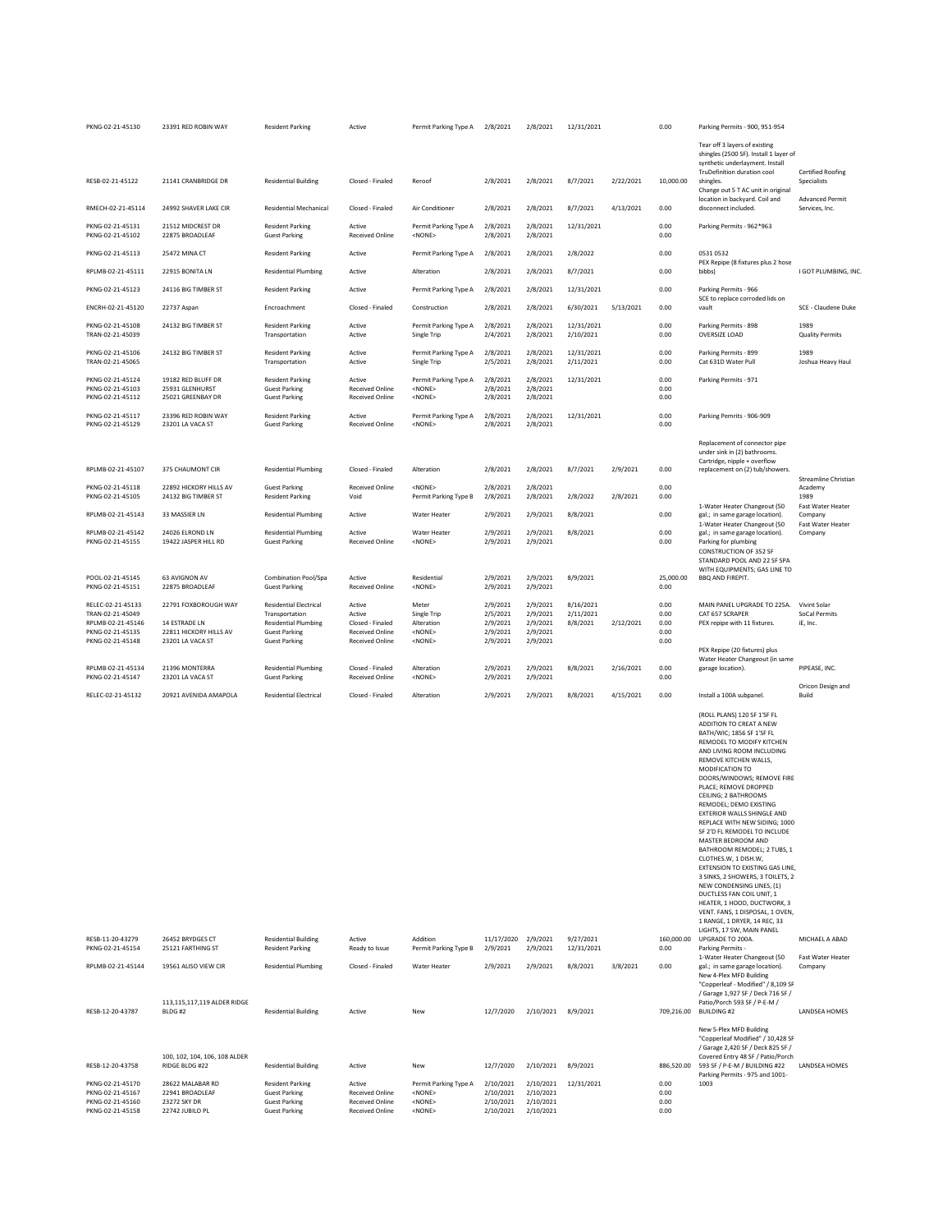| PKNG-02-21-45130                                                             | 23391 RED ROBIN WAY                                                    | <b>Resident Parking</b>                                                                         | Active                                                                               | Permit Parking Type A                                                      | 2/8/2021                                         | 2/8/2021                                         | 12/31/2021              |           | 0.00                         | Parking Permits - 900, 951-954                                                                                                                                                                                                                                                                                                                                                                                                                                                                                                                                                                                                                                                                                                                 |                                       |
|------------------------------------------------------------------------------|------------------------------------------------------------------------|-------------------------------------------------------------------------------------------------|--------------------------------------------------------------------------------------|----------------------------------------------------------------------------|--------------------------------------------------|--------------------------------------------------|-------------------------|-----------|------------------------------|------------------------------------------------------------------------------------------------------------------------------------------------------------------------------------------------------------------------------------------------------------------------------------------------------------------------------------------------------------------------------------------------------------------------------------------------------------------------------------------------------------------------------------------------------------------------------------------------------------------------------------------------------------------------------------------------------------------------------------------------|---------------------------------------|
|                                                                              |                                                                        |                                                                                                 |                                                                                      |                                                                            |                                                  |                                                  |                         |           |                              | Tear off 3 layers of existing<br>shingles (2500 SF). Install 1 layer of<br>synthetic underlayment. Install<br>TruDefinition duration cool                                                                                                                                                                                                                                                                                                                                                                                                                                                                                                                                                                                                      | <b>Certified Roofing</b>              |
| RESB-02-21-45122                                                             | 21141 CRANBRIDGE DR                                                    | <b>Residential Building</b>                                                                     | Closed - Finaled                                                                     | Reroof                                                                     | 2/8/2021                                         | 2/8/2021                                         | 8/7/2021                | 2/22/2021 | 10,000.00                    | shingles.<br>Change out 5 T AC unit in original<br>location in backyard. Coil and                                                                                                                                                                                                                                                                                                                                                                                                                                                                                                                                                                                                                                                              | Specialists<br><b>Advanced Permit</b> |
| RMECH-02-21-45114                                                            | 24992 SHAVER LAKE CIR                                                  | <b>Residential Mechanical</b>                                                                   | Closed - Finaled                                                                     | Air Conditioner                                                            | 2/8/2021                                         | 2/8/2021                                         | 8/7/2021                | 4/13/2021 | 0.00                         | disconnect included.                                                                                                                                                                                                                                                                                                                                                                                                                                                                                                                                                                                                                                                                                                                           | Services, Inc.                        |
| PKNG-02-21-45131<br>PKNG-02-21-45102                                         | 21512 MIDCREST DR<br>22875 BROADLEAF                                   | <b>Resident Parking</b><br><b>Guest Parking</b>                                                 | Active<br>Received Online                                                            | Permit Parking Type A<br>$<$ NONE $>$                                      | 2/8/2021<br>2/8/2021                             | 2/8/2021<br>2/8/2021                             | 12/31/2021              |           | 0.00<br>0.00                 | Parking Permits - 962*963                                                                                                                                                                                                                                                                                                                                                                                                                                                                                                                                                                                                                                                                                                                      |                                       |
| PKNG-02-21-45113                                                             | 25472 MINA CT                                                          | <b>Resident Parking</b>                                                                         | Active                                                                               | Permit Parking Type A                                                      | 2/8/2021                                         | 2/8/2021                                         | 2/8/2022                |           | 0.00                         | 0531 0532<br>PEX Repipe (8 fixtures plus 2 hose                                                                                                                                                                                                                                                                                                                                                                                                                                                                                                                                                                                                                                                                                                |                                       |
| RPLMB-02-21-45111                                                            | 22915 BONITA LN                                                        | <b>Residential Plumbing</b>                                                                     | Active                                                                               | Alteration                                                                 | 2/8/2021                                         | 2/8/2021                                         | 8/7/2021                |           | 0.00                         | bibbs)                                                                                                                                                                                                                                                                                                                                                                                                                                                                                                                                                                                                                                                                                                                                         | I GOT PLUMBING, INC.                  |
| PKNG-02-21-45123                                                             | 24116 BIG TIMBER ST                                                    | <b>Resident Parking</b>                                                                         | Active                                                                               | Permit Parking Type A                                                      | 2/8/2021                                         | 2/8/2021                                         | 12/31/2021              |           | 0.00                         | Parking Permits - 966<br>SCE to replace corroded lids on                                                                                                                                                                                                                                                                                                                                                                                                                                                                                                                                                                                                                                                                                       |                                       |
| ENCRH-02-21-45120                                                            | 22737 Aspan                                                            | Encroachment                                                                                    | Closed - Finaled                                                                     | Construction                                                               | 2/8/2021                                         | 2/8/2021                                         | 6/30/2021               | 5/13/2021 | 0.00                         | vault                                                                                                                                                                                                                                                                                                                                                                                                                                                                                                                                                                                                                                                                                                                                          | SCE - Claudene Duke                   |
| PKNG-02-21-45108<br>TRAN-02-21-45039                                         | 24132 BIG TIMBER ST                                                    | <b>Resident Parking</b><br>Transportation                                                       | Active<br>Active                                                                     | Permit Parking Type A<br>Single Trip                                       | 2/8/2021<br>2/4/2021                             | 2/8/2021<br>2/8/2021                             | 12/31/2021<br>2/10/2021 |           | 0.00<br>0.00                 | Parking Permits - 898<br>OVERSIZE LOAD                                                                                                                                                                                                                                                                                                                                                                                                                                                                                                                                                                                                                                                                                                         | 1989<br><b>Quality Permits</b>        |
| PKNG-02-21-45106<br>TRAN-02-21-45065                                         | 24132 BIG TIMBER ST                                                    | <b>Resident Parking</b><br>Transportation                                                       | Active<br>Active                                                                     | Permit Parking Type A<br>Single Trip                                       | 2/8/2021<br>2/5/2021                             | 2/8/2021<br>2/8/2021                             | 12/31/2021<br>2/11/2021 |           | 0.00<br>0.00                 | Parking Permits - 899<br>Cat 631D Water Pull                                                                                                                                                                                                                                                                                                                                                                                                                                                                                                                                                                                                                                                                                                   | 1989<br>Joshua Heavy Haul             |
| PKNG-02-21-45124<br>PKNG-02-21-45103<br>PKNG-02-21-45112                     | 19182 RED BLUFF DR<br>25931 GLENHURST<br>25021 GREENBAY DR             | <b>Resident Parking</b><br><b>Guest Parking</b><br><b>Guest Parking</b>                         | Active<br>Received Online<br><b>Received Online</b>                                  | Permit Parking Type A<br><none><br/><none></none></none>                   | 2/8/2021<br>2/8/2021<br>2/8/2021                 | 2/8/2021<br>2/8/2021<br>2/8/2021                 | 12/31/2021              |           | 0.00<br>0.00<br>0.00         | Parking Permits - 971                                                                                                                                                                                                                                                                                                                                                                                                                                                                                                                                                                                                                                                                                                                          |                                       |
| PKNG-02-21-45117<br>PKNG-02-21-45129                                         | 23396 RED ROBIN WAY<br>23201 LA VACA ST                                | <b>Resident Parking</b><br><b>Guest Parking</b>                                                 | Active<br>Received Online                                                            | Permit Parking Type A<br><none></none>                                     | 2/8/2021<br>2/8/2021                             | 2/8/2021<br>2/8/2021                             | 12/31/2021              |           | 0.00<br>0.00                 | Parking Pemrits - 906-909                                                                                                                                                                                                                                                                                                                                                                                                                                                                                                                                                                                                                                                                                                                      |                                       |
|                                                                              |                                                                        |                                                                                                 |                                                                                      |                                                                            |                                                  |                                                  |                         |           |                              | Replacement of connector pipe<br>under sink in (2) bathrooms.                                                                                                                                                                                                                                                                                                                                                                                                                                                                                                                                                                                                                                                                                  |                                       |
| RPLMB-02-21-45107                                                            | 375 CHAUMONT CIR                                                       | <b>Residential Plumbing</b>                                                                     | Closed - Finaled                                                                     | Alteration                                                                 | 2/8/2021                                         | 2/8/2021                                         | 8/7/2021                | 2/9/2021  | 0.00                         | Cartridge, nipple + overflow<br>replacement on (2) tub/showers.                                                                                                                                                                                                                                                                                                                                                                                                                                                                                                                                                                                                                                                                                | Streamline Christian                  |
| PKNG-02-21-45118<br>PKNG-02-21-45105                                         | 22892 HICKORY HILLS AV<br>24132 BIG TIMBER ST                          | <b>Guest Parking</b><br><b>Resident Parking</b>                                                 | <b>Received Online</b><br>Void                                                       | <none><br/>Permit Parking Type B</none>                                    | 2/8/2021<br>2/8/2021                             | 2/8/2021<br>2/8/2021                             | 2/8/2022                | 2/8/2021  | 0.00<br>0.00                 |                                                                                                                                                                                                                                                                                                                                                                                                                                                                                                                                                                                                                                                                                                                                                | Academy<br>1989                       |
| RPLMB-02-21-45143                                                            | 33 MASSIER LN                                                          | <b>Residential Plumbing</b>                                                                     | Active                                                                               | Water Heater                                                               | 2/9/2021                                         | 2/9/2021                                         | 8/8/2021                |           | 0.00                         | 1-Water Heater Changeout (50<br>gal.; in same garage location).                                                                                                                                                                                                                                                                                                                                                                                                                                                                                                                                                                                                                                                                                | <b>Fast Water Heater</b><br>Company   |
| RPLMB-02-21-45142<br>PKNG-02-21-45155                                        | 24026 ELROND LN<br>19422 JASPER HILL RD                                | <b>Residential Plumbing</b><br><b>Guest Parking</b>                                             | Active<br><b>Received Online</b>                                                     | <b>Water Heater</b><br><none></none>                                       | 2/9/2021<br>2/9/2021                             | 2/9/2021<br>2/9/2021                             | 8/8/2021                |           | 0.00<br>0.00                 | 1-Water Heater Changeout (50<br>gal.; in same garage location).<br>Parking for plumbing<br>CONSTRUCTION OF 352 SF                                                                                                                                                                                                                                                                                                                                                                                                                                                                                                                                                                                                                              | Fast Water Heater<br>Company          |
| POOL-02-21-45145<br>PKNG-02-21-45151                                         | 63 AVIGNON AV<br>22875 BROADLEAF                                       | Combination Pool/Spa<br><b>Guest Parking</b>                                                    | Active<br>Received Online                                                            | Residential<br>$<$ NONE $>$                                                | 2/9/2021<br>2/9/2021                             | 2/9/2021<br>2/9/2021                             | 8/9/2021                |           | 25,000.00<br>0.00            | STANDARD POOL AND 22 SF SPA<br>WITH EQUIPMENTS; GAS LINE TO<br><b>BBQ AND FIREPIT.</b>                                                                                                                                                                                                                                                                                                                                                                                                                                                                                                                                                                                                                                                         |                                       |
| RELEC-02-21-45133                                                            | 22791 FOXBOROUGH WAY                                                   | <b>Residential Electrical</b>                                                                   | Active                                                                               | Meter                                                                      | 2/9/2021                                         | 2/9/2021                                         | 8/16/2021               |           | 0.00                         | MAIN PANEL UPGRADE TO 225A.                                                                                                                                                                                                                                                                                                                                                                                                                                                                                                                                                                                                                                                                                                                    | Vivint Solar                          |
| TRAN-02-21-45049<br>RPLMB-02-21-45146<br>PKNG-02-21-45135                    | 14 ESTRADE LN<br>22811 HICKORY HILLS AV                                | Transportation<br><b>Residential Plumbing</b><br><b>Guest Parking</b>                           | Active<br>Closed - Finaled<br><b>Received Online</b>                                 | Single Trip<br>Alteration<br><none></none>                                 | 2/5/2021<br>2/9/2021<br>2/9/2021                 | 2/9/2021<br>2/9/2021<br>2/9/2021                 | 2/11/2021<br>8/8/2021   | 2/12/2021 | 0.00<br>0.00<br>0.00         | CAT 657 SCRAPER<br>PEX repipe with 11 fixtures.                                                                                                                                                                                                                                                                                                                                                                                                                                                                                                                                                                                                                                                                                                | SoCal Permits<br>iE, Inc.             |
| PKNG-02-21-45148                                                             | 23201 LA VACA ST                                                       | <b>Guest Parking</b>                                                                            | Received Online                                                                      | $<$ NONE $>$                                                               | 2/9/2021                                         | 2/9/2021                                         |                         |           | 0.00                         | PEX Repipe (20 fixtures) plus<br>Water Heater Changeout (in same                                                                                                                                                                                                                                                                                                                                                                                                                                                                                                                                                                                                                                                                               |                                       |
| RPLMB-02-21-45134<br>PKNG-02-21-45147                                        | 21396 MONTERRA<br>23201 LA VACA ST                                     | <b>Residential Plumbing</b><br><b>Guest Parking</b>                                             | Closed - Finaled<br><b>Received Online</b>                                           | Alteration<br><none></none>                                                | 2/9/2021<br>2/9/2021                             | 2/9/2021<br>2/9/2021                             | 8/8/2021                | 2/16/2021 | 0.00<br>0.00                 | garage location).                                                                                                                                                                                                                                                                                                                                                                                                                                                                                                                                                                                                                                                                                                                              | PIPEASE, INC.                         |
| RELEC-02-21-45132                                                            | 20921 AVENIDA AMAPOLA                                                  | <b>Residential Electrical</b>                                                                   | Closed - Finaled                                                                     | Alteration                                                                 | 2/9/2021                                         | 2/9/2021                                         | 8/8/2021                | 4/15/2021 | 0.00                         | Install a 100A subpanel.                                                                                                                                                                                                                                                                                                                                                                                                                                                                                                                                                                                                                                                                                                                       | Oricon Design and<br>Build            |
|                                                                              |                                                                        |                                                                                                 |                                                                                      |                                                                            |                                                  |                                                  |                         |           |                              | (ROLL PLANS) 120 SF 1'SF FL<br>ADDITION TO CREAT A NEW<br>BATH/WIC: 1856 SF 1'SF FL<br>REMODEL TO MODIFY KITCHEN<br>AND LIVING ROOM INCLUDING<br>REMOVE KITCHEN WALLS,<br>MODIFICATION TO<br>DOORS/WINDOWS; REMOVE FIRE<br>PLACE; REMOVE DROPPED<br>CEILING; 2 BATHROOMS<br>REMODEL; DEMO EXISTING<br>EXTERIOR WALLS SHINGLE AND<br>REPLACE WITH NEW SIDING; 1000<br>SF 2'D FL REMODEL TO INCLUDE<br>MASTER BEDROOM AND<br>BATHROOM REMODEL; 2 TUBS, 1<br>CLOTHES.W. 1 DISH.W.<br>EXTENSION TO EXISTING GAS LINE,<br>3 SINKS, 2 SHOWERS, 3 TOILETS, 2<br>NEW CONDENSING LINES, (1)<br>DUCTLESS FAN COIL UNIT, 1<br>HEATER, 1 HOOD, DUCTWORK, 3<br>VENT. FANS, 1 DISPOSAL, 1 OVEN,<br>1 RANGE, 1 DRYER, 14 REC, 33<br>LIGHTS, 17 SW, MAIN PANEL |                                       |
| RESB-11-20-43279<br>PKNG-02-21-45154                                         | 26452 BRYDGES CT<br>25121 FARTHING ST                                  | <b>Residential Building</b><br><b>Resident Parking</b>                                          | Active<br>Ready to Issue                                                             | Addition<br>Permit Parking Type B                                          | 11/17/2020<br>2/9/2021                           | 2/9/2021<br>2/9/2021                             | 9/27/2021<br>12/31/2021 |           | 160,000.00<br>0.00           | UPGRADE TO 200A.<br>Parking Permits -                                                                                                                                                                                                                                                                                                                                                                                                                                                                                                                                                                                                                                                                                                          | MICHAEL A ABAD                        |
| RPI MB-02-21-45144                                                           | 19561 ALISO VIEW CIR                                                   | <b>Residential Plumbing</b>                                                                     | Closed - Finaled                                                                     | Water Heater                                                               | 2/9/2021                                         | 2/9/2021                                         | 8/8/2021                | 3/8/2021  | 0.00                         | 1-Water Heater Changeout (50<br>gal.; in same garage location).<br>New 4-Plex MFD Building<br>"Copperleaf - Modified" / 8,109 SF                                                                                                                                                                                                                                                                                                                                                                                                                                                                                                                                                                                                               | Fast Water Heater<br>Company          |
| RESB-12-20-43787                                                             | 113,115,117,119 ALDER RIDGE<br>BLDG#2                                  | <b>Residential Building</b>                                                                     | Active                                                                               | New                                                                        | 12/7/2020                                        | 2/10/2021                                        | 8/9/2021                |           | 709,216.00                   | / Garage 1,927 SF / Deck 716 SF /<br>Patio/Porch 593 SF / P-E-M /<br><b>BUILDING#2</b>                                                                                                                                                                                                                                                                                                                                                                                                                                                                                                                                                                                                                                                         | LANDSEA HOMES                         |
|                                                                              | 100, 102, 104, 106, 108 ALDER                                          |                                                                                                 |                                                                                      |                                                                            |                                                  |                                                  |                         |           |                              | New 5-Plex MFD Building<br>"Copperleaf Modified" / 10,428 SF<br>/ Garage 2,420 SF / Deck 825 SF /<br>Covered Entry 48 SF / Patio/Porch                                                                                                                                                                                                                                                                                                                                                                                                                                                                                                                                                                                                         |                                       |
| RESB-12-20-43758                                                             | RIDGE BLDG #22                                                         | <b>Residential Building</b>                                                                     | Active                                                                               | New                                                                        | 12/7/2020                                        | 2/10/2021                                        | 8/9/2021                |           | 886,520.00                   | 593 SF / P-E-M / BUILDING #22<br>Parking Permits - 975 and 1001-                                                                                                                                                                                                                                                                                                                                                                                                                                                                                                                                                                                                                                                                               | LANDSEA HOMES                         |
| PKNG-02-21-45170<br>PKNG-02-21-45167<br>PKNG-02-21-45160<br>PKNG-02-21-45158 | 28622 MALABAR RD<br>22941 BROADLEAF<br>23272 SKY DR<br>22742 JUBILO PL | <b>Resident Parking</b><br><b>Guest Parking</b><br><b>Guest Parking</b><br><b>Guest Parking</b> | Active<br><b>Received Online</b><br><b>Received Online</b><br><b>Received Online</b> | Permit Parking Type A<br><none><br/><nonf><br/><none></none></nonf></none> | 2/10/2021<br>2/10/2021<br>2/10/2021<br>2/10/2021 | 2/10/2021<br>2/10/2021<br>2/10/2021<br>2/10/2021 | 12/31/2021              |           | 0.00<br>0.00<br>0.00<br>0.00 | 1003                                                                                                                                                                                                                                                                                                                                                                                                                                                                                                                                                                                                                                                                                                                                           |                                       |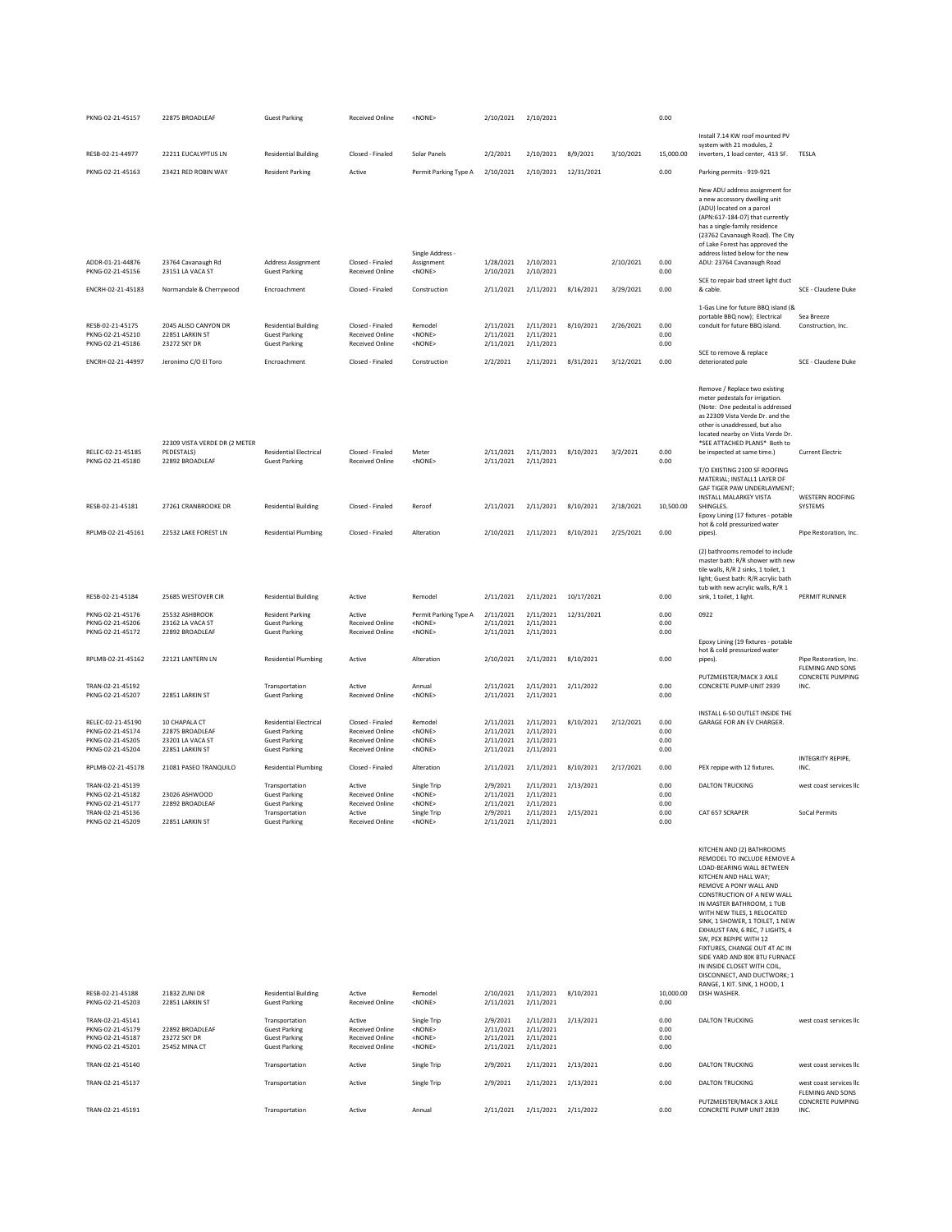| PKNG-02-21-45157                                                              | 22875 BROADLEAF                                                         | <b>Guest Parking</b>                                                                                  | Received Online                                                           | <none></none>                                                | 2/10/2021                                        | 2/10/2021                                        |            |           | 0.00                         |                                                                                                                                                                                                                                                                                                                                                                                                                                                                                                                     |                                             |
|-------------------------------------------------------------------------------|-------------------------------------------------------------------------|-------------------------------------------------------------------------------------------------------|---------------------------------------------------------------------------|--------------------------------------------------------------|--------------------------------------------------|--------------------------------------------------|------------|-----------|------------------------------|---------------------------------------------------------------------------------------------------------------------------------------------------------------------------------------------------------------------------------------------------------------------------------------------------------------------------------------------------------------------------------------------------------------------------------------------------------------------------------------------------------------------|---------------------------------------------|
| RESB-02-21-44977                                                              | 22211 EUCALYPTUS LN                                                     | <b>Residential Building</b>                                                                           | Closed - Finaled                                                          | Solar Panels                                                 | 2/2/2021                                         | 2/10/2021                                        | 8/9/2021   | 3/10/2021 | 15,000.00                    | Install 7.14 KW roof mounted PV<br>system with 21 modules, 2<br>inverters, 1 load center, 413 SF.                                                                                                                                                                                                                                                                                                                                                                                                                   | TESLA                                       |
| PKNG-02-21-45163                                                              | 23421 RED ROBIN WAY                                                     | <b>Resident Parking</b>                                                                               | Active                                                                    | Permit Parking Type A                                        | 2/10/2021                                        | 2/10/2021                                        | 12/31/2021 |           | 0.00                         | Parking permits - 919-921                                                                                                                                                                                                                                                                                                                                                                                                                                                                                           |                                             |
|                                                                               |                                                                         |                                                                                                       |                                                                           | Single Address -                                             |                                                  |                                                  |            |           |                              | New ADU address assignment for<br>a new accessory dwelling unit<br>(ADU) located on a parcel<br>(APN:617-184-07) that currently<br>has a single-family residence<br>(23762 Cavanaugh Road). The City<br>of Lake Forest has approved the<br>address listed below for the new                                                                                                                                                                                                                                         |                                             |
| ADDR-01-21-44876<br>PKNG-02-21-45156                                          | 23764 Cavanaugh Rd<br>23151 LA VACA ST                                  | Address Assignment<br><b>Guest Parking</b>                                                            | Closed - Finaled<br><b>Received Online</b>                                | Assignment<br><none></none>                                  | 1/28/2021<br>2/10/2021                           | 2/10/2021<br>2/10/2021                           |            | 2/10/2021 | 0.00<br>0.00                 | ADU: 23764 Cavanaugh Road                                                                                                                                                                                                                                                                                                                                                                                                                                                                                           |                                             |
| ENCRH-02-21-45183                                                             | Normandale & Cherrywood                                                 | Encroachment                                                                                          | Closed - Finaled                                                          | Construction                                                 | 2/11/2021                                        | 2/11/2021                                        | 8/16/2021  | 3/29/2021 | 0.00                         | SCE to repair bad street light duct<br>& cable.                                                                                                                                                                                                                                                                                                                                                                                                                                                                     | SCE - Claudene Duke                         |
|                                                                               |                                                                         |                                                                                                       |                                                                           |                                                              |                                                  |                                                  |            |           |                              | 1-Gas Line for future BBQ island (&                                                                                                                                                                                                                                                                                                                                                                                                                                                                                 |                                             |
| RESB-02-21-45175<br>PKNG-02-21-45210<br>PKNG-02-21-45186                      | 2045 ALISO CANYON DR<br>22851 LARKIN ST<br>23272 SKY DR                 | <b>Residential Building</b><br><b>Guest Parking</b><br><b>Guest Parking</b>                           | Closed - Finaled<br>Received Online<br>Received Online                    | Remodel<br><none><br/><none></none></none>                   | 2/11/2021<br>2/11/2021<br>2/11/2021              | 2/11/2021<br>2/11/2021<br>2/11/2021              | 8/10/2021  | 2/26/2021 | 0.00<br>0.00<br>0.00         | portable BBQ now); Electrical<br>conduit for future BBQ island.                                                                                                                                                                                                                                                                                                                                                                                                                                                     | Sea Breeze<br>Construction, Inc.            |
| ENCRH-02-21-44997                                                             | Jeronimo C/O El Toro                                                    | Encroachment                                                                                          | Closed - Finaled                                                          | Construction                                                 | 2/2/2021                                         | 2/11/2021                                        | 8/31/2021  | 3/12/2021 | 0.00                         | SCE to remove & replace<br>deteriorated pole                                                                                                                                                                                                                                                                                                                                                                                                                                                                        | SCE - Claudene Duke                         |
|                                                                               | 22309 VISTA VERDE DR (2 METER                                           |                                                                                                       |                                                                           |                                                              |                                                  |                                                  |            |           |                              | Remove / Replace two existing<br>meter pedestals for irrigation.<br>(Note: One pedestal is addressed<br>as 22309 Vista Verde Dr. and the<br>other is unaddressed, but also<br>located nearby on Vista Verde Dr.<br>*SEE ATTACHED PLANS* Both to                                                                                                                                                                                                                                                                     |                                             |
| RELEC-02-21-45185<br>PKNG-02-21-45180                                         | PEDESTALS)<br>22892 BROADLEAF                                           | <b>Residential Electrical</b><br><b>Guest Parking</b>                                                 | Closed - Finaled<br>Received Online                                       | Meter<br><none></none>                                       | 2/11/2021<br>2/11/2021                           | 2/11/2021<br>2/11/2021                           | 8/10/2021  | 3/2/2021  | 0.00<br>0.00                 | be inspected at same time.)<br>T/O EXISTING 2100 SF ROOFING<br>MATERIAL; INSTALL1 LAYER OF<br>GAF TIGER PAW UNDERLAYMENT;                                                                                                                                                                                                                                                                                                                                                                                           | <b>Current Electric</b>                     |
| RESB-02-21-45181                                                              | 27261 CRANBROOKE DR                                                     | <b>Residential Building</b>                                                                           | Closed - Finaled                                                          | Reroof                                                       | 2/11/2021                                        | 2/11/2021                                        | 8/10/2021  | 2/18/2021 | 10,500.00                    | <b>INSTALL MALARKEY VISTA</b><br>SHINGLES.<br>Epoxy Lining (17 fixtures - potable<br>hot & cold pressurized water                                                                                                                                                                                                                                                                                                                                                                                                   | <b>WESTERN ROOFING</b><br>SYSTEMS           |
| RPLMB-02-21-45161                                                             | 22532 LAKE FOREST LN                                                    | <b>Residential Plumbing</b>                                                                           | Closed - Finaled                                                          | Alteration                                                   | 2/10/2021                                        | 2/11/2021                                        | 8/10/2021  | 2/25/2021 | 0.00                         | pipes).                                                                                                                                                                                                                                                                                                                                                                                                                                                                                                             | Pipe Restoration, Inc.                      |
| RESB-02-21-45184                                                              | 25685 WESTOVER CIR                                                      | <b>Residential Building</b>                                                                           | Active                                                                    | Remodel                                                      | 2/11/2021                                        | 2/11/2021                                        | 10/17/2021 |           | 0.00                         | (2) bathrooms remodel to include<br>master bath: R/R shower with new<br>tile walls, R/R 2 sinks, 1 toilet, 1<br>light; Guest bath: R/R acrylic bath<br>tub with new acrylic walls, R/R 1<br>sink, 1 toilet, 1 light.                                                                                                                                                                                                                                                                                                | PERMIT RUNNER                               |
| PKNG-02-21-45176                                                              | 25532 ASHBROOK                                                          | <b>Resident Parking</b>                                                                               | Active                                                                    | Permit Parking Type A                                        | 2/11/2021                                        | 2/11/2021                                        | 12/31/2021 |           | 0.00                         | 0922                                                                                                                                                                                                                                                                                                                                                                                                                                                                                                                |                                             |
| PKNG-02-21-45206<br>PKNG-02-21-45172                                          | 23162 LA VACA ST<br>22892 BROADLEAF                                     | <b>Guest Parking</b><br><b>Guest Parking</b>                                                          | Received Online<br><b>Received Online</b>                                 | <none><br/><none></none></none>                              | 2/11/2021<br>2/11/2021                           | 2/11/2021<br>2/11/2021                           |            |           | 0.00<br>0.00                 | Epoxy Lining (19 fixtures - potable                                                                                                                                                                                                                                                                                                                                                                                                                                                                                 |                                             |
| RPLMB-02-21-45162                                                             | 22121 LANTERN LN                                                        | <b>Residential Plumbing</b>                                                                           | Active                                                                    | Alteration                                                   | 2/10/2021                                        | 2/11/2021                                        | 8/10/2021  |           | 0.00                         | hot & cold pressurized water<br>pipes).                                                                                                                                                                                                                                                                                                                                                                                                                                                                             | Pipe Restoration, Inc.<br>FLEMING AND SONS  |
| TRAN-02-21-45192<br>PKNG-02-21-45207                                          | 22851 LARKIN ST                                                         | Transportation<br><b>Guest Parking</b>                                                                | Active<br><b>Received Online</b>                                          | Annual<br><none></none>                                      | 2/11/2021<br>2/11/2021                           | 2/11/2021<br>2/11/2021                           | 2/11/2022  |           | 0.00<br>0.00                 | PUTZMEISTER/MACK 3 AXLE<br>CONCRETE PUMP-UNIT 2939                                                                                                                                                                                                                                                                                                                                                                                                                                                                  | <b>CONCRETE PUMPING</b><br>INC.             |
| RELEC-02-21-45190<br>PKNG-02-21-45174<br>PKNG-02-21-45205<br>PKNG-02-21-45204 | 10 CHAPALA CT<br>22875 BROADLEAF<br>23201 LA VACA ST<br>22851 LARKIN ST | <b>Residential Electrical</b><br><b>Guest Parking</b><br><b>Guest Parking</b><br><b>Guest Parking</b> | Closed - Finaled<br>Received Online<br>Received Online<br>Received Online | Remodel<br><none><br/><none><br/><none></none></none></none> | 2/11/2021<br>2/11/2021<br>2/11/2021<br>2/11/2021 | 2/11/2021<br>2/11/2021<br>2/11/2021<br>2/11/2021 | 8/10/2021  | 2/12/2021 | 0.00<br>0.00<br>0.00<br>0.00 | INSTALL 6-50 OUTLET INSIDE THE<br>GARAGE FOR AN EV CHARGER.                                                                                                                                                                                                                                                                                                                                                                                                                                                         | INTEGRITY REPIPE,                           |
| RPLMB-02-21-45178                                                             | 21081 PASEO TRANQUILO                                                   | <b>Residential Plumbing</b>                                                                           | Closed - Finaled                                                          | Alteration                                                   | 2/11/2021                                        | 2/11/2021                                        | 8/10/2021  | 2/17/2021 | 0.00                         | PEX repipe with 12 fixtures.                                                                                                                                                                                                                                                                                                                                                                                                                                                                                        | INC.                                        |
| TRAN-02-21-45139<br>PKNG-02-21-45182<br>PKNG-02-21-45177                      | 23026 ASHWOOD<br>22892 BROADLEAF                                        | Transportation<br><b>Guest Parking</b><br><b>Guest Parking</b>                                        | Active<br>Received Online<br>Received Online                              | Single Trip<br><none><br/><none></none></none>               | 2/9/2021<br>2/11/2021<br>2/11/2021               | 2/11/2021<br>2/11/2021<br>2/11/2021              | 2/13/2021  |           | 0.00<br>0.00<br>0.00         | <b>DALTON TRUCKING</b>                                                                                                                                                                                                                                                                                                                                                                                                                                                                                              | west coast services llc                     |
| TRAN-02-21-45136<br>PKNG-02-21-45209                                          | 22851 LARKIN ST                                                         | Transportation<br><b>Guest Parking</b>                                                                | Active<br><b>Received Online</b>                                          | Single Trip<br><none></none>                                 | 2/9/2021<br>2/11/2021                            | 2/11/2021<br>2/11/2021                           | 2/15/2021  |           | 0.00<br>0.00                 | CAT 657 SCRAPER                                                                                                                                                                                                                                                                                                                                                                                                                                                                                                     | SoCal Permits                               |
| RESB-02-21-45188<br>PKNG-02-21-45203                                          | 21832 ZUNI DR<br>22851 LARKIN ST                                        | <b>Residential Building</b><br><b>Guest Parking</b>                                                   | Active<br><b>Received Online</b>                                          | Remodel<br><none></none>                                     | 2/10/2021<br>2/11/2021                           | 2/11/2021<br>2/11/2021                           | 8/10/2021  |           | 10,000.00<br>0.00            | KITCHEN AND (2) BATHROOMS<br>REMODEL TO INCLUDE REMOVE A<br>LOAD-BEARING WALL BETWEEN<br>KITCHEN AND HALL WAY;<br>REMOVE A PONY WALL AND<br>CONSTRUCTION OF A NEW WALL<br>IN MASTER BATHROOM, 1 TUB<br>WITH NEW TILES, 1 RELOCATED<br>SINK, 1 SHOWER, 1 TOILET, 1 NEW<br>EXHAUST FAN, 6 REC, 7 LIGHTS, 4<br>SW, PEX REPIPE WITH 12<br>FIXTURES, CHANGE OUT 4T AC IN<br>SIDE YARD AND 80K BTU FURNACE<br>IN INSIDE CLOSET WITH COIL,<br>DISCONNECT, AND DUCTWORK; 1<br>RANGE, 1 KIT. SINK, 1 HOOD, 1<br>DISH WASHER. |                                             |
| TRAN-02-21-45141<br>PKNG-02-21-45179<br>PKNG-02-21-45187                      | 22892 BROADLEAF<br>23272 SKY DR                                         | Transportation<br><b>Guest Parking</b><br><b>Guest Parking</b>                                        | Active<br>Received Online<br><b>Received Online</b>                       | Single Trip<br><none><br/><none></none></none>               | 2/9/2021<br>2/11/2021<br>2/11/2021               | 2/11/2021<br>2/11/2021<br>2/11/2021              | 2/13/2021  |           | 0.00<br>0.00<br>0.00         | <b>DALTON TRUCKING</b>                                                                                                                                                                                                                                                                                                                                                                                                                                                                                              | west coast services llc                     |
| PKNG-02-21-45201                                                              | 25452 MINA CT                                                           | <b>Guest Parking</b>                                                                                  | <b>Received Online</b>                                                    | <none></none>                                                | 2/11/2021                                        | 2/11/2021                                        |            |           | 0.00                         |                                                                                                                                                                                                                                                                                                                                                                                                                                                                                                                     |                                             |
| TRAN-02-21-45140                                                              |                                                                         | Transportation                                                                                        | Active                                                                    | Single Trip                                                  | 2/9/2021                                         | 2/11/2021                                        | 2/13/2021  |           | 0.00                         | <b>DALTON TRUCKING</b>                                                                                                                                                                                                                                                                                                                                                                                                                                                                                              | west coast services llc                     |
| TRAN-02-21-45137                                                              |                                                                         | Transportation                                                                                        | Active                                                                    | Single Trip                                                  | 2/9/2021                                         | 2/11/2021                                        | 2/13/2021  |           | 0.00                         | <b>DALTON TRUCKING</b>                                                                                                                                                                                                                                                                                                                                                                                                                                                                                              | west coast services llc<br>FLEMING AND SONS |
| TRAN-02-21-45191                                                              |                                                                         | Transportation                                                                                        | Active                                                                    | Annual                                                       | 2/11/2021                                        | 2/11/2021 2/11/2022                              |            |           | 0.00                         | PUTZMEISTER/MACK 3 AXLE<br>CONCRETE PUMP UNIT 2839                                                                                                                                                                                                                                                                                                                                                                                                                                                                  | <b>CONCRETE PUMPING</b><br>INC.             |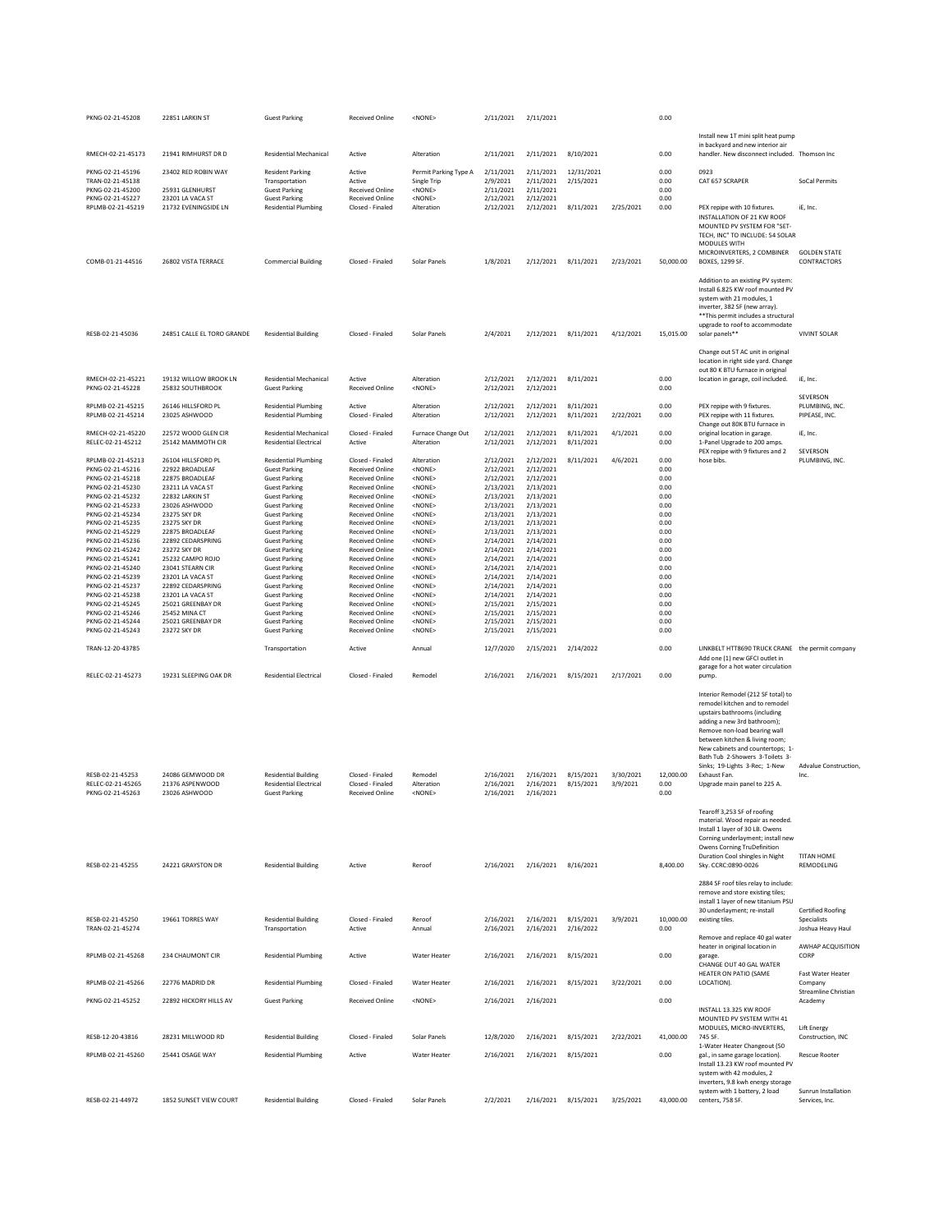| PKNG-02-21-45208                      | 22851 LARKIN ST                           | <b>Guest Parking</b>                                  | <b>Received Online</b>                           | <none></none>                   | 2/11/2021              | 2/11/2021              |                        |                       | 0.00              |                                                                          |                                         |
|---------------------------------------|-------------------------------------------|-------------------------------------------------------|--------------------------------------------------|---------------------------------|------------------------|------------------------|------------------------|-----------------------|-------------------|--------------------------------------------------------------------------|-----------------------------------------|
|                                       |                                           |                                                       |                                                  |                                 |                        |                        |                        |                       |                   | Install new 1T mini split heat pump                                      |                                         |
|                                       |                                           |                                                       |                                                  |                                 |                        |                        |                        |                       |                   | in backyard and new interior air                                         |                                         |
| RMECH-02-21-45173                     | 21941 RIMHURST DR D                       | <b>Residential Mechanical</b>                         | Active                                           | Alteration                      | 2/11/2021              | 2/11/2021              | 8/10/2021              |                       | 0.00              | handler. New disconnect included. Thomson Inc                            |                                         |
| PKNG-02-21-45196                      | 23402 RED ROBIN WAY                       | <b>Resident Parking</b>                               | Active                                           | Permit Parking Type A           | 2/11/2021              | 2/11/2021              | 12/31/2021             |                       | 0.00              | 0923                                                                     |                                         |
| TRAN-02-21-45138<br>PKNG-02-21-45200  | 25931 GLENHURST                           | Transportation<br><b>Guest Parking</b>                | Active<br><b>Received Online</b>                 | Single Trip<br><none></none>    | 2/9/2021<br>2/11/2021  | 2/11/2021<br>2/11/2021 | 2/15/2021              |                       | 0.00<br>0.00      | CAT 657 SCRAPER                                                          | SoCal Permits                           |
| PKNG-02-21-45227                      | 23201 LA VACA ST                          | <b>Guest Parking</b>                                  | <b>Received Online</b>                           | $<$ NONE $>$                    | 2/12/2021              | 2/12/2021              |                        |                       | 0.00              |                                                                          |                                         |
| RPLMB-02-21-45219                     | 21732 EVENINGSIDE LN                      | <b>Residential Plumbing</b>                           | Closed - Finaled                                 | Alteration                      | 2/12/2021              | 2/12/2021              | 8/11/2021              | 2/25/2021             | 0.00              | PEX repipe with 10 fixtures.                                             | iE. Inc.                                |
|                                       |                                           |                                                       |                                                  |                                 |                        |                        |                        |                       |                   | INSTALLATION OF 21 KW ROOF<br>MOUNTED PV SYSTEM FOR "SET-                |                                         |
|                                       |                                           |                                                       |                                                  |                                 |                        |                        |                        |                       |                   | TECH, INC" TO INCLUDE: 54 SOLAR                                          |                                         |
|                                       |                                           |                                                       |                                                  |                                 |                        |                        |                        |                       |                   | MODULES WITH                                                             |                                         |
| COMB-01-21-44516                      | 26802 VISTA TERRACE                       | <b>Commercial Building</b>                            | Closed - Finaled                                 | Solar Panels                    | 1/8/2021               | 2/12/2021              | 8/11/2021              | 2/23/2021             | 50,000.00         | MICROINVERTERS, 2 COMBINER<br><b>BOXES, 1299 SF.</b>                     | <b>GOLDEN STATE</b><br>CONTRACTORS      |
|                                       |                                           |                                                       |                                                  |                                 |                        |                        |                        |                       |                   |                                                                          |                                         |
|                                       |                                           |                                                       |                                                  |                                 |                        |                        |                        |                       |                   | Addition to an existing PV system:<br>Install 6.825 KW roof mounted PV   |                                         |
|                                       |                                           |                                                       |                                                  |                                 |                        |                        |                        |                       |                   | system with 21 modules, 1                                                |                                         |
|                                       |                                           |                                                       |                                                  |                                 |                        |                        |                        |                       |                   | inverter, 382 SF (new array).                                            |                                         |
|                                       |                                           |                                                       |                                                  |                                 |                        |                        |                        |                       |                   | ** This permit includes a structural<br>upgrade to roof to accommodate   |                                         |
| RESB-02-21-45036                      | 24851 CALLE EL TORO GRANDE                | <b>Residential Building</b>                           | Closed - Finaled                                 | Solar Panels                    | 2/4/2021               | 2/12/2021              | 8/11/2021              | 4/12/2021             | 15,015.00         | solar panels**                                                           | <b>VIVINT SOLAR</b>                     |
|                                       |                                           |                                                       |                                                  |                                 |                        |                        |                        |                       |                   |                                                                          |                                         |
|                                       |                                           |                                                       |                                                  |                                 |                        |                        |                        |                       |                   | Change out 5T AC unit in original<br>location in right side yard. Change |                                         |
|                                       |                                           |                                                       |                                                  |                                 |                        |                        |                        |                       |                   | out 80 K BTU furnace in original                                         |                                         |
| RMECH-02-21-45221<br>PKNG-02-21-45228 | 19132 WILLOW BROOK LN<br>25832 SOUTHBROOK | <b>Residential Mechanical</b><br><b>Guest Parking</b> | Active<br><b>Received Online</b>                 | Alteration<br>$<$ NONE $>$      | 2/12/2021              | 2/12/2021              | 8/11/2021              |                       | 0.00<br>0.00      | location in garage, coil included.                                       | iE, Inc.                                |
|                                       |                                           |                                                       |                                                  |                                 | 2/12/2021              | 2/12/2021              |                        |                       |                   |                                                                          | SEVERSON                                |
| RPLMB-02-21-45215                     | 26146 HILLSFORD PL                        | <b>Residential Plumbing</b>                           | Active                                           | Alteration                      | 2/12/2021              | 2/12/2021              | 8/11/2021              |                       | 0.00              | PEX repipe with 9 fixtures.                                              | PLUMBING, INC.                          |
| RPLMB-02-21-45214                     | 23025 ASHWOOD                             | <b>Residential Plumbing</b>                           | Closed - Finaled                                 | Alteration                      | 2/12/2021              | 2/12/2021              | 8/11/2021              | 2/22/2021             | 0.00              | PEX repipe with 11 fixtures.<br>Change out 80K BTU furnace in            | PIPEASE, INC.                           |
| RMECH-02-21-45220                     | 22572 WOOD GLEN CIR                       | <b>Residential Mechanical</b>                         | Closed - Finaled                                 | Furnace Change Out              | 2/12/2021              | 2/12/2021              | 8/11/2021              | 4/1/2021              | 0.00              | original location in garage.                                             | iE, Inc.                                |
| RELEC-02-21-45212                     | 25142 MAMMOTH CIR                         | <b>Residential Electrical</b>                         | Active                                           | Alteration                      | 2/12/2021              | 2/12/2021              | 8/11/2021              |                       | 0.00              | 1-Panel Upgrade to 200 amps.                                             | SEVERSON                                |
| RPLMB-02-21-45213                     | 26104 HILLSEORD PL                        | <b>Residential Plumbing</b>                           | Closed - Finaled                                 | Alteration                      | 2/12/2021              | 2/12/2021              | 8/11/2021              | 4/6/2021              | 0.00              | PEX repipe with 9 fixtures and 2<br>hose bibs.                           | PLUMBING, INC.                          |
| PKNG-02-21-45216                      | 22922 BROADLEAF                           | <b>Guest Parking</b>                                  | <b>Received Online</b>                           | $<$ NONE $>$                    | 2/12/2021              | 2/12/2021              |                        |                       | 0.00              |                                                                          |                                         |
| PKNG-02-21-45218<br>PKNG-02-21-45230  | 22875 BROADLEAF<br>23211 LA VACA ST       | <b>Guest Parking</b><br><b>Guest Parking</b>          | Received Online<br>Received Online               | <none><br/><none></none></none> | 2/12/2021<br>2/13/2021 | 2/12/2021<br>2/13/2021 |                        |                       | 0.00<br>0.00      |                                                                          |                                         |
| PKNG-02-21-45232                      | 22832 LARKIN ST                           | <b>Guest Parking</b>                                  | <b>Received Online</b>                           | <none></none>                   | 2/13/2021              | 2/13/2021              |                        |                       | 0.00              |                                                                          |                                         |
| PKNG-02-21-45233                      | 23026 ASHWOOD                             | <b>Guest Parking</b>                                  | <b>Received Online</b>                           | <none></none>                   | 2/13/2021              | 2/13/2021              |                        |                       | 0.00              |                                                                          |                                         |
| PKNG-02-21-45234<br>PKNG-02-21-45235  | 23275 SKY DR<br>23275 SKY DR              | <b>Guest Parking</b><br><b>Guest Parking</b>          | <b>Received Online</b><br><b>Received Online</b> | <none><br/><none></none></none> | 2/13/2021<br>2/13/2021 | 2/13/2021<br>2/13/2021 |                        |                       | 0.00<br>0.00      |                                                                          |                                         |
| PKNG-02-21-45229                      | 22875 BROADLEAF                           | <b>Guest Parking</b>                                  | Received Online                                  | <none></none>                   | 2/13/2021              | 2/13/2021              |                        |                       | 0.00              |                                                                          |                                         |
| PKNG-02-21-45236<br>PKNG-02-21-45242  | 22892 CEDARSPRING<br>23272 SKY DR         | <b>Guest Parking</b><br><b>Guest Parking</b>          | Received Online<br><b>Received Online</b>        | <none><br/><none></none></none> | 2/14/2021<br>2/14/2021 | 2/14/2021<br>2/14/2021 |                        |                       | 0.00<br>0.00      |                                                                          |                                         |
| PKNG-02-21-45241                      | 25232 CAMPO ROJO                          | <b>Guest Parking</b>                                  | <b>Received Online</b>                           | <none></none>                   | 2/14/2021              | 2/14/2021              |                        |                       | 0.00              |                                                                          |                                         |
| PKNG-02-21-45240                      | 23041 STEARN CIR                          | <b>Guest Parking</b>                                  | <b>Received Online</b>                           | <none></none>                   | 2/14/2021              | 2/14/2021              |                        |                       | 0.00              |                                                                          |                                         |
| PKNG-02-21-45239<br>PKNG-02-21-45237  | 23201 LA VACA ST<br>22892 CEDARSPRING     | <b>Guest Parking</b><br><b>Guest Parking</b>          | <b>Received Online</b><br><b>Received Online</b> | <none><br/><none></none></none> | 2/14/2021<br>2/14/2021 | 2/14/2021<br>2/14/2021 |                        |                       | 0.00<br>0.00      |                                                                          |                                         |
| PKNG-02-21-45238                      | 23201 LA VACA ST                          | <b>Guest Parking</b>                                  | Received Online                                  | <none></none>                   | 2/14/2021              | 2/14/2021              |                        |                       | 0.00              |                                                                          |                                         |
| PKNG-02-21-45245                      | 25021 GREENBAY DR                         | <b>Guest Parking</b>                                  | Received Online                                  | <none></none>                   | 2/15/2021              | 2/15/2021              |                        |                       | 0.00              |                                                                          |                                         |
| PKNG-02-21-45246<br>PKNG-02-21-45244  | 25452 MINA CT<br>25021 GREENBAY DR        | <b>Guest Parking</b><br><b>Guest Parking</b>          | Received Online<br><b>Received Online</b>        | <none><br/><none></none></none> | 2/15/2021<br>2/15/2021 | 2/15/2021<br>2/15/2021 |                        |                       | 0.00<br>0.00      |                                                                          |                                         |
| PKNG-02-21-45243                      | 23272 SKY DR                              | <b>Guest Parking</b>                                  | <b>Received Online</b>                           | <none></none>                   | 2/15/2021              | 2/15/2021              |                        |                       | 0.00              |                                                                          |                                         |
| TRAN-12-20-43785                      |                                           | Transportation                                        | Active                                           | Annual                          | 12/7/2020              | 2/15/2021              | 2/14/2022              |                       | 0.00              | LINKBELT HTT8690 TRUCK CRANE the permit company                          |                                         |
|                                       |                                           |                                                       |                                                  |                                 |                        |                        |                        |                       |                   | Add one (1) new GFCI outlet in                                           |                                         |
|                                       |                                           |                                                       |                                                  |                                 |                        |                        |                        |                       |                   | garage for a hot water circulation                                       |                                         |
| RELEC-02-21-45273                     | 19231 SLEEPING OAK DR                     | <b>Residential Electrical</b>                         | Closed - Finaled                                 | Remodel                         | 2/16/2021              | 2/16/2021              | 8/15/2021              | 2/17/2021             | 0.00              | pump.                                                                    |                                         |
|                                       |                                           |                                                       |                                                  |                                 |                        |                        |                        |                       |                   | Interior Remodel (212 SF total) to                                       |                                         |
|                                       |                                           |                                                       |                                                  |                                 |                        |                        |                        |                       |                   | remodel kitchen and to remodel                                           |                                         |
|                                       |                                           |                                                       |                                                  |                                 |                        |                        |                        |                       |                   | upstairs bathrooms (including<br>adding a new 3rd bathroom);             |                                         |
|                                       |                                           |                                                       |                                                  |                                 |                        |                        |                        |                       |                   | Remove non-load bearing wall                                             |                                         |
|                                       |                                           |                                                       |                                                  |                                 |                        |                        |                        |                       |                   | between kitchen & living room;<br>New cabinets and countertops; 1-       |                                         |
|                                       |                                           |                                                       |                                                  |                                 |                        |                        |                        |                       |                   | Bath Tub 2-Showers 3-Toilets 3-                                          |                                         |
|                                       |                                           | <b>Residential Building</b>                           |                                                  |                                 |                        | 2/16/2021              |                        |                       |                   | Sinks; 19-Lights 3-Rec; 1-New                                            | Advalue Construction                    |
| RESB-02-21-45253<br>RELEC-02-21-45265 | 24086 GEMWOOD DR<br>21376 ASPENWOOD       | <b>Residential Electrical</b>                         | Closed - Finaled<br>Closed - Finaled             | Remodel<br>Alteration           | 2/16/2021<br>2/16/2021 | 2/16/2021              | 8/15/2021<br>8/15/2021 | 3/30/2021<br>3/9/2021 | 12,000.00<br>0.00 | Exhaust Fan.<br>Upgrade main panel to 225 A.                             | Inc.                                    |
| PKNG-02-21-45263                      | 23026 ASHWOOD                             | <b>Guest Parking</b>                                  | Received Online                                  | <none></none>                   | 2/16/2021              | 2/16/2021              |                        |                       | 0.00              |                                                                          |                                         |
|                                       |                                           |                                                       |                                                  |                                 |                        |                        |                        |                       |                   | Tearoff 3,253 SF of roofing                                              |                                         |
|                                       |                                           |                                                       |                                                  |                                 |                        |                        |                        |                       |                   | material. Wood repair as needed.                                         |                                         |
|                                       |                                           |                                                       |                                                  |                                 |                        |                        |                        |                       |                   | Install 1 layer of 30 LB. Owens                                          |                                         |
|                                       |                                           |                                                       |                                                  |                                 |                        |                        |                        |                       |                   |                                                                          |                                         |
|                                       |                                           |                                                       |                                                  |                                 |                        |                        |                        |                       |                   | Corning underlayment; install new                                        |                                         |
|                                       |                                           |                                                       |                                                  |                                 |                        |                        |                        |                       |                   | Owens Corning TruDefinition<br>Duration Cool shingles in Night           | <b>TITAN HOME</b>                       |
| RESB-02-21-45255                      | 24221 GRAYSTON DR                         | <b>Residential Building</b>                           | Active                                           | Reroof                          | 2/16/2021              | 2/16/2021              | 8/16/2021              |                       | 8,400.00          | Sky. CCRC:0890-0026                                                      | REMODELING                              |
|                                       |                                           |                                                       |                                                  |                                 |                        |                        |                        |                       |                   |                                                                          |                                         |
|                                       |                                           |                                                       |                                                  |                                 |                        |                        |                        |                       |                   | 2884 SF roof tiles relay to include:<br>remove and store existing tiles; |                                         |
|                                       |                                           |                                                       |                                                  |                                 |                        |                        |                        |                       |                   | install 1 layer of new titanium PSU                                      |                                         |
| RESB-02-21-45250                      | 19661 TORRES WAY                          | <b>Residential Building</b>                           | Closed - Finaled                                 | Reroof                          | 2/16/2021              | 2/16/2021              | 8/15/2021              | 3/9/2021              | 10,000.00         | 30 underlayment; re-install<br>existing tiles.                           | <b>Certified Roofing</b><br>Specialists |
| TRAN-02-21-45274                      |                                           | Transportation                                        | Active                                           | Annual                          | 2/16/2021              | 2/16/2021              | 2/16/2022              |                       | 0.00              |                                                                          | Joshua Heavy Haul                       |
|                                       |                                           |                                                       |                                                  |                                 |                        |                        |                        |                       |                   | Remove and replace 40 gal water                                          |                                         |
| RPLMB-02-21-45268                     | 234 CHAUMONT CIR                          | <b>Residential Plumbing</b>                           | Active                                           | Water Heater                    | 2/16/2021              | 2/16/2021              | 8/15/2021              |                       | 0.00              | heater in original location in<br>garage.                                | AWHAP ACQUISITION<br>CORP               |
|                                       |                                           |                                                       |                                                  |                                 |                        |                        |                        |                       |                   | CHANGE OUT 40 GAL WATER                                                  |                                         |
|                                       | 22776 MADRID DR                           |                                                       | Closed - Finaled                                 | Water Heater                    |                        |                        |                        |                       | 0.00              | HEATER ON PATIO (SAME                                                    | <b>Fast Water Heater</b><br>Company     |
| RPLMB-02-21-45266                     |                                           | <b>Residential Plumbing</b>                           |                                                  |                                 | 2/16/2021              | 2/16/2021              | 8/15/2021              | 3/22/2021             |                   | LOCATION).                                                               | Streamline Christian                    |
| PKNG-02-21-45252                      | 22892 HICKORY HILLS AV                    | <b>Guest Parking</b>                                  | Received Online                                  | <none></none>                   | 2/16/2021              | 2/16/2021              |                        |                       | 0.00              |                                                                          | Academy                                 |
|                                       |                                           |                                                       |                                                  |                                 |                        |                        |                        |                       |                   | INSTALL 13.325 KW ROOF<br>MOUNTED PV SYSTEM WITH 41                      |                                         |
|                                       |                                           |                                                       |                                                  |                                 |                        |                        |                        |                       |                   | MODULES, MICRO-INVERTERS,                                                | Lift Energy                             |
| RESB-12-20-43816                      | 28231 MILLWOOD RD                         | <b>Residential Building</b>                           | Closed - Finaled                                 | Solar Panels                    | 12/8/2020              | 2/16/2021              | 8/15/2021              | 2/22/2021             | 41,000.00         | 745 SF.<br>1-Water Heater Changeout (50                                  | Construction, INC                       |
| RPLMB-02-21-45260                     | 25441 OSAGE WAY                           | <b>Residential Plumbing</b>                           | Active                                           | <b>Water Heater</b>             | 2/16/2021              | 2/16/2021              | 8/15/2021              |                       | 0.00              | gal., in same garage location).                                          | <b>Rescue Rooter</b>                    |
|                                       |                                           |                                                       |                                                  |                                 |                        |                        |                        |                       |                   | Install 13.23 KW roof mounted PV                                         |                                         |
|                                       |                                           |                                                       |                                                  |                                 |                        |                        |                        |                       |                   | system with 42 modules, 2<br>inverters, 9.8 kwh energy storage           |                                         |
| RESB-02-21-44972                      | 1852 SUNSET VIEW COURT                    | <b>Residential Building</b>                           | Closed - Finaled                                 | Solar Panels                    | 2/2/2021               |                        | 2/16/2021 8/15/2021    | 3/25/2021             | 43,000.00         | system with 1 battery, 2 load<br>centers, 758 SF.                        | Sunrun Installation<br>Services, Inc.   |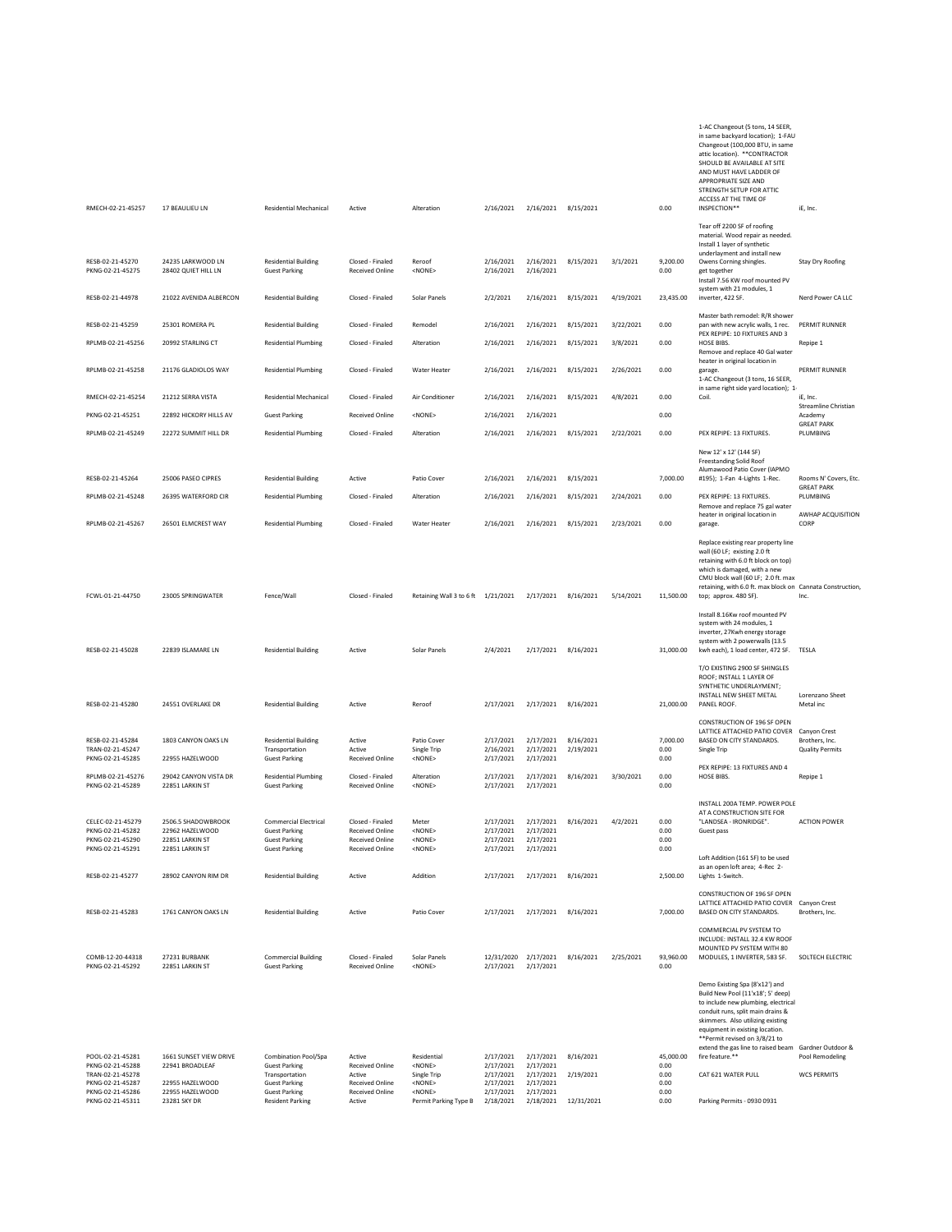|                                                          |                                                              |                                                                       |                                                                     |                                                   |                                     |                                     |                        |           |                          | 1-AC Changeout (5 tons, 14 SEER,<br>in same backyard location); 1-FAU<br>Changeout (100,000 BTU, in same<br>attic location). ** CONTRACTOR<br>SHOULD BE AVAILABLE AT SITE<br>AND MUST HAVE LADDER OF<br>APPROPRIATE SIZE AND<br>STRENGTH SETUP FOR ATTIC<br>ACCESS AT THE TIME OF                                 |                                            |
|----------------------------------------------------------|--------------------------------------------------------------|-----------------------------------------------------------------------|---------------------------------------------------------------------|---------------------------------------------------|-------------------------------------|-------------------------------------|------------------------|-----------|--------------------------|-------------------------------------------------------------------------------------------------------------------------------------------------------------------------------------------------------------------------------------------------------------------------------------------------------------------|--------------------------------------------|
| RMECH-02-21-45257                                        | 17 BEAULIEU LN                                               | <b>Residential Mechanical</b>                                         | Active                                                              | Alteration                                        | 2/16/2021                           | 2/16/2021                           | 8/15/2021              |           | 0.00                     | INSPECTION**                                                                                                                                                                                                                                                                                                      | iE, Inc.                                   |
|                                                          |                                                              |                                                                       |                                                                     |                                                   |                                     |                                     |                        |           |                          | Tear off 2200 SF of roofing<br>material. Wood repair as needed.<br>Install 1 layer of synthetic<br>underlayment and install new                                                                                                                                                                                   |                                            |
| RESB-02-21-45270<br>PKNG-02-21-45275                     | 24235 LARKWOOD LN<br>28402 QUIET HILL LN                     | <b>Residential Building</b><br><b>Guest Parking</b>                   | Closed - Finaled<br>Received Online                                 | Reroof<br><none></none>                           | 2/16/2021<br>2/16/2021              | 2/16/2021<br>2/16/2021              | 8/15/2021              | 3/1/2021  | 9,200.00<br>0.00         | Owens Corning shingles.<br>get together<br>Install 7.56 KW roof mounted PV<br>system with 21 modules, 1                                                                                                                                                                                                           | Stay Dry Roofing                           |
| RESB-02-21-44978                                         | 21022 AVENIDA ALBERCON                                       | <b>Residential Building</b>                                           | Closed - Finaled                                                    | Solar Panels                                      | 2/2/2021                            | 2/16/2021                           | 8/15/2021              | 4/19/2021 | 23,435.00                | inverter, 422 SF.<br>Master bath remodel: R/R shower                                                                                                                                                                                                                                                              | Nerd Power CA LLC                          |
| RESB-02-21-45259                                         | 25301 ROMERA PL                                              | <b>Residential Building</b>                                           | Closed - Finaled                                                    | Remodel                                           | 2/16/2021                           | 2/16/2021                           | 8/15/2021              | 3/22/2021 | 0.00                     | pan with new acrylic walls, 1 rec.<br>PEX REPIPE: 10 FIXTURES AND 3                                                                                                                                                                                                                                               | PERMIT RUNNER                              |
| RPLMB-02-21-45256                                        | 20992 STARLING CT                                            | <b>Residential Plumbing</b>                                           | Closed - Finaled                                                    | Alteration                                        | 2/16/2021                           | 2/16/2021                           | 8/15/2021              | 3/8/2021  | 0.00                     | <b>HOSE BIBS</b><br>Remove and replace 40 Gal water<br>heater in original location in                                                                                                                                                                                                                             | Repipe 1                                   |
| RPLMB-02-21-45258                                        | 21176 GLADIOLOS WAY                                          | <b>Residential Plumbing</b>                                           | Closed - Finaled                                                    | Water Heater                                      | 2/16/2021                           | 2/16/2021                           | 8/15/2021              | 2/26/2021 | 0.00                     | garage.<br>1-AC Changeout (3 tons, 16 SEER,<br>in same right side yard location); 1-                                                                                                                                                                                                                              | PERMIT RUNNER                              |
| RMECH-02-21-45254                                        | 21212 SERRA VISTA                                            | Residential Mechanical                                                | Closed - Finaled                                                    | Air Conditioner                                   | 2/16/2021                           | 2/16/2021                           | 8/15/2021              | 4/8/2021  | 0.00                     | Coil.                                                                                                                                                                                                                                                                                                             | iE, Inc.<br>Streamline Christian           |
| PKNG-02-21-45251                                         | 22892 HICKORY HILLS AV                                       | <b>Guest Parking</b>                                                  | <b>Received Online</b>                                              | <none></none>                                     | 2/16/2021                           | 2/16/2021                           |                        |           | 0.00                     |                                                                                                                                                                                                                                                                                                                   | Academy<br><b>GREAT PARK</b>               |
| RPLMB-02-21-45249                                        | 22272 SUMMIT HILL DR                                         | <b>Residential Plumbing</b>                                           | Closed - Finaled                                                    | Alteration                                        | 2/16/2021                           | 2/16/2021 8/15/2021                 |                        | 2/22/2021 | 0.00                     | PEX REPIPE: 13 FIXTURES.                                                                                                                                                                                                                                                                                          | PLUMBING                                   |
|                                                          |                                                              |                                                                       |                                                                     |                                                   |                                     |                                     |                        |           |                          | New 12' x 12' (144 SF)<br><b>Freestanding Solid Roof</b><br>Alumawood Patio Cover (IAPMO                                                                                                                                                                                                                          |                                            |
| RESB-02-21-45264                                         | 25006 PASEO CIPRES                                           | <b>Residential Building</b>                                           | Active                                                              | Patio Cover                                       | 2/16/2021                           | 2/16/2021                           | 8/15/2021              |           | 7,000.00                 | #195); 1-Fan 4-Lights 1-Rec.                                                                                                                                                                                                                                                                                      | Rooms N' Covers, Etc.<br><b>GREAT PARK</b> |
| RPLMB-02-21-45248                                        | 26395 WATERFORD CIR                                          | <b>Residential Plumbing</b>                                           | Closed - Finaled                                                    | Alteration                                        | 2/16/2021                           | 2/16/2021                           | 8/15/2021              | 2/24/2021 | 0.00                     | PEX REPIPE: 13 FIXTURES.<br>Remove and replace 75 gal water<br>heater in original location in                                                                                                                                                                                                                     | PLUMBING<br>AWHAP ACQUISITION              |
| RPLMB-02-21-45267                                        | 26501 ELMCREST WAY                                           | <b>Residential Plumbing</b>                                           | Closed - Finaled                                                    | <b>Water Heater</b>                               | 2/16/2021                           | 2/16/2021                           | 8/15/2021              | 2/23/2021 | 0.00                     | garage.                                                                                                                                                                                                                                                                                                           | CORP                                       |
| FCWL-01-21-44750                                         | 23005 SPRINGWATER                                            | Fence/Wall                                                            | Closed - Finaled                                                    | Retaining Wall 3 to 6 ft 1/21/2021                |                                     | 2/17/2021                           | 8/16/2021              | 5/14/2021 | 11,500.00                | Replace existing rear property line<br>wall (60 LF; existing 2.0 ft<br>retaining with 6.0 ft block on top)<br>which is damaged, with a new<br>CMU block wall (60 LF; 2.0 ft. max<br>retaining, with 6.0 ft. max block on Cannata Construction<br>top; approx. 480 SF).                                            | Inc.                                       |
| RESB-02-21-45028                                         | 22839 ISLAMARE LN                                            | <b>Residential Building</b>                                           | Active                                                              | Solar Panels                                      | 2/4/2021                            | 2/17/2021 8/16/2021                 |                        |           | 31,000.00                | Install 8.16Kw roof mounted PV<br>system with 24 modules, 1<br>inverter, 27Kwh energy storage<br>system with 2 powerwalls (13.5<br>kwh each), 1 load center, 472 SF.                                                                                                                                              | TESLA                                      |
| RESB-02-21-45280                                         | 24551 OVERLAKE DR                                            | <b>Residential Building</b>                                           | Active                                                              | Reroof                                            | 2/17/2021                           | 2/17/2021                           | 8/16/2021              |           | 21,000.00                | T/O EXISTING 2900 SF SHINGLES<br>ROOF; INSTALL 1 LAYER OF<br>SYNTHETIC UNDERLAYMENT;<br>INSTALL NEW SHEET METAL<br>PANEL ROOF.                                                                                                                                                                                    | Lorenzano Sheet<br>Metal inc               |
|                                                          |                                                              |                                                                       |                                                                     |                                                   |                                     |                                     |                        |           |                          | CONSTRUCTION OF 196 SF OPEN                                                                                                                                                                                                                                                                                       |                                            |
| RESB-02-21-45284<br>TRAN-02-21-45247<br>PKNG-02-21-45285 | 1803 CANYON OAKS LN<br>22955 HAZELWOOD                       | <b>Residential Building</b><br>Transportation<br><b>Guest Parking</b> | Active<br>Active<br>Received Online                                 | Patio Cover<br>Single Trip<br>$<$ NONE $>$        | 2/17/2021<br>2/16/2021<br>2/17/2021 | 2/17/2021<br>2/17/2021<br>2/17/2021 | 8/16/2021<br>2/19/2021 |           | 7,000.00<br>0.00<br>0.00 | LATTICE ATTACHED PATIO COVER Canyon Crest<br>BASED ON CITY STANDARDS.<br>Single Trip                                                                                                                                                                                                                              | Brothers, Inc.<br><b>Quality Permits</b>   |
| RPLMB-02-21-45276<br>PKNG-02-21-45289                    | 29042 CANYON VISTA DR<br>22851 LARKIN ST                     | <b>Residential Plumbing</b><br><b>Guest Parking</b>                   | Closed - Finaled<br><b>Received Online</b>                          | Alteration<br><none></none>                       | 2/17/2021<br>2/17/2021              | 2/17/2021<br>2/17/2021              | 8/16/2021              | 3/30/2021 | 0.00<br>0.00             | PEX REPIPE: 13 FIXTURES AND 4<br>HOSE BIBS.                                                                                                                                                                                                                                                                       | Repipe 1                                   |
| CELEC-02-21-45279                                        | 2506.5 SHADOWBROOK                                           | Commercial Electrical                                                 | Closed - Finaled                                                    | Meter                                             | 2/17/2021                           | 2/17/2021                           |                        | 4/2/2021  | 0.00                     | INSTALL 200A TEMP. POWER POLE<br>AT A CONSTRUCTION SITE FOR<br>"I ANDSEA - IRONRIDGE"                                                                                                                                                                                                                             | <b>ACTION POWER</b>                        |
| PKNG-02-21-45282<br>PKNG-02-21-45290<br>PKNG-02-21-45291 | 22962 HAZELWOOD<br>22851 LARKIN ST<br><b>22851 LARKIN ST</b> | <b>Guest Parking</b><br><b>Guest Parking</b><br><b>Guest Parking</b>  | Received Online<br><b>Received Online</b><br><b>Received Online</b> | <none><br/><none><br/><none></none></none></none> | 2/17/2021<br>2/17/2021<br>2/17/2021 | 2/17/2021<br>2/17/2021<br>2/17/2021 | 8/16/2021              |           | 0.00<br>0.00<br>0.00     | Guest pass                                                                                                                                                                                                                                                                                                        |                                            |
| RESB-02-21-45277                                         | 28902 CANYON RIM DR                                          | <b>Residential Building</b>                                           | Active                                                              | Addition                                          | 2/17/2021                           | 2/17/2021                           | 8/16/2021              |           | 2,500.00                 | Loft Addition (161 SF) to be used<br>as an open loft area; 4-Rec 2-<br>Lights 1-Switch.                                                                                                                                                                                                                           |                                            |
| RESB-02-21-45283                                         | 1761 CANYON OAKS LN                                          | <b>Residential Building</b>                                           | Active                                                              | Patio Cover                                       | 2/17/2021                           | 2/17/2021                           | 8/16/2021              |           | 7,000.00                 | CONSTRUCTION OF 196 SF OPEN<br>LATTICE ATTACHED PATIO COVER Canyon Crest<br>BASED ON CITY STANDARDS.                                                                                                                                                                                                              | Brothers, Inc.                             |
|                                                          |                                                              |                                                                       |                                                                     |                                                   |                                     |                                     |                        |           |                          | COMMERCIAL PV SYSTEM TO<br>INCLUDE: INSTALL 32.4 KW ROOF<br>MOUNTED PV SYSTEM WITH 80                                                                                                                                                                                                                             |                                            |
| COMB-12-20-44318<br>PKNG-02-21-45292                     | 27231 BURBANK<br>22851 LARKIN ST                             | <b>Commercial Building</b><br><b>Guest Parking</b>                    | Closed - Finaled<br>Received Online                                 | Solar Panels<br><none></none>                     | 12/31/2020 2/17/2021<br>2/17/2021   | 2/17/2021                           | 8/16/2021              | 2/25/2021 | 93,960.00<br>0.00        | MODULES, 1 INVERTER, 583 SF.                                                                                                                                                                                                                                                                                      | SOLTECH ELECTRIC                           |
| POOL-02-21-45281                                         | 1661 SUNSET VIEW DRIVE                                       | Combination Pool/Spa                                                  | Active                                                              | Residential                                       | 2/17/2021                           | 2/17/2021                           | 8/16/2021              |           | 45,000.00                | Demo Existing Spa (8'x12') and<br>Build New Pool (11'x18'; 5' deep)<br>to include new plumbing, electrical<br>conduit runs, split main drains &<br>skimmers. Also utilizing existing<br>equipment in existing location.<br>**Permit revised on 3/8/21 to<br>extend the gas line to raised beam<br>fire feature.** | Gardner Outdoor &<br>Pool Remodeling       |
| PKNG-02-21-45288<br>TRAN-02-21-45278<br>PKNG-02-21-45287 | 22941 BROADLEAF<br>22955 HAZELWOOD                           | <b>Guest Parking</b><br>Transportation<br><b>Guest Parking</b>        | Received Online<br>Active<br>Received Online                        | <none><br/>Single Trip<br/><none></none></none>   | 2/17/2021<br>2/17/2021<br>2/17/2021 | 2/17/2021<br>2/17/2021<br>2/17/2021 | 2/19/2021              |           | 0.00<br>0.00<br>0.00     | CAT 621 WATER PULL                                                                                                                                                                                                                                                                                                | <b>WCS PERMITS</b>                         |
| PKNG-02-21-45286<br>PKNG-02-21-45311                     | 22955 HAZELWOOD<br>23281 SKY DR                              | <b>Guest Parking</b><br><b>Resident Parking</b>                       | Received Online<br>Active                                           | <none><br/>Permit Parking Type B</none>           | 2/17/2021<br>2/18/2021              | 2/17/2021<br>2/18/2021              | 12/31/2021             |           | 0.00<br>0.00             | Parking Permits - 0930 0931                                                                                                                                                                                                                                                                                       |                                            |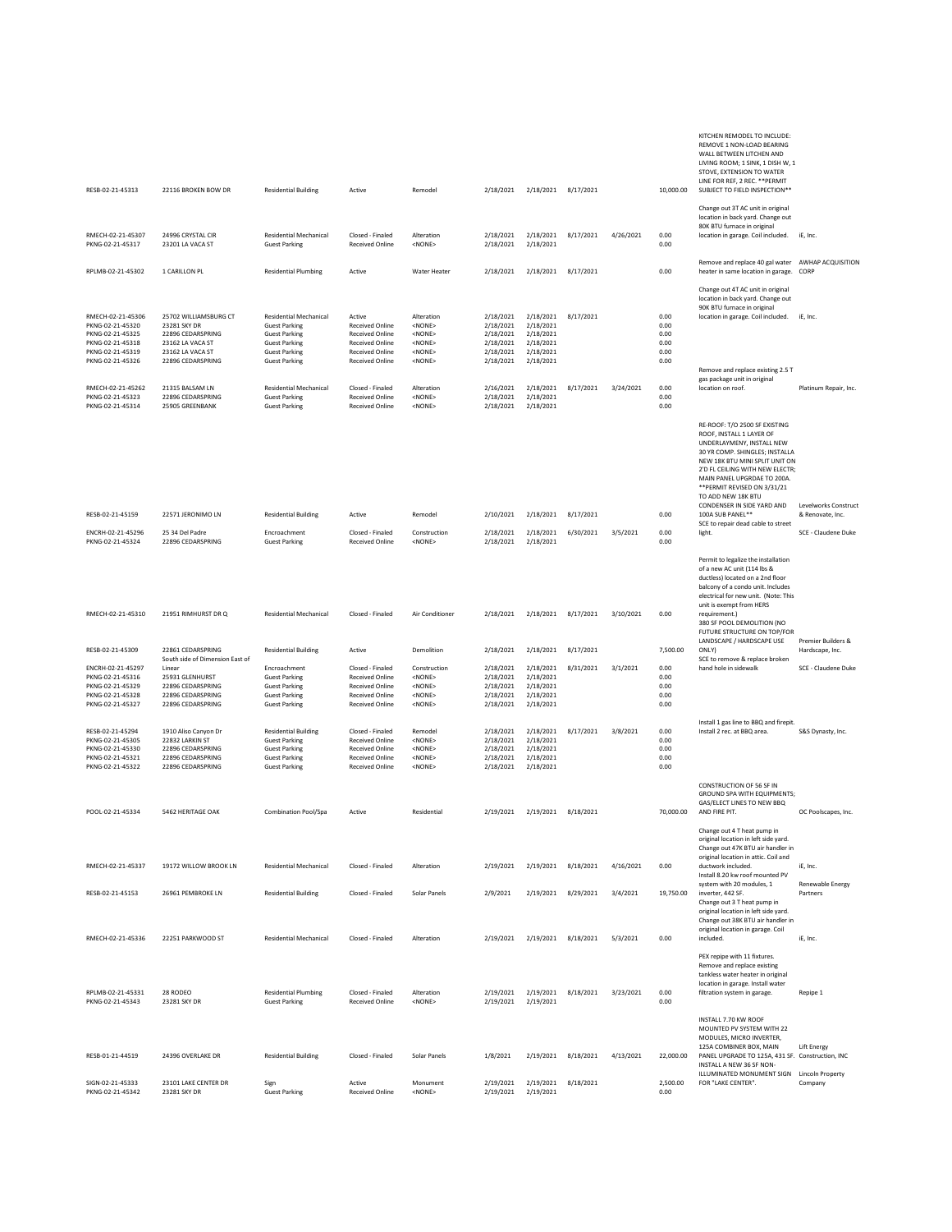| RESB-02-21-45313                                                                                                      | 22116 BROKEN BOW DR                                                                                                     | <b>Residential Building</b>                                                                                                                           | Active                                                                                                                     | Remodel                                                                                             | 2/18/2021                                                                  | 2/18/2021 8/17/2021                                                        |           |           | 10,000.00                                    | KITCHEN REMODEL TO INCLUDE:<br>REMOVE 1 NON-LOAD BEARING<br>WALL BETWEEN LITCHEN AND<br>LIVING ROOM; 1 SINK, 1 DISH W, 1<br>STOVE, EXTENSION TO WATER<br>LINE FOR REF, 2 REC. ** PERMIT<br>SUBJECT TO FIELD INSPECTION**                                                           |                                          |
|-----------------------------------------------------------------------------------------------------------------------|-------------------------------------------------------------------------------------------------------------------------|-------------------------------------------------------------------------------------------------------------------------------------------------------|----------------------------------------------------------------------------------------------------------------------------|-----------------------------------------------------------------------------------------------------|----------------------------------------------------------------------------|----------------------------------------------------------------------------|-----------|-----------|----------------------------------------------|------------------------------------------------------------------------------------------------------------------------------------------------------------------------------------------------------------------------------------------------------------------------------------|------------------------------------------|
| RMECH-02-21-45307                                                                                                     | 24996 CRYSTAL CIR                                                                                                       | <b>Residential Mechanical</b>                                                                                                                         | Closed - Finaled                                                                                                           | Alteration                                                                                          | 2/18/2021                                                                  | 2/18/2021                                                                  | 8/17/2021 | 4/26/2021 | 0.00                                         | Change out 3T AC unit in original<br>location in back yard. Change out<br>80K BTU furnace in original<br>location in garage. Coil included.                                                                                                                                        | iE, Inc.                                 |
| PKNG-02-21-45317                                                                                                      | 23201 LA VACA ST                                                                                                        | <b>Guest Parking</b>                                                                                                                                  | Received Online                                                                                                            | <none></none>                                                                                       | 2/18/2021                                                                  | 2/18/2021                                                                  |           |           | 0.00                                         | Remove and replace 40 gal water AWHAP ACQUISITION                                                                                                                                                                                                                                  |                                          |
| RPLMB-02-21-45302                                                                                                     | 1 CARILLON PL                                                                                                           | <b>Residential Plumbing</b>                                                                                                                           | Active                                                                                                                     | Water Heater                                                                                        | 2/18/2021                                                                  | 2/18/2021                                                                  | 8/17/2021 |           | 0.00                                         | heater in same location in garage. CORP<br>Change out 4T AC unit in original                                                                                                                                                                                                       |                                          |
| RMECH-02-21-45306<br>PKNG-02-21-45320<br>PKNG-02-21-45325<br>PKNG-02-21-45318<br>PKNG-02-21-45319<br>PKNG-02-21-45326 | 25702 WILLIAMSBURG CT<br>23281 SKY DR<br>22896 CEDARSPRING<br>23162 LA VACA ST<br>23162 LA VACA ST<br>22896 CEDARSPRING | <b>Residential Mechanical</b><br><b>Guest Parking</b><br><b>Guest Parking</b><br><b>Guest Parking</b><br><b>Guest Parking</b><br><b>Guest Parking</b> | Active<br>Received Online<br><b>Received Online</b><br><b>Received Online</b><br><b>Received Online</b><br>Received Online | Alteration<br><none><br/><none><br/><none><br/><none><br/><none></none></none></none></none></none> | 2/18/2021<br>2/18/2021<br>2/18/2021<br>2/18/2021<br>2/18/2021<br>2/18/2021 | 2/18/2021<br>2/18/2021<br>2/18/2021<br>2/18/2021<br>2/18/2021<br>2/18/2021 | 8/17/2021 |           | 0.00<br>0.00<br>0.00<br>0.00<br>0.00<br>0.00 | location in back yard. Change out<br>90K BTU furnace in original<br>location in garage. Coil included.<br>Remove and replace existing 2.5 T                                                                                                                                        | iE, Inc.                                 |
| RMECH-02-21-45262<br>PKNG-02-21-45323<br>PKNG-02-21-45314                                                             | 21315 BALSAM LN<br>22896 CEDARSPRING<br>25905 GREENBANK                                                                 | <b>Residential Mechanical</b><br><b>Guest Parking</b><br><b>Guest Parking</b>                                                                         | Closed - Finaled<br><b>Received Online</b><br>Received Online                                                              | Alteration<br><none><br/><none></none></none>                                                       | 2/16/2021<br>2/18/2021<br>2/18/2021                                        | 2/18/2021<br>2/18/2021<br>2/18/2021                                        | 8/17/2021 | 3/24/2021 | 0.00<br>0.00<br>0.00                         | gas package unit in original<br>location on roof.                                                                                                                                                                                                                                  | Platinum Repair, Inc.                    |
|                                                                                                                       |                                                                                                                         |                                                                                                                                                       |                                                                                                                            |                                                                                                     |                                                                            |                                                                            |           |           |                                              | RE-ROOF: T/O 2500 SF EXISTING<br>ROOF. INSTALL 1 LAYER OF<br>UNDERLAYMENY, INSTALL NEW<br>30 YR COMP. SHINGLES; INSTALLA<br>NEW 18K BTU MINI SPLIT UNIT ON<br>2'D FL CEILING WITH NEW ELECTR;<br>MAIN PANEL UPGRDAE TO 200A.<br>** PERMIT REVISED ON 3/31/21<br>TO ADD NEW 18K BTU |                                          |
| RESB-02-21-45159                                                                                                      | 22571 JERONIMO LN                                                                                                       | <b>Residential Building</b>                                                                                                                           | Active                                                                                                                     | Remodel                                                                                             | 2/10/2021                                                                  | 2/18/2021                                                                  | 8/17/2021 |           | 0.00                                         | CONDENSER IN SIDE YARD AND<br>100A SUB PANEL**<br>SCE to repair dead cable to street                                                                                                                                                                                               | Levelworks Construct<br>& Renovate, Inc. |
| ENCRH-02-21-45296<br>PKNG-02-21-45324                                                                                 | 25 34 Del Padre<br>22896 CEDARSPRING                                                                                    | Encroachment<br><b>Guest Parking</b>                                                                                                                  | Closed - Finaled<br><b>Received Online</b>                                                                                 | Construction<br><none></none>                                                                       | 2/18/2021<br>2/18/2021                                                     | 2/18/2021<br>2/18/2021                                                     | 6/30/2021 | 3/5/2021  | 0.00<br>0.00                                 | light.                                                                                                                                                                                                                                                                             | SCE - Claudene Duke                      |
|                                                                                                                       |                                                                                                                         |                                                                                                                                                       |                                                                                                                            |                                                                                                     |                                                                            |                                                                            |           |           |                                              | Permit to legalize the installation<br>of a new AC unit (114 lbs &<br>ductless) located on a 2nd floor<br>balcony of a condo unit. Includes<br>electrical for new unit. (Note: This<br>unit is exempt from HERS                                                                    |                                          |
| RMECH-02-21-45310                                                                                                     | 21951 RIMHURST DR O                                                                                                     | <b>Residential Mechanical</b>                                                                                                                         | Closed - Finaled                                                                                                           | Air Conditioner                                                                                     | 2/18/2021                                                                  | 2/18/2021 8/17/2021                                                        |           | 3/10/2021 | 0.00                                         | requirement.)<br>380 SF POOL DEMOLITION (NO<br>FUTURE STRUCTURE ON TOP/FOR<br>LANDSCAPE / HARDSCAPE USE                                                                                                                                                                            | Premier Builders &                       |
| RESB-02-21-45309                                                                                                      | 22861 CEDARSPRING<br>South side of Dimension East of                                                                    | <b>Residential Building</b>                                                                                                                           | Active                                                                                                                     | Demolition                                                                                          | 2/18/2021                                                                  | 2/18/2021                                                                  | 8/17/2021 |           | 7,500.00                                     | ONLY)<br>SCE to remove & replace broken                                                                                                                                                                                                                                            | Hardscape, Inc.                          |
| ENCRH-02-21-45297<br>PKNG-02-21-45316<br>PKNG-02-21-45329<br>PKNG-02-21-45328<br>PKNG-02-21-45327                     | Linear<br>25931 GLENHURST<br>22896 CEDARSPRING<br>22896 CEDARSPRING<br>22896 CEDARSPRING                                | Encroachment<br><b>Guest Parking</b><br><b>Guest Parking</b><br><b>Guest Parking</b><br><b>Guest Parking</b>                                          | Closed - Finaled<br><b>Received Online</b><br><b>Received Online</b><br><b>Received Online</b><br>Received Online          | Construction<br><none><br/><none><br/><none><br/><none></none></none></none></none>                 | 2/18/2021<br>2/18/2021<br>2/18/2021<br>2/18/2021<br>2/18/2021              | 2/18/2021<br>2/18/2021<br>2/18/2021<br>2/18/2021<br>2/18/2021              | 8/31/2021 | 3/1/2021  | 0.00<br>0.00<br>0.00<br>0.00<br>0.00         | hand hole in sidewalk                                                                                                                                                                                                                                                              | SCE - Claudene Duke                      |
| RESB-02-21-45294<br>PKNG-02-21-45305<br>PKNG-02-21-45330<br>PKNG-02-21-45321<br>PKNG-02-21-45322                      | 1910 Aliso Canyon Dr<br>22832 LARKIN ST<br>22896 CEDARSPRING<br>22896 CEDARSPRING<br>22896 CEDARSPRING                  | <b>Residential Building</b><br><b>Guest Parking</b><br><b>Guest Parking</b><br><b>Guest Parking</b><br><b>Guest Parking</b>                           | Closed - Finaled<br><b>Received Online</b><br><b>Received Online</b><br><b>Received Online</b><br>Received Online          | Remodel<br><none><br/><none><br/><none><br/><none></none></none></none></none>                      | 2/18/2021<br>2/18/2021<br>2/18/2021<br>2/18/2021<br>2/18/2021              | 2/18/2021<br>2/18/2021<br>2/18/2021<br>2/18/2021<br>2/18/2021              | 8/17/2021 | 3/8/2021  | 0.00<br>0.00<br>0.00<br>0.00<br>0.00         | Install 1 gas line to BBQ and firepit.<br>Install 2 rec. at BBQ area.                                                                                                                                                                                                              | S&S Dynasty, Inc.                        |
| POOL-02-21-45334                                                                                                      | 5462 HERITAGE OAK                                                                                                       | Combination Pool/Spa                                                                                                                                  | Active                                                                                                                     | Residential                                                                                         | 2/19/2021                                                                  | 2/19/2021                                                                  | 8/18/2021 |           | 70,000.00                                    | CONSTRUCTION OF 56 SF IN<br>GROUND SPA WITH EQUIPMENTS;<br>GAS/ELECT LINES TO NEW BBQ<br>AND FIRE PIT.                                                                                                                                                                             | OC Poolscapes, Inc.                      |
| RMECH-02-21-45337                                                                                                     | 19172 WILLOW BROOK LN                                                                                                   | <b>Residential Mechanical</b>                                                                                                                         | Closed - Finaled                                                                                                           | Alteration                                                                                          | 2/19/2021                                                                  | 2/19/2021                                                                  | 8/18/2021 | 4/16/2021 | 0.00                                         | Change out 4 T heat numn in<br>original location in left side yard.<br>Change out 47K BTU air handler in<br>original location in attic. Coil and<br>ductwork included.                                                                                                             | iE, Inc.                                 |
|                                                                                                                       |                                                                                                                         |                                                                                                                                                       |                                                                                                                            |                                                                                                     |                                                                            |                                                                            |           |           |                                              | Install 8.20 kw roof mounted PV<br>system with 20 modules, 1                                                                                                                                                                                                                       | Renewable Energy                         |
| RESB-02-21-45153                                                                                                      | 26961 PEMBROKE LN                                                                                                       | <b>Residential Building</b>                                                                                                                           | Closed - Finaled                                                                                                           | Solar Panels                                                                                        | 2/9/2021                                                                   | 2/19/2021                                                                  | 8/29/2021 | 3/4/2021  | 19,750.00                                    | inverter, 442 SF.<br>Change out 3 T heat pump in<br>original location in left side yard.<br>Change out 38K BTU air handler in<br>original location in garage. Coil                                                                                                                 | Partners                                 |
| RMECH-02-21-45336                                                                                                     | 22251 PARKWOOD ST                                                                                                       | <b>Residential Mechanical</b>                                                                                                                         | Closed - Finaled                                                                                                           | Alteration                                                                                          | 2/19/2021                                                                  | 2/19/2021                                                                  | 8/18/2021 | 5/3/2021  | 0.00                                         | included.                                                                                                                                                                                                                                                                          | iE, Inc.                                 |
| RPLMB-02-21-45331<br>PKNG-02-21-45343                                                                                 | 28 RODEO<br>23281 SKY DR                                                                                                | <b>Residential Plumbing</b><br><b>Guest Parking</b>                                                                                                   | Closed - Finaled<br><b>Received Online</b>                                                                                 | Alteration<br><none></none>                                                                         | 2/19/2021<br>2/19/2021                                                     | 2/19/2021<br>2/19/2021                                                     | 8/18/2021 | 3/23/2021 | 0.00<br>0.00                                 | PEX repipe with 11 fixtures.<br>Remove and replace existing<br>tankless water heater in original<br>location in garage. Install water<br>filtration system in garage.                                                                                                              | Repipe 1                                 |
|                                                                                                                       |                                                                                                                         |                                                                                                                                                       |                                                                                                                            |                                                                                                     |                                                                            |                                                                            |           |           |                                              | INSTALL 7.70 KW ROOF<br>MOUNTED PV SYSTEM WITH 22<br>MODULES, MICRO INVERTER,                                                                                                                                                                                                      |                                          |
| RESB-01-21-44519                                                                                                      | 24396 OVERLAKE DR                                                                                                       | <b>Residential Building</b>                                                                                                                           | Closed - Finaled                                                                                                           | Solar Panels                                                                                        | 1/8/2021                                                                   | 2/19/2021                                                                  | 8/18/2021 | 4/13/2021 | 22,000.00                                    | 125A COMBINER BOX, MAIN<br>PANEL UPGRADE TO 125A, 431 SF. Construction, INC<br>INSTALL A NEW 36 SF NON-<br>ILLUMINATED MONUMENT SIGN                                                                                                                                               | Lift Energy                              |
| SIGN-02-21-45333<br>PKNG-02-21-45342                                                                                  | 23101 LAKE CENTER DR<br>23281 SKY DR                                                                                    | Sign<br><b>Guest Parking</b>                                                                                                                          | Active<br><b>Received Online</b>                                                                                           | Monument<br><none></none>                                                                           | 2/19/2021<br>2/19/2021                                                     | 2/19/2021<br>2/19/2021                                                     | 8/18/2021 |           | 2,500.00<br>0.00                             | FOR "LAKE CENTER".                                                                                                                                                                                                                                                                 | <b>Lincoln Property</b><br>Company       |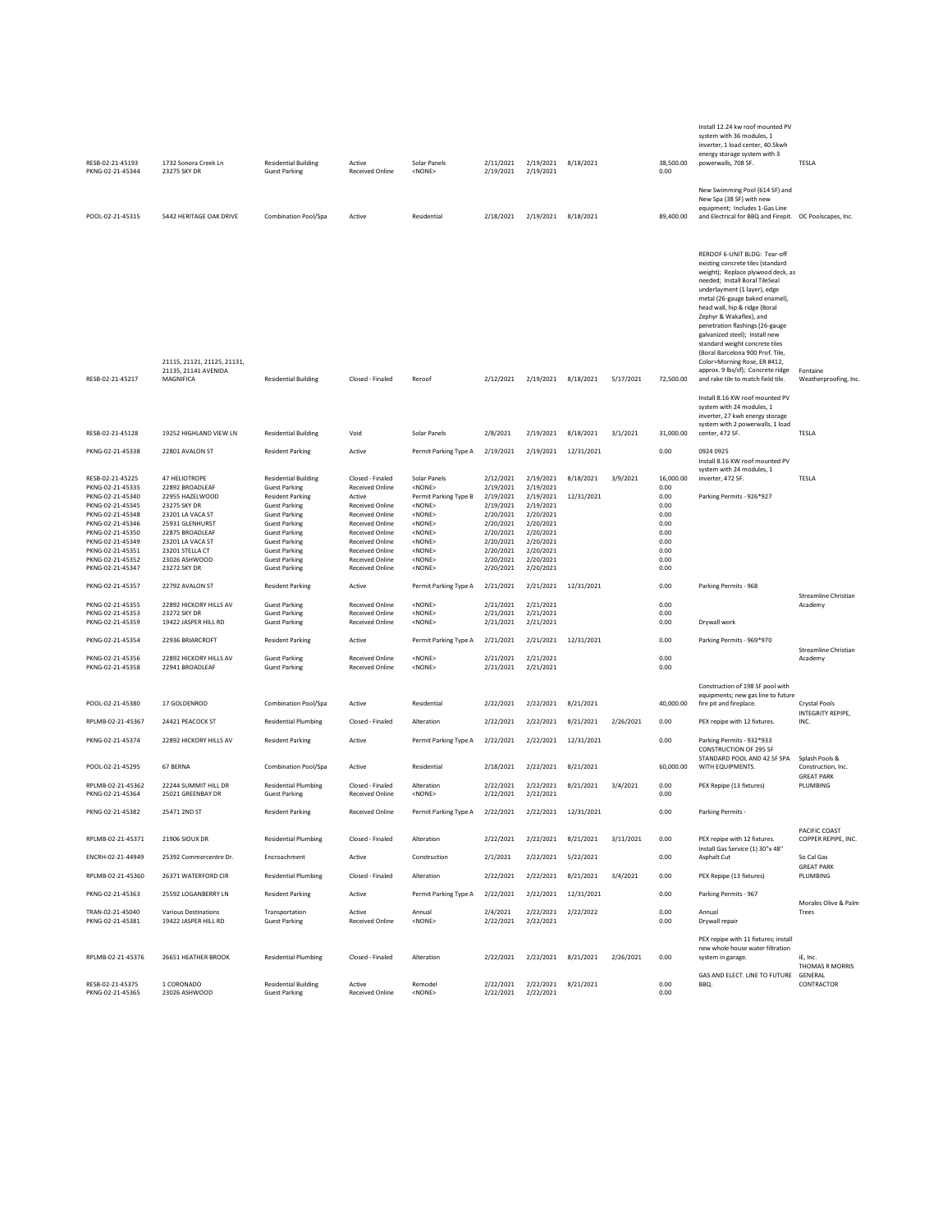| RESB-02-21-45193<br>PKNG-02-21-45344                                                                                                                                                                                     | 1732 Sonora Creek Ln<br>23275 SKY DR                                                                                                                                                                  | <b>Residential Building</b><br><b>Guest Parking</b>                                                                                                                                                                                                                            | Active<br>Received Online                                                                                                                                                                                                                | Solar Panels<br><none></none>                                                                                                                                                                           | 2/11/2021<br>2/19/2021                                                                                                                      | 2/19/2021<br>2/19/2021                                                                                                                      | 8/18/2021               |           | 38,500.00<br>0.00                                                                         | Install 12.24 kw roof mounted PV<br>system with 36 modules, 1<br>inverter, 1 load center, 40.5kwh<br>energy storage system with 3<br>powerwalls, 708 SF.                                                                                                                                                                                                                                                                                                                                                                     | TESLA                                   |
|--------------------------------------------------------------------------------------------------------------------------------------------------------------------------------------------------------------------------|-------------------------------------------------------------------------------------------------------------------------------------------------------------------------------------------------------|--------------------------------------------------------------------------------------------------------------------------------------------------------------------------------------------------------------------------------------------------------------------------------|------------------------------------------------------------------------------------------------------------------------------------------------------------------------------------------------------------------------------------------|---------------------------------------------------------------------------------------------------------------------------------------------------------------------------------------------------------|---------------------------------------------------------------------------------------------------------------------------------------------|---------------------------------------------------------------------------------------------------------------------------------------------|-------------------------|-----------|-------------------------------------------------------------------------------------------|------------------------------------------------------------------------------------------------------------------------------------------------------------------------------------------------------------------------------------------------------------------------------------------------------------------------------------------------------------------------------------------------------------------------------------------------------------------------------------------------------------------------------|-----------------------------------------|
| POOL-02-21-45315                                                                                                                                                                                                         | 5442 HERITAGE OAK DRIVE                                                                                                                                                                               | Combination Pool/Spa                                                                                                                                                                                                                                                           | Active                                                                                                                                                                                                                                   | Residential                                                                                                                                                                                             | 2/18/2021                                                                                                                                   | 2/19/2021 8/18/2021                                                                                                                         |                         |           | 89,400.00                                                                                 | New Swimming Pool (614 SF) and<br>New Spa (38 SF) with new<br>equipment; Includes 1-Gas Line<br>and Electrical for BBQ and Firepit.  OC Poolscapes, Inc.                                                                                                                                                                                                                                                                                                                                                                     |                                         |
| RESB-02-21-45217                                                                                                                                                                                                         | 21115, 21121, 21125, 21131,<br>21135, 21141 AVENIDA<br>MAGNIFICA                                                                                                                                      | <b>Residential Building</b>                                                                                                                                                                                                                                                    | Closed - Finaled                                                                                                                                                                                                                         | Reroof                                                                                                                                                                                                  | 2/12/2021                                                                                                                                   | 2/19/2021                                                                                                                                   | 8/18/2021               | 5/17/2021 | 72,500.00                                                                                 | REROOF 6-UNIT BLDG: Tear-off<br>existing concrete tiles (standard<br>weight); Replace plywood deck, as<br>needed; Install Boral TileSeal<br>underlayment (1 layer), edge<br>metal (26-gauge baked enamel),<br>head wall, hip & ridge (Boral<br>Zephyr & Wakaflex), and<br>penetration flashings (26-gauge<br>galvanized steel); Install new<br>standard weight concrete tiles<br>(Boral Barcelona 900 Prof. Tile,<br>Color=Morning Rose, ER #412,<br>approx. 9 lbs/sf); Concrete ridge<br>and rake tile to match field tile. | Fontaine<br>Weatherproofing, Inc.       |
|                                                                                                                                                                                                                          |                                                                                                                                                                                                       |                                                                                                                                                                                                                                                                                |                                                                                                                                                                                                                                          |                                                                                                                                                                                                         |                                                                                                                                             |                                                                                                                                             |                         |           |                                                                                           | Install 8.16 KW roof mounted PV<br>system with 24 modules, 1<br>inverter, 27 kwh energy storage<br>system with 2 powerwalls, 1 load                                                                                                                                                                                                                                                                                                                                                                                          |                                         |
| RFSB-02-21-45128                                                                                                                                                                                                         | 19252 HIGHLAND VIEW LN                                                                                                                                                                                | <b>Residential Building</b>                                                                                                                                                                                                                                                    | Void                                                                                                                                                                                                                                     | Solar Panels                                                                                                                                                                                            | 2/8/2021                                                                                                                                    | 2/19/2021                                                                                                                                   | 8/18/2021               | 3/1/2021  | 31,000.00                                                                                 | center, 472 SF.                                                                                                                                                                                                                                                                                                                                                                                                                                                                                                              | TESLA                                   |
| PKNG-02-21-45338                                                                                                                                                                                                         | 22801 AVALON ST                                                                                                                                                                                       | <b>Resident Parking</b>                                                                                                                                                                                                                                                        | Active                                                                                                                                                                                                                                   | Permit Parking Type A                                                                                                                                                                                   | 2/19/2021                                                                                                                                   | 2/19/2021                                                                                                                                   | 12/31/2021              |           | 0.00                                                                                      | 0924 0925<br>Install 8.16 KW roof mounted PV                                                                                                                                                                                                                                                                                                                                                                                                                                                                                 |                                         |
| RESB-02-21-45225<br>PKNG-02-21-45335<br>PKNG-02-21-45340<br>PKNG-02-21-45345<br>PKNG-02-21-45348<br>PKNG-02-21-45346<br>PKNG-02-21-45350<br>PKNG-02-21-45349<br>PKNG-02-21-45351<br>PKNG-02-21-45352<br>PKNG-02-21-45347 | 47 HELIOTROPE<br>22892 BROADLEAF<br>22955 HAZELWOOD<br>23275 SKY DR<br>23201 LA VACA ST<br>25931 GLENHURST<br>22875 BROADLEAF<br>23201 LA VACA ST<br>23201 STELLA CT<br>23026 ASHWOOD<br>23272 SKY DR | <b>Residential Building</b><br><b>Guest Parking</b><br><b>Resident Parking</b><br><b>Guest Parking</b><br><b>Guest Parking</b><br><b>Guest Parking</b><br><b>Guest Parking</b><br><b>Guest Parking</b><br><b>Guest Parking</b><br><b>Guest Parking</b><br><b>Guest Parking</b> | Closed - Finaled<br><b>Received Online</b><br>Active<br><b>Received Online</b><br>Received Online<br>Received Online<br>Received Online<br><b>Received Online</b><br><b>Received Online</b><br><b>Received Online</b><br>Received Online | Solar Panels<br><none><br/>Permit Parking Type B<br/><none><br/><none><br/><none><br/><none><br/><none><br/><none><br/><none><br/><none></none></none></none></none></none></none></none></none></none> | 2/12/2021<br>2/19/2021<br>2/19/2021<br>2/19/2021<br>2/20/2021<br>2/20/2021<br>2/20/2021<br>2/20/2021<br>2/20/2021<br>2/20/2021<br>2/20/2021 | 2/19/2021<br>2/19/2021<br>2/19/2021<br>2/19/2021<br>2/20/2021<br>2/20/2021<br>2/20/2021<br>2/20/2021<br>2/20/2021<br>2/20/2021<br>2/20/2021 | 8/18/2021<br>12/31/2021 | 3/9/2021  | 16,000.00<br>0.00<br>0.00<br>0.00<br>0.00<br>0.00<br>0.00<br>0.00<br>0.00<br>0.00<br>0.00 | system with 24 modules, 1<br>inverter, 472 SF.<br>Parking Permits - 926*927                                                                                                                                                                                                                                                                                                                                                                                                                                                  | TESLA                                   |
| PKNG-02-21-45357                                                                                                                                                                                                         | 22792 AVALON ST                                                                                                                                                                                       | <b>Resident Parking</b>                                                                                                                                                                                                                                                        | Active                                                                                                                                                                                                                                   | Permit Parking Type A                                                                                                                                                                                   | 2/21/2021                                                                                                                                   | 2/21/2021                                                                                                                                   | 12/31/2021              |           | 0.00                                                                                      | Parking Permits - 968                                                                                                                                                                                                                                                                                                                                                                                                                                                                                                        | Streamline Christian                    |
| PKNG-02-21-45355<br>PKNG-02-21-45353<br>PKNG-02-21-45359                                                                                                                                                                 | 22892 HICKORY HILLS AV<br>23272 SKY DR<br>19422 JASPER HILL RD                                                                                                                                        | <b>Guest Parking</b><br><b>Guest Parking</b><br><b>Guest Parking</b>                                                                                                                                                                                                           | Received Online<br><b>Received Online</b><br><b>Received Online</b>                                                                                                                                                                      | <none><br/><none><br/><none></none></none></none>                                                                                                                                                       | 2/21/2021<br>2/21/2021<br>2/21/2021                                                                                                         | 2/21/2021<br>2/21/2021<br>2/21/2021                                                                                                         |                         |           | 0.00<br>0.00<br>0.00                                                                      | Drywall work                                                                                                                                                                                                                                                                                                                                                                                                                                                                                                                 | Academy                                 |
| PKNG-02-21-45354                                                                                                                                                                                                         | 22936 BRIARCROFT                                                                                                                                                                                      | <b>Resident Parking</b>                                                                                                                                                                                                                                                        | Active                                                                                                                                                                                                                                   | Permit Parking Type A                                                                                                                                                                                   | 2/21/2021                                                                                                                                   | 2/21/2021                                                                                                                                   | 12/31/2021              |           | 0.00                                                                                      | Parking Permits - 969*970                                                                                                                                                                                                                                                                                                                                                                                                                                                                                                    | Streamline Christian                    |
| PKNG-02-21-45356<br>PKNG-02-21-45358                                                                                                                                                                                     | 22892 HICKORY HILLS AV<br>22941 BROADLEAF                                                                                                                                                             | <b>Guest Parking</b><br><b>Guest Parking</b>                                                                                                                                                                                                                                   | Received Online<br>Received Online                                                                                                                                                                                                       | <none><br/><none></none></none>                                                                                                                                                                         | 2/21/2021<br>2/21/2021                                                                                                                      | 2/21/2021<br>2/21/2021                                                                                                                      |                         |           | 0.00<br>0.00                                                                              |                                                                                                                                                                                                                                                                                                                                                                                                                                                                                                                              | Academy                                 |
| POOL-02-21-45380                                                                                                                                                                                                         | 17 GOLDENROD                                                                                                                                                                                          | Combination Pool/Spa                                                                                                                                                                                                                                                           | Active                                                                                                                                                                                                                                   | Residential                                                                                                                                                                                             | 2/22/2021                                                                                                                                   | 2/22/2021                                                                                                                                   | 8/21/2021               |           | 40,000.00                                                                                 | Construction of 198 SF pool with<br>equipments; new gas line to future<br>fire pit and fireplace.                                                                                                                                                                                                                                                                                                                                                                                                                            | Crystal Pools<br>INTEGRITY REPIPE,      |
| RPLMB-02-21-45367                                                                                                                                                                                                        | 24421 PEACOCK ST                                                                                                                                                                                      | <b>Residential Plumbing</b>                                                                                                                                                                                                                                                    | Closed - Finaled                                                                                                                                                                                                                         | Alteration                                                                                                                                                                                              | 2/22/2021                                                                                                                                   | 2/22/2021                                                                                                                                   | 8/21/2021               | 2/26/2021 | 0.00                                                                                      | PEX repipe with 12 fixtures.                                                                                                                                                                                                                                                                                                                                                                                                                                                                                                 | INC.                                    |
| PKNG-02-21-45374                                                                                                                                                                                                         | 22892 HICKORY HILLS AV                                                                                                                                                                                | <b>Resident Parking</b>                                                                                                                                                                                                                                                        | Active                                                                                                                                                                                                                                   | Permit Parking Type A                                                                                                                                                                                   | 2/22/2021                                                                                                                                   | 2/22/2021                                                                                                                                   | 12/31/2021              |           | 0.00                                                                                      | Parking Permits - 932*933<br><b>CONSTRUCTION OF 295 SF</b><br>STANDARD POOL AND 42 SF SPA                                                                                                                                                                                                                                                                                                                                                                                                                                    | Splash Pools &                          |
| POOL-02-21-45295                                                                                                                                                                                                         | 67 BERNA                                                                                                                                                                                              | Combination Pool/Spa                                                                                                                                                                                                                                                           | Active                                                                                                                                                                                                                                   | <b>Residential</b>                                                                                                                                                                                      | 2/18/2021                                                                                                                                   | 2/22/2021                                                                                                                                   | 8/21/2021               |           | 60,000.00                                                                                 | WITH EQUIPMENTS.                                                                                                                                                                                                                                                                                                                                                                                                                                                                                                             | Construction, Inc.<br><b>GREAT PARK</b> |
| RPLMB-02-21-45362<br>PKNG-02-21-45364                                                                                                                                                                                    | 22244 SUMMIT HILL DR<br>25021 GREENBAY DR                                                                                                                                                             | <b>Residential Plumbing</b><br><b>Guest Parking</b>                                                                                                                                                                                                                            | Closed - Finaled<br><b>Received Online</b>                                                                                                                                                                                               | Alteration<br><none></none>                                                                                                                                                                             | 2/22/2021<br>2/22/2021                                                                                                                      | 2/22/2021<br>2/22/2021                                                                                                                      | 8/21/2021               | 3/4/2021  | 0.00<br>0.00                                                                              | PEX Repipe (13 fixtures)                                                                                                                                                                                                                                                                                                                                                                                                                                                                                                     | PLUMBING                                |
| PKNG-02-21-45382                                                                                                                                                                                                         | 25471 2ND ST                                                                                                                                                                                          | <b>Resident Parking</b>                                                                                                                                                                                                                                                        | <b>Received Online</b>                                                                                                                                                                                                                   | Permit Parking Type A                                                                                                                                                                                   | 2/22/2021                                                                                                                                   |                                                                                                                                             | 2/22/2021 12/31/2021    |           | 0.00                                                                                      | Parking Permits -                                                                                                                                                                                                                                                                                                                                                                                                                                                                                                            | PACIFIC COAST                           |
| RPLMB-02-21-45371                                                                                                                                                                                                        | 21906 SIOUX DR                                                                                                                                                                                        | <b>Residential Plumbing</b>                                                                                                                                                                                                                                                    | Closed - Finaled                                                                                                                                                                                                                         | Alteration                                                                                                                                                                                              | 2/22/2021                                                                                                                                   | 2/22/2021                                                                                                                                   | 8/21/2021               | 3/11/2021 | 0.00                                                                                      | PEX repipe with 12 fixtures.<br>Install Gas Service (1) 30"x 48"                                                                                                                                                                                                                                                                                                                                                                                                                                                             | COPPER REPIPE, INC.                     |
| ENCRH-02-21-44949                                                                                                                                                                                                        | 25392 Commercentre Dr.                                                                                                                                                                                | Encroachment                                                                                                                                                                                                                                                                   | Active                                                                                                                                                                                                                                   | Construction                                                                                                                                                                                            | 2/1/2021                                                                                                                                    | 2/22/2021                                                                                                                                   | 5/22/2021               |           | 0.00                                                                                      | Asphalt Cut                                                                                                                                                                                                                                                                                                                                                                                                                                                                                                                  | So Cal Gas<br><b>GREAT PARK</b>         |
| RPLMB-02-21-45360                                                                                                                                                                                                        | 26371 WATERFORD CIR                                                                                                                                                                                   | <b>Residential Plumbing</b>                                                                                                                                                                                                                                                    | Closed - Finaled                                                                                                                                                                                                                         | Alteration                                                                                                                                                                                              | 2/22/2021                                                                                                                                   | 2/22/2021                                                                                                                                   | 8/21/2021               | 3/4/2021  | 0.00                                                                                      | PEX Repipe (13 fixtures)                                                                                                                                                                                                                                                                                                                                                                                                                                                                                                     | PLUMBING                                |
| PKNG-02-21-45363                                                                                                                                                                                                         | 25592 LOGANBERRY LN                                                                                                                                                                                   | <b>Resident Parking</b>                                                                                                                                                                                                                                                        | Active                                                                                                                                                                                                                                   | Permit Parking Type A                                                                                                                                                                                   | 2/22/2021                                                                                                                                   | 2/22/2021                                                                                                                                   | 12/31/2021              |           | 0.00                                                                                      | Parking Permits - 967                                                                                                                                                                                                                                                                                                                                                                                                                                                                                                        | Morales Olive & Palm                    |
| TRAN-02-21-45040<br>PKNG-02-21-45381                                                                                                                                                                                     | Various Destinations<br>19422 JASPER HILL RD                                                                                                                                                          | Transportation<br><b>Guest Parking</b>                                                                                                                                                                                                                                         | Active<br>Received Online                                                                                                                                                                                                                | Annual<br><none></none>                                                                                                                                                                                 | 2/4/2021<br>2/22/2021                                                                                                                       | 2/22/2021<br>2/22/2021                                                                                                                      | 2/22/2022               |           | 0.00<br>0.00                                                                              | Annual<br>Drywall repair                                                                                                                                                                                                                                                                                                                                                                                                                                                                                                     | Trees                                   |
| RPLMB-02-21-45376                                                                                                                                                                                                        | 26651 HEATHER BROOK                                                                                                                                                                                   | <b>Residential Plumbing</b>                                                                                                                                                                                                                                                    | Closed - Finaled                                                                                                                                                                                                                         | Alteration                                                                                                                                                                                              | 2/22/2021                                                                                                                                   | 2/22/2021                                                                                                                                   | 8/21/2021               | 2/26/2021 | 0.00                                                                                      | PEX repipe with 11 fixtures; install<br>new whole house water filtration<br>system in garage.                                                                                                                                                                                                                                                                                                                                                                                                                                | iE, Inc.<br>THOMAS R MORRIS             |
| RESB-02-21-45375<br>PKNG-02-21-45365                                                                                                                                                                                     | 1 CORONADO<br>23026 ASHWOOD                                                                                                                                                                           | <b>Residential Building</b><br><b>Guest Parking</b>                                                                                                                                                                                                                            | Active<br><b>Received Online</b>                                                                                                                                                                                                         | Remodel<br><none></none>                                                                                                                                                                                | 2/22/2021<br>2/22/2021                                                                                                                      | 2/22/2021<br>2/22/2021                                                                                                                      | 8/21/2021               |           | 0.00<br>0.00                                                                              | GAS AND ELECT. LINE TO FUTURE GENERAL<br>BBQ.                                                                                                                                                                                                                                                                                                                                                                                                                                                                                | CONTRACTOR                              |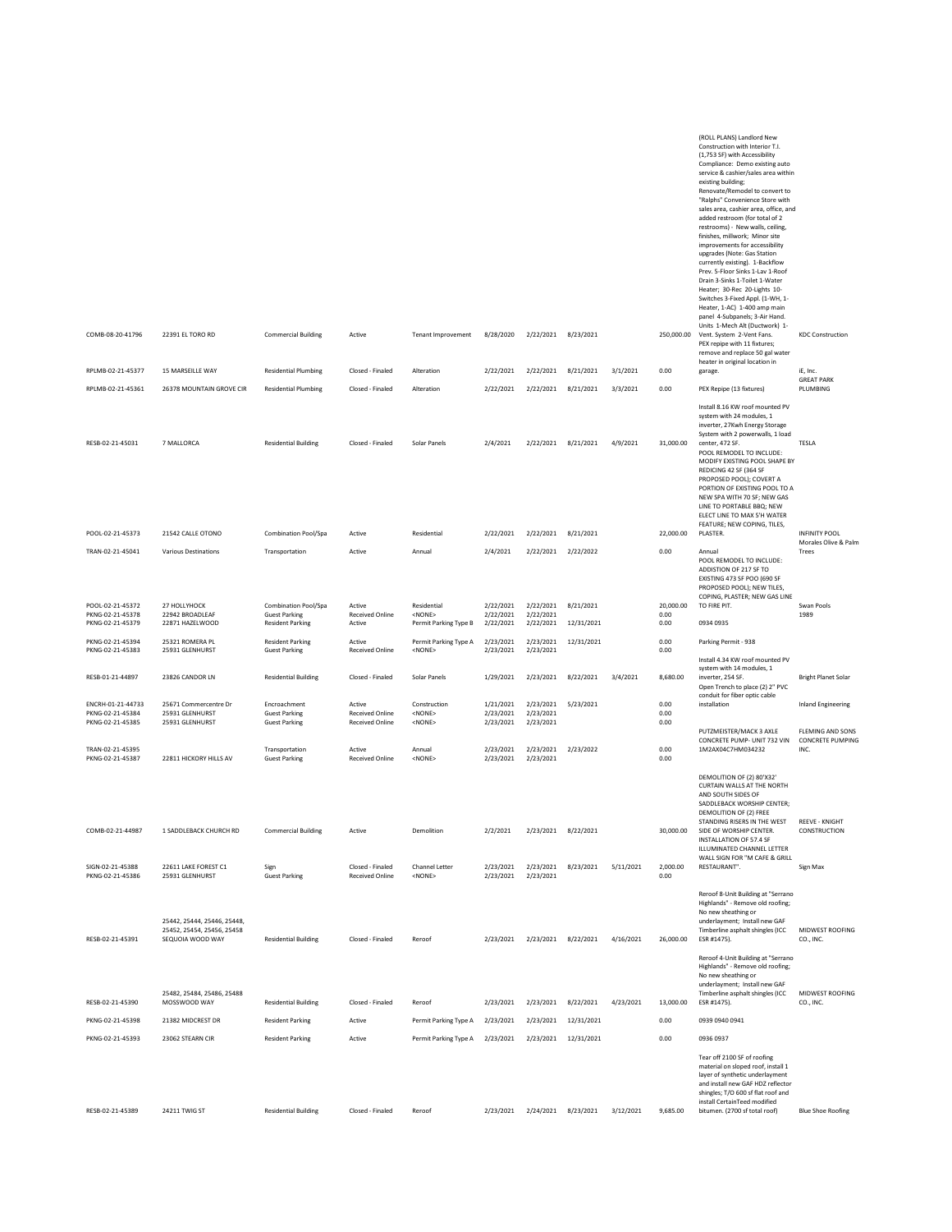| COMB-08-20-41796<br>RPLMB-02-21-45377                     | 22391 EL TORO RD<br>15 MARSEILLE WAY                                       | <b>Commercial Building</b><br><b>Residential Plumbing</b>    | Active<br>Closed - Finaled                                 | Tenant Improvement<br>Alteration                | 8/28/2020<br>2/22/2021              | 2/22/2021<br>2/22/2021              | 8/23/2021<br>8/21/2021 | 3/1/2021  | 250,000.00<br>0.00    | (ROLL PLANS) Landlord New<br>Construction with Interior T.I.<br>(1,753 SF) with Accessibility<br>Compliance: Demo existing auto<br>service & cashier/sales area within<br>existing building;<br>Renovate/Remodel to convert to<br>"Ralphs" Convenience Store with<br>sales area, cashier area, office, and<br>added restroom (for total of 2<br>restrooms) - New walls, ceiling,<br>finishes, millwork; Minor site<br>improvements for accessibility<br>upgrades (Note: Gas Station<br>currently existing). 1-Backflow<br>Prev. 5-Floor Sinks 1-Lav 1-Roof<br>Drain 3-Sinks 1-Toilet 1-Water<br>Heater; 30-Rec 20-Lights 10-<br>Switches 3-Fixed Appl. (1-WH, 1-<br>Heater, 1-AC) 1-400 amp main<br>panel 4-Subpanels; 3-Air Hand.<br>Units 1-Mech Alt (Ductwork) 1-<br>Vent. System 2-Vent Fans.<br>PEX repipe with 11 fixtures;<br>remove and replace 50 gal water<br>heater in original location in<br>garage. | <b>KDC Construction</b><br>iE, Inc.<br><b>GREAT PARK</b> |
|-----------------------------------------------------------|----------------------------------------------------------------------------|--------------------------------------------------------------|------------------------------------------------------------|-------------------------------------------------|-------------------------------------|-------------------------------------|------------------------|-----------|-----------------------|-------------------------------------------------------------------------------------------------------------------------------------------------------------------------------------------------------------------------------------------------------------------------------------------------------------------------------------------------------------------------------------------------------------------------------------------------------------------------------------------------------------------------------------------------------------------------------------------------------------------------------------------------------------------------------------------------------------------------------------------------------------------------------------------------------------------------------------------------------------------------------------------------------------------|----------------------------------------------------------|
| RPLMB-02-21-45361                                         | 26378 MOUNTAIN GROVE CIR                                                   | <b>Residential Plumbing</b>                                  | Closed - Finaled                                           | Alteration                                      | 2/22/2021                           | 2/22/2021                           | 8/21/2021              | 3/3/2021  | 0.00                  | PEX Repipe (13 fixtures)                                                                                                                                                                                                                                                                                                                                                                                                                                                                                                                                                                                                                                                                                                                                                                                                                                                                                          | PLUMBING                                                 |
| RESB-02-21-45031                                          | 7 MALLORCA                                                                 | <b>Residential Building</b>                                  | Closed - Finaled                                           | Solar Panels                                    | 2/4/2021                            | 2/22/2021                           | 8/21/2021              | 4/9/2021  | 31,000.00             | Install 8.16 KW roof mounted PV<br>system with 24 modules, 1<br>inverter, 27Kwh Energy Storage<br>System with 2 powerwalls, 1 load<br>center, 472 SF.<br>POOL REMODEL TO INCLUDE:<br>MODIFY EXISTING POOL SHAPE BY<br>REDICING 42 SF (364 SF<br>PROPOSED POOL); COVERT A<br>PORTION OF EXISTING POOL TO A<br>NEW SPA WITH 70 SF; NEW GAS<br>LINE TO PORTABLE BBQ; NEW<br>ELECT LINE TO MAX 5'H WATER                                                                                                                                                                                                                                                                                                                                                                                                                                                                                                              | TESLA                                                    |
| POOL-02-21-45373                                          | 21542 CALLE OTONO                                                          | Combination Pool/Spa                                         | Active                                                     | Residential                                     | 2/22/2021                           | 2/22/2021                           | 8/21/2021              |           | 22,000.00             | FEATURE; NEW COPING, TILES,<br>PLASTER.                                                                                                                                                                                                                                                                                                                                                                                                                                                                                                                                                                                                                                                                                                                                                                                                                                                                           | <b>INFINITY POOL</b>                                     |
| TRAN-02-21-45041                                          | Various Destinations                                                       | Transportation                                               | Active                                                     | Annual                                          | 2/4/2021                            | 2/22/2021                           | 2/22/2022              |           | 0.00                  | Annual<br>POOL REMODEL TO INCLUDE:<br>ADDISTION OF 217 SF TO<br>EXISTING 473 SF POO (690 SF<br>PROPOSED POOL); NEW TILES,<br>COPING, PLASTER; NEW GAS LINE                                                                                                                                                                                                                                                                                                                                                                                                                                                                                                                                                                                                                                                                                                                                                        | Morales Olive & Palm<br>Trees                            |
| POOL-02-21-45372<br>PKNG-02-21-45378                      | 27 HOLLYHOCK<br>22942 BROADLEAF                                            | Combination Pool/Spa<br><b>Guest Parking</b>                 | Active<br>Received Online                                  | Residential<br><none></none>                    | 2/22/2021<br>2/22/2021              | 2/22/2021<br>2/22/2021              | 8/21/2021              |           | 20,000.00<br>0.00     | TO FIRE PIT.                                                                                                                                                                                                                                                                                                                                                                                                                                                                                                                                                                                                                                                                                                                                                                                                                                                                                                      | Swan Pools<br>1989                                       |
| PKNG-02-21-45379                                          | 22871 HAZELWOOD                                                            | <b>Resident Parking</b>                                      | Active                                                     | Permit Parking Type B                           | 2/22/2021                           | 2/22/2021                           | 12/31/2021             |           | 0.00                  | 0934 0935                                                                                                                                                                                                                                                                                                                                                                                                                                                                                                                                                                                                                                                                                                                                                                                                                                                                                                         |                                                          |
| PKNG-02-21-45394<br>PKNG-02-21-45383                      | 25321 ROMERA PL<br>25931 GLENHURST                                         | <b>Resident Parking</b><br><b>Guest Parking</b>              | Active<br><b>Received Online</b>                           | Permit Parking Type A<br><none></none>          | 2/23/2021<br>2/23/2021              | 2/23/2021<br>2/23/2021              | 12/31/2021             |           | 0.00<br>0.00          | Parking Permit - 938<br>Install 4.34 KW roof mounted PV                                                                                                                                                                                                                                                                                                                                                                                                                                                                                                                                                                                                                                                                                                                                                                                                                                                           |                                                          |
| RESB-01-21-44897                                          | 23826 CANDOR LN                                                            | <b>Residential Building</b>                                  | Closed - Finaled                                           | Solar Panels                                    | 1/29/2021                           | 2/23/2021                           | 8/22/2021              | 3/4/2021  | 8,680.00              | system with 14 modules, 1<br>inverter, 254 SF.<br>Open Trench to place (2) 2" PVC                                                                                                                                                                                                                                                                                                                                                                                                                                                                                                                                                                                                                                                                                                                                                                                                                                 | <b>Bright Planet Solar</b>                               |
| ENCRH-01-21-44733<br>PKNG-02-21-45384<br>PKNG-02-21-45385 | 25671 Commercentre Dr<br>25931 GLENHURST<br>25931 GLENHURST                | Encroachment<br><b>Guest Parking</b><br><b>Guest Parking</b> | Active<br><b>Received Online</b><br><b>Received Online</b> | Construction<br><none><br/><none></none></none> | 1/21/2021<br>2/23/2021<br>2/23/2021 | 2/23/2021<br>2/23/2021<br>2/23/2021 | 5/23/2021              |           | 0.00<br>0.00<br>0.00  | conduit for fiber optic cable<br>installation<br>PUTZMEISTER/MACK 3 AXLE                                                                                                                                                                                                                                                                                                                                                                                                                                                                                                                                                                                                                                                                                                                                                                                                                                          | <b>Inland Engineering</b><br>FLEMING AND SONS            |
| TRAN-02-21-45395<br>PKNG-02-21-45387                      | 22811 HICKORY HILLS AV                                                     | Transportation<br><b>Guest Parking</b>                       | Active<br>Received Online                                  | Annual<br><none></none>                         | 2/23/2021<br>2/23/2021              | 2/23/2021<br>2/23/2021              | 2/23/2022              |           | 0.00<br>0.00          | CONCRETE PUMP- UNIT 732 VIN<br>1M2AX04C7HM034232                                                                                                                                                                                                                                                                                                                                                                                                                                                                                                                                                                                                                                                                                                                                                                                                                                                                  | CONCRETE PUMPING<br>INC.                                 |
| COMB-02-21-44987<br>SIGN-02-21-45388                      | 1 SADDLEBACK CHURCH RD<br>22611 LAKE FOREST C1                             | <b>Commercial Building</b><br>Sign                           | Active<br>Closed - Finaled                                 | Demolition<br>Channel Letter                    | 2/2/2021<br>2/23/2021               | 2/23/2021 8/22/2021<br>2/23/2021    | 8/23/2021              | 5/11/2021 | 30,000.00<br>2,000.00 | DEMOLITION OF (2) 80'X32'<br>CURTAIN WALLS AT THE NORTH<br>AND SOUTH SIDES OF<br>SADDLEBACK WORSHIP CENTER;<br>DEMOLITION OF (2) FREE<br>STANDING RISERS IN THE WEST<br>SIDE OF WORSHIP CENTER.<br><b>INSTALLATION OF 57.4 SF</b><br>ILLUMINATED CHANNEL LETTER<br>WALL SIGN FOR "M CAFE & GRILL<br>RESTAURANT".                                                                                                                                                                                                                                                                                                                                                                                                                                                                                                                                                                                                  | <b>REEVE - KNIGHT</b><br>CONSTRUCTION<br>Sign Max        |
| PKNG-02-21-45386                                          | 25931 GLENHURST                                                            | <b>Guest Parking</b>                                         | Received Online                                            | $<$ NONE>                                       | 2/23/2021                           | 2/23/2021                           |                        |           | 0.00                  |                                                                                                                                                                                                                                                                                                                                                                                                                                                                                                                                                                                                                                                                                                                                                                                                                                                                                                                   |                                                          |
| RESB-02-21-45391                                          | 25442, 25444, 25446, 25448,<br>25452.25454.25456.25458<br>SEQUOIA WOOD WAY | <b>Residential Building</b>                                  | Closed - Finaled                                           | Reroof                                          | 2/23/2021                           | 2/23/2021                           | 8/22/2021              | 4/16/2021 | 26,000.00             | Reroof 8-Unit Building at "Serrano<br>Highlands" - Remove old roofing;<br>No new sheathing or<br>underlayment; Install new GAF<br>Timberline asphalt shingles (ICC<br>ESR #1475).<br>Reroof 4-Unit Building at "Serrano                                                                                                                                                                                                                                                                                                                                                                                                                                                                                                                                                                                                                                                                                           | MIDWEST ROOFING<br>CO., INC.                             |
| RESB-02-21-45390                                          | 25482, 25484, 25486, 25488<br>MOSSWOOD WAY                                 | <b>Residential Building</b>                                  | Closed - Finaled                                           | Reroof                                          | 2/23/2021                           | 2/23/2021                           | 8/22/2021              | 4/23/2021 | 13,000.00             | Highlands" - Remove old roofing;<br>No new sheathing or<br>underlayment; Install new GAF<br>Timberline asphalt shingles (ICC<br>ESR #1475).                                                                                                                                                                                                                                                                                                                                                                                                                                                                                                                                                                                                                                                                                                                                                                       | MIDWEST ROOFING<br>CO., INC.                             |
| PKNG-02-21-45398                                          | 21382 MIDCREST DR                                                          | <b>Resident Parking</b>                                      | Active                                                     | Permit Parking Type A                           | 2/23/2021                           | 2/23/2021                           | 12/31/2021             |           | 0.00                  | 0939 0940 0941                                                                                                                                                                                                                                                                                                                                                                                                                                                                                                                                                                                                                                                                                                                                                                                                                                                                                                    |                                                          |
| PKNG-02-21-45393                                          | 23062 STEARN CIR                                                           | <b>Resident Parking</b>                                      | Active                                                     | Permit Parking Type A                           | 2/23/2021                           | 2/23/2021                           | 12/31/2021             |           | 0.00                  | 0936 0937                                                                                                                                                                                                                                                                                                                                                                                                                                                                                                                                                                                                                                                                                                                                                                                                                                                                                                         |                                                          |
| RESB-02-21-45389                                          | 24211 TWIG ST                                                              | <b>Residential Building</b>                                  | Closed - Finaled                                           | Reroof                                          | 2/23/2021                           | 2/24/2021 8/23/2021                 |                        | 3/12/2021 | 9,685.00              | Tear off 2100 SF of roofing<br>material on sloped roof, install 1<br>layer of synthetic underlayment<br>and install new GAF HDZ reflector<br>shingles; T/O 600 sf flat roof and<br>install CertainTeed modified<br>bitumen. (2700 sf total roof)                                                                                                                                                                                                                                                                                                                                                                                                                                                                                                                                                                                                                                                                  | <b>Blue Shoe Roofing</b>                                 |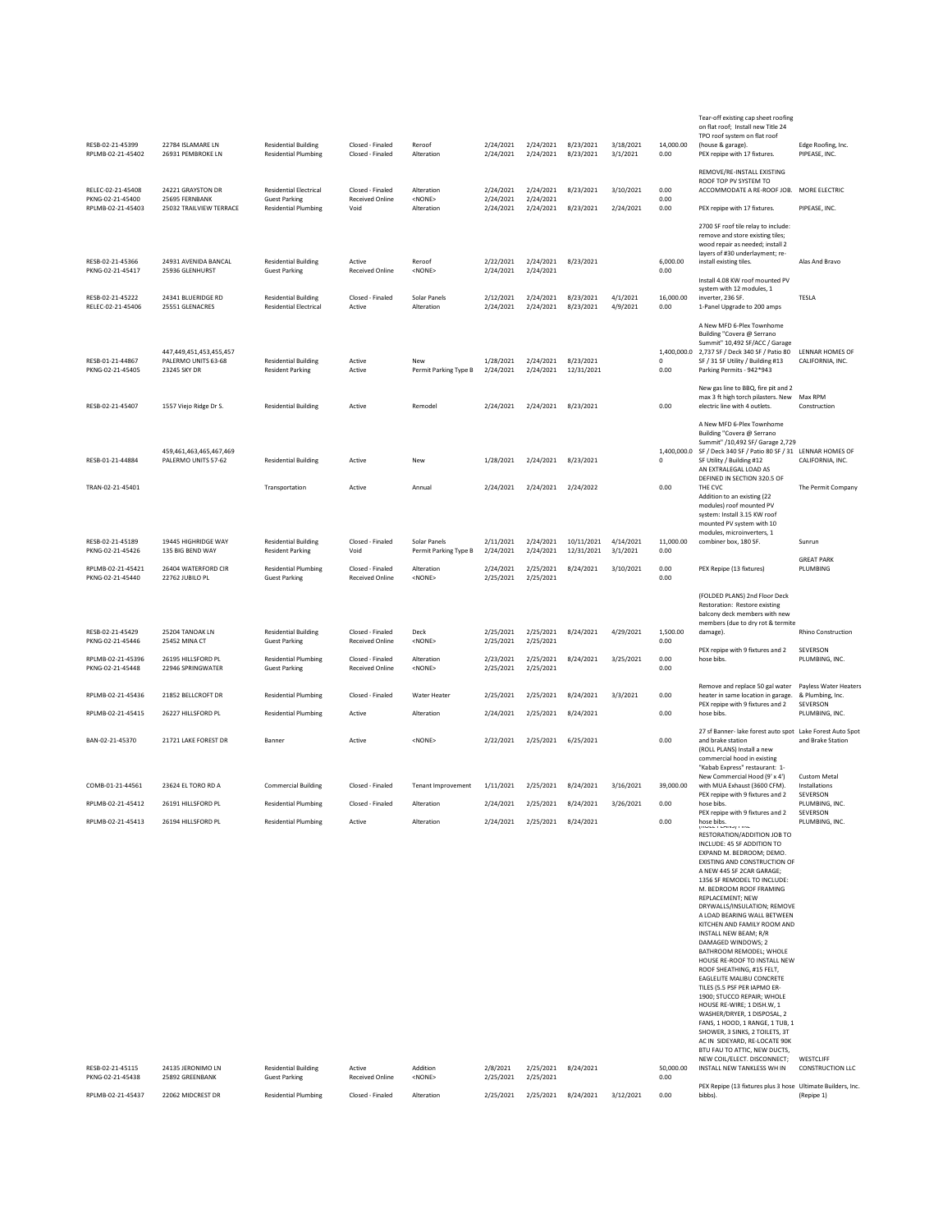| RESB-02-21-45399<br>RPLMB-02-21-45402  | 22784 ISLAMARE LN<br>26931 PEMBROKE LN                         | <b>Residential Building</b><br><b>Residential Plumbing</b>   | Closed - Finaled<br>Closed - Finaled       | Reroof<br>Alteration                  | 2/24/2021<br>2/24/2021 | 2/24/2021<br>2/24/2021           | 8/23/2021<br>8/23/2021   | 3/18/2021<br>3/1/2021 | 14,000.00<br>0.00 | Tear-off existing cap sheet roofing<br>on flat roof; Install new Title 24<br>TPO roof system on flat roof<br>(house & garage).<br>PEX repipe with 17 fixtures.                                                                                                                                                                                                                                                                                                                                                                                                                                                                                                                                                                                                                                                                                                        | Edge Roofing, Inc.<br>PIPEASE, INC.                       |
|----------------------------------------|----------------------------------------------------------------|--------------------------------------------------------------|--------------------------------------------|---------------------------------------|------------------------|----------------------------------|--------------------------|-----------------------|-------------------|-----------------------------------------------------------------------------------------------------------------------------------------------------------------------------------------------------------------------------------------------------------------------------------------------------------------------------------------------------------------------------------------------------------------------------------------------------------------------------------------------------------------------------------------------------------------------------------------------------------------------------------------------------------------------------------------------------------------------------------------------------------------------------------------------------------------------------------------------------------------------|-----------------------------------------------------------|
| RELEC-02-21-45408<br>PKNG-02-21-45400  | 24221 GRAYSTON DR<br>25695 FERNBANK                            | <b>Residential Electrical</b><br><b>Guest Parking</b>        | Closed - Finaled<br>Received Online        | Alteration<br><none></none>           | 2/24/2021<br>2/24/2021 | 2/24/2021<br>2/24/2021           | 8/23/2021                | 3/10/2021             | 0.00<br>0.00      | REMOVE/RE-INSTALL EXISTING<br>ROOF TOP PV SYSTEM TO<br>ACCOMMODATE A RE-ROOF JOB.                                                                                                                                                                                                                                                                                                                                                                                                                                                                                                                                                                                                                                                                                                                                                                                     | MORE ELECTRIC                                             |
| RPLMB-02-21-45403                      | 25032 TRAILVIEW TERRACE                                        | <b>Residential Plumbing</b>                                  | Void                                       | Alteration                            | 2/24/2021              | 2/24/2021                        | 8/23/2021                | 2/24/2021             | 0.00              | PEX repipe with 17 fixtures.                                                                                                                                                                                                                                                                                                                                                                                                                                                                                                                                                                                                                                                                                                                                                                                                                                          | PIPEASE, INC.                                             |
| RESB-02-21-45366                       | 24931 AVENIDA BANCAL                                           | <b>Residential Building</b>                                  | Active                                     | Reroof                                | 2/22/2021              | 2/24/2021                        | 8/23/2021                |                       | 6,000.00          | 2700 SF roof tile relay to include:<br>remove and store existing tiles;<br>wood repair as needed; install 2<br>layers of #30 underlayment; re-<br>install existing tiles.                                                                                                                                                                                                                                                                                                                                                                                                                                                                                                                                                                                                                                                                                             | Alas And Bravo                                            |
| PKNG-02-21-45417                       | 25936 GLENHURST                                                | <b>Guest Parking</b>                                         | Received Online                            | <none></none>                         | 2/24/2021              | 2/24/2021                        |                          |                       | 0.00              | Install 4.08 KW roof mounted PV                                                                                                                                                                                                                                                                                                                                                                                                                                                                                                                                                                                                                                                                                                                                                                                                                                       |                                                           |
| RESB-02-21-45222<br>RFI FC-02-21-45406 | 24341 BLUERIDGE RD<br>25551 GLENACRES                          | <b>Residential Building</b><br><b>Residential Electrical</b> | Closed - Finaled<br>Active                 | Solar Panels<br>Alteration            | 2/12/2021<br>2/24/2021 | 2/24/2021<br>2/24/2021           | 8/23/2021<br>8/23/2021   | 4/1/2021<br>4/9/2021  | 16,000.00<br>0.00 | system with 12 modules, 1<br>inverter, 236 SF<br>1-Panel Upgrade to 200 amps                                                                                                                                                                                                                                                                                                                                                                                                                                                                                                                                                                                                                                                                                                                                                                                          | TESLA                                                     |
| RESB-01-21-44867<br>PKNG-02-21-45405   | 447,449,451,453,455,457<br>PALERMO UNITS 63-68<br>23245 SKY DR | <b>Residential Building</b><br><b>Resident Parking</b>       | Active<br>Active                           | New<br>Permit Parking Type B          | 1/28/2021<br>2/24/2021 | 2/24/2021<br>2/24/2021           | 8/23/2021<br>12/31/2021  |                       | 0<br>0.00         | A New MFD 6-Plex Townhome<br>Building "Covera @ Serrano<br>Summit" 10,492 SF/ACC / Garage<br>1,400,000.0 2,737 SF / Deck 340 SF / Patio 80<br>SF / 31 SF Utility / Building #13<br>Parking Permits - 942*943                                                                                                                                                                                                                                                                                                                                                                                                                                                                                                                                                                                                                                                          | LENNAR HOMES OF<br>CALIFORNIA, INC.                       |
| RESB-02-21-45407                       | 1557 Viejo Ridge Dr S.                                         | <b>Residential Building</b>                                  | Active                                     | Remodel                               | 2/24/2021              | 2/24/2021                        | 8/23/2021                |                       | 0.00              | New gas line to BBQ, fire pit and 2<br>max 3 ft high torch pilasters. New<br>electric line with 4 outlets.                                                                                                                                                                                                                                                                                                                                                                                                                                                                                                                                                                                                                                                                                                                                                            | Max RPM<br>Construction                                   |
|                                        | 459.461.463.465.467.469                                        |                                                              |                                            |                                       |                        |                                  |                          |                       |                   | A New MFD 6-Plex Townhome<br>Building "Covera @ Serrano<br>Summit" /10,492 SF/ Garage 2,729<br>1,400,000.0 SF / Deck 340 SF / Patio 80 SF / 31 LENNAR HOMES OF                                                                                                                                                                                                                                                                                                                                                                                                                                                                                                                                                                                                                                                                                                        |                                                           |
| RESB-01-21-44884<br>TRAN-02-21-45401   | PALERMO UNITS 57-62                                            | <b>Residential Building</b>                                  | Active<br>Active                           | New<br>Annual                         | 1/28/2021<br>2/24/2021 | 2/24/2021<br>2/24/2021           | 8/23/2021<br>2/24/2022   |                       | 0<br>0.00         | SF Utility / Building #12<br>AN EXTRALEGAL LOAD AS<br>DEFINED IN SECTION 320.5 OF<br>THE CVC                                                                                                                                                                                                                                                                                                                                                                                                                                                                                                                                                                                                                                                                                                                                                                          | CALIFORNIA, INC.                                          |
|                                        |                                                                | Transportation                                               |                                            |                                       |                        |                                  |                          |                       |                   | Addition to an existing (22<br>modules) roof mounted PV<br>system: Install 3.15 KW roof<br>mounted PV system with 10<br>modules, microinverters, 1                                                                                                                                                                                                                                                                                                                                                                                                                                                                                                                                                                                                                                                                                                                    | The Permit Company                                        |
| RESB-02-21-45189<br>PKNG-02-21-45426   | 19445 HIGHRIDGE WAY<br>135 BIG BEND WAY                        | <b>Residential Building</b><br><b>Resident Parking</b>       | Closed - Finaled<br>Void                   | Solar Panels<br>Permit Parking Type B | 2/11/2021<br>2/24/2021 | 2/24/2021<br>2/24/2021           | 10/11/2021<br>12/31/2021 | 4/14/2021<br>3/1/2021 | 11,000.00<br>0.00 | combiner box, 180 SF.                                                                                                                                                                                                                                                                                                                                                                                                                                                                                                                                                                                                                                                                                                                                                                                                                                                 | Sunrun                                                    |
| RPLMB-02-21-45421<br>PKNG-02-21-45440  | 26404 WATERFORD CIR<br>22762 JUBILO PL                         | <b>Residential Plumbing</b><br><b>Guest Parking</b>          | Closed - Finaled<br><b>Received Online</b> | Alteration<br><none></none>           | 2/24/2021<br>2/25/2021 | 2/25/2021<br>2/25/2021           | 8/24/2021                | 3/10/2021             | 0.00<br>0.00      | PEX Repipe (13 fixtures)                                                                                                                                                                                                                                                                                                                                                                                                                                                                                                                                                                                                                                                                                                                                                                                                                                              | <b>GREAT PARK</b><br>PLUMBING                             |
| RESB-02-21-45429                       | 25204 TANOAK LN                                                | <b>Residential Building</b>                                  | Closed - Finaled                           | Deck                                  | 2/25/2021              | 2/25/2021                        | 8/24/2021                | 4/29/2021             | 1,500.00          | (FOLDED PLANS) 2nd Floor Deck<br>Restoration: Restore existing<br>balcony deck members with new<br>members (due to dry rot & termite<br>damage).                                                                                                                                                                                                                                                                                                                                                                                                                                                                                                                                                                                                                                                                                                                      | <b>Rhino Construction</b>                                 |
| PKNG-02-21-45446                       | 25452 MINA CT                                                  | <b>Guest Parking</b>                                         | <b>Received Online</b>                     | <none></none>                         | 2/25/2021              | 2/25/2021                        |                          |                       | 0.00              | PEX repipe with 9 fixtures and 2                                                                                                                                                                                                                                                                                                                                                                                                                                                                                                                                                                                                                                                                                                                                                                                                                                      | SEVERSON                                                  |
| RPLMB-02-21-45396<br>PKNG-02-21-45448  | 26195 HILLSFORD PL<br>22946 SPRINGWATER                        | <b>Residential Plumbing</b><br><b>Guest Parking</b>          | Closed - Finaled<br>Received Online        | Alteration<br><none></none>           | 2/23/2021<br>2/25/2021 | 2/25/2021<br>2/25/2021           | 8/24/2021                | 3/25/2021             | 0.00<br>0.00      | hose bibs.<br>Remove and replace 50 gal water                                                                                                                                                                                                                                                                                                                                                                                                                                                                                                                                                                                                                                                                                                                                                                                                                         | PLUMBING, INC.<br>Payless Water Heaters                   |
| RPLMB-02-21-45436                      | 21852 BELLCROFT DR                                             | <b>Residential Plumbing</b>                                  | Closed - Finaled                           | Water Heater                          | 2/25/2021              | 2/25/2021                        | 8/24/2021                | 3/3/2021              | 0.00              | heater in same location in garage.<br>PEX repipe with 9 fixtures and 2                                                                                                                                                                                                                                                                                                                                                                                                                                                                                                                                                                                                                                                                                                                                                                                                | & Plumbing, Inc.<br>SEVERSON                              |
| RPLMB-02-21-45415                      | 26227 HILLSFORD PL                                             | <b>Residential Plumbing</b>                                  | Active                                     | Alteration                            | 2/24/2021              | 2/25/2021                        | 8/24/2021                |                       | 0.00              | hose bibs.                                                                                                                                                                                                                                                                                                                                                                                                                                                                                                                                                                                                                                                                                                                                                                                                                                                            | PLUMBING, INC.                                            |
| BAN-02-21-45370                        | 21721 LAKE FOREST DR                                           | Banner                                                       | Active                                     | <none></none>                         | 2/22/2021              | 2/25/2021                        | 6/25/2021                |                       |                   |                                                                                                                                                                                                                                                                                                                                                                                                                                                                                                                                                                                                                                                                                                                                                                                                                                                                       | 27 sf Banner- lake forest auto spot Lake Forest Auto Spot |
|                                        |                                                                |                                                              |                                            |                                       |                        |                                  |                          |                       | 0.00              | and brake station<br>(ROLL PLANS) Install a new<br>commercial hood in existing<br>"Kabab Express" restaurant: 1-                                                                                                                                                                                                                                                                                                                                                                                                                                                                                                                                                                                                                                                                                                                                                      | and Brake Station                                         |
| COMB-01-21-44561                       | 23624 EL TORO RD A                                             | <b>Commercial Building</b>                                   | Closed - Finaled                           | <b>Tenant Improvement</b>             | 1/11/2021              | 2/25/2021                        | 8/24/2021                | 3/16/2021             | 39,000.00         | New Commercial Hood (9' x 4')<br>with MUA Exhaust (3600 CFM).                                                                                                                                                                                                                                                                                                                                                                                                                                                                                                                                                                                                                                                                                                                                                                                                         | <b>Custom Metal</b><br>Installations                      |
| RPLMB-02-21-45412                      | 26191 HILLSFORD PL                                             | <b>Residential Plumbing</b>                                  | Closed - Finaled                           | Alteration                            | 2/24/2021              | 2/25/2021                        | 8/24/2021                | 3/26/2021             | 0.00              | PEX repipe with 9 fixtures and 2<br>hose bibs.<br>PEX repipe with 9 fixtures and 2                                                                                                                                                                                                                                                                                                                                                                                                                                                                                                                                                                                                                                                                                                                                                                                    | SEVERSON<br>PLUMBING, INC.<br>SEVERSON                    |
| RPLMB-02-21-45413<br>RESB-02-21-45115  | 26194 HILLSFORD PL<br>24135 JERONIMO LN                        | <b>Residential Plumbing</b><br><b>Residential Building</b>   | Active<br>Active                           | Alteration<br>Addition                | 2/24/2021<br>2/8/2021  | 2/25/2021 8/24/2021<br>2/25/2021 | 8/24/2021                |                       | 0.00<br>50,000.00 | hose bibs.<br>process control into<br>RESTORATION/ADDITION JOB TO<br>INCLUDE: 45 SF ADDITION TO<br>EXPAND M. BEDROOM; DEMO.<br>EXISTING AND CONSTRUCTION OF<br>A NEW 445 SF 2CAR GARAGE;<br>1356 SF REMODEL TO INCLUDE:<br>M. BEDROOM ROOF FRAMING<br>REPLACEMENT; NEW<br>DRYWALLS/INSULATION; REMOVE<br>A LOAD BEARING WALL BETWEEN<br>KITCHEN AND FAMILY ROOM AND<br>INSTALL NEW BEAM; R/R<br>DAMAGED WINDOWS; 2<br>BATHROOM REMODEL: WHOLE<br>HOUSE RE-ROOF TO INSTALL NEW<br>ROOF SHEATHING, #15 FELT.<br>EAGLELITE MALIBU CONCRETE<br>TILES (5.5 PSF PER IAPMO ER-<br>1900; STUCCO REPAIR; WHOLE<br>HOUSE RE-WIRE; 1 DISH.W, 1<br>WASHER/DRYER, 1 DISPOSAL, 2<br>FANS, 1 HOOD, 1 RANGE, 1 TUB, 1<br>SHOWER, 3 SINKS, 2 TOILETS, 3T<br>AC IN SIDEYARD, RE-LOCATE 90K<br>BTU FAU TO ATTIC, NEW DUCTS,<br>NEW COIL/ELECT. DISCONNECT;<br>INSTALL NEW TANKLESS WH IN | PLUMBING, INC.<br>WESTCLIFF<br><b>CONSTRUCTION LLC</b>    |
| PKNG-02-21-45438<br>RPLMB-02-21-45437  | 25892 GREENBANK<br>22062 MIDCREST DR                           | <b>Guest Parking</b><br><b>Residential Plumbing</b>          | <b>Received Online</b><br>Closed - Finaled | <none><br/>Alteration</none>          | 2/25/2021<br>2/25/2021 | 2/25/2021<br>2/25/2021           | 8/24/2021                | 3/12/2021             | 0.00<br>0.00      | PEX Repipe (13 fixtures plus 3 hose Ultimate Builders, Inc.<br>bibbs).                                                                                                                                                                                                                                                                                                                                                                                                                                                                                                                                                                                                                                                                                                                                                                                                | (Repipe 1)                                                |